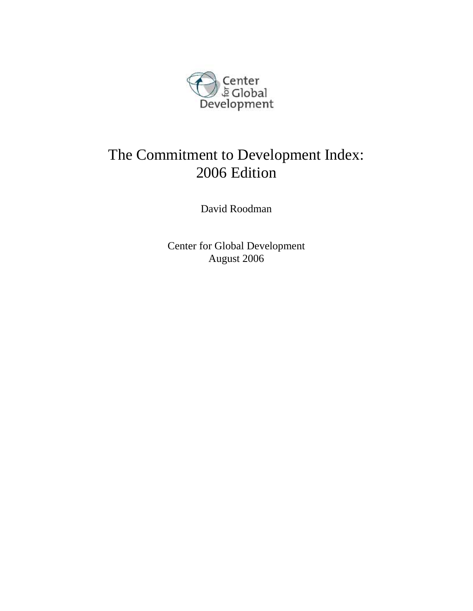

# The Commitment to Development Index: 2006 Edition

David Roodman

Center for Global Development August 2006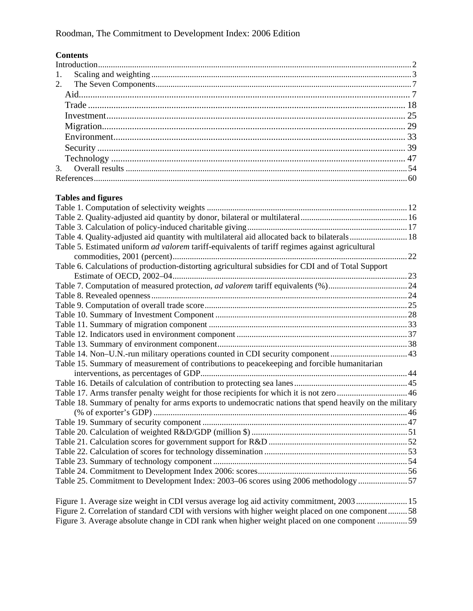# **Contents**

# **Tables and figures**

| Table 4. Quality-adjusted aid quantity with multilateral aid allocated back to bilaterals 18             |    |
|----------------------------------------------------------------------------------------------------------|----|
| Table 5. Estimated uniform ad valorem tariff-equivalents of tariff regimes against agricultural          |    |
|                                                                                                          |    |
| Table 6. Calculations of production-distorting agricultural subsidies for CDI and of Total Support       |    |
|                                                                                                          |    |
|                                                                                                          |    |
|                                                                                                          |    |
|                                                                                                          |    |
|                                                                                                          |    |
|                                                                                                          |    |
|                                                                                                          |    |
|                                                                                                          |    |
| Table 14. Non-U.N.-run military operations counted in CDI security component  43                         |    |
| Table 15. Summary of measurement of contributions to peacekeeping and forcible humanitarian              |    |
|                                                                                                          |    |
|                                                                                                          |    |
| Table 17. Arms transfer penalty weight for those recipients for which it is not zero 46                  |    |
| Table 18. Summary of penalty for arms exports to undemocratic nations that spend heavily on the military |    |
|                                                                                                          |    |
|                                                                                                          |    |
|                                                                                                          |    |
|                                                                                                          |    |
|                                                                                                          |    |
|                                                                                                          |    |
|                                                                                                          |    |
| Table 25. Commitment to Development Index: 2003-06 scores using 2006 methodology 57                      |    |
| $E_{\text{GUPA}}$ 1. A remain sine weight in CDI versue exempts leg aid activity commitment. 2002        | 15 |

|  | Figure 1. Average size weight in CDI versus average log aid activity commitment, 2003 15         |  |
|--|--------------------------------------------------------------------------------------------------|--|
|  | Figure 2. Correlation of standard CDI with versions with higher weight placed on one component58 |  |
|  | Figure 3. Average absolute change in CDI rank when higher weight placed on one component 59      |  |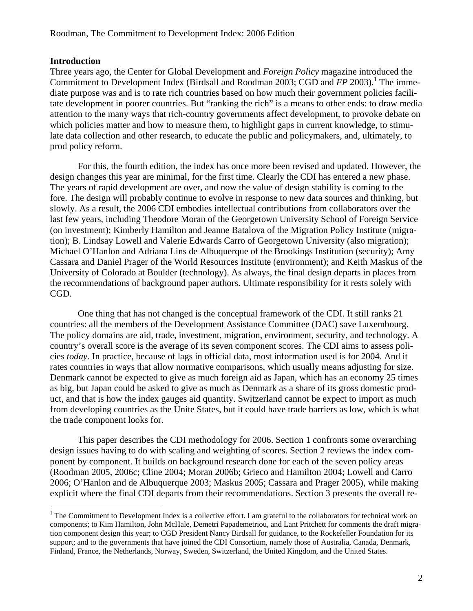#### **Introduction**

 $\overline{a}$ 

Three years ago, the Center for Global Development and *Foreign Policy* magazine introduced the Commitment to Development Index (Birdsall and Roodman 2003; CGD and *FP* 2003).<sup>1</sup> The immediate purpose was and is to rate rich countries based on how much their government policies facilitate development in poorer countries. But "ranking the rich" is a means to other ends: to draw media attention to the many ways that rich-country governments affect development, to provoke debate on which policies matter and how to measure them, to highlight gaps in current knowledge, to stimulate data collection and other research, to educate the public and policymakers, and, ultimately, to prod policy reform.

For this, the fourth edition, the index has once more been revised and updated. However, the design changes this year are minimal, for the first time. Clearly the CDI has entered a new phase. The years of rapid development are over, and now the value of design stability is coming to the fore. The design will probably continue to evolve in response to new data sources and thinking, but slowly. As a result, the 2006 CDI embodies intellectual contributions from collaborators over the last few years, including Theodore Moran of the Georgetown University School of Foreign Service (on investment); Kimberly Hamilton and Jeanne Batalova of the Migration Policy Institute (migration); B. Lindsay Lowell and Valerie Edwards Carro of Georgetown University (also migration); Michael O'Hanlon and Adriana Lins de Albuquerque of the Brookings Institution (security); Amy Cassara and Daniel Prager of the World Resources Institute (environment); and Keith Maskus of the University of Colorado at Boulder (technology). As always, the final design departs in places from the recommendations of background paper authors. Ultimate responsibility for it rests solely with CGD.

One thing that has not changed is the conceptual framework of the CDI. It still ranks 21 countries: all the members of the Development Assistance Committee (DAC) save Luxembourg. The policy domains are aid, trade, investment, migration, environment, security, and technology. A country's overall score is the average of its seven component scores. The CDI aims to assess policies *today*. In practice, because of lags in official data, most information used is for 2004. And it rates countries in ways that allow normative comparisons, which usually means adjusting for size. Denmark cannot be expected to give as much foreign aid as Japan, which has an economy 25 times as big, but Japan could be asked to give as much as Denmark as a share of its gross domestic product, and that is how the index gauges aid quantity. Switzerland cannot be expect to import as much from developing countries as the Unite States, but it could have trade barriers as low, which is what the trade component looks for.

This paper describes the CDI methodology for 2006. Section 1 confronts some overarching design issues having to do with scaling and weighting of scores. Section 2 reviews the index component by component. It builds on background research done for each of the seven policy areas (Roodman 2005, 2006c; Cline 2004; Moran 2006b; Grieco and Hamilton 2004; Lowell and Carro 2006; O'Hanlon and de Albuquerque 2003; Maskus 2005; Cassara and Prager 2005), while making explicit where the final CDI departs from their recommendations. Section 3 presents the overall re-

 $1$  The Commitment to Development Index is a collective effort. I am grateful to the collaborators for technical work on components; to Kim Hamilton, John McHale, Demetri Papademetriou, and Lant Pritchett for comments the draft migration component design this year; to CGD President Nancy Birdsall for guidance, to the Rockefeller Foundation for its support; and to the governments that have joined the CDI Consortium, namely those of Australia, Canada, Denmark, Finland, France, the Netherlands, Norway, Sweden, Switzerland, the United Kingdom, and the United States.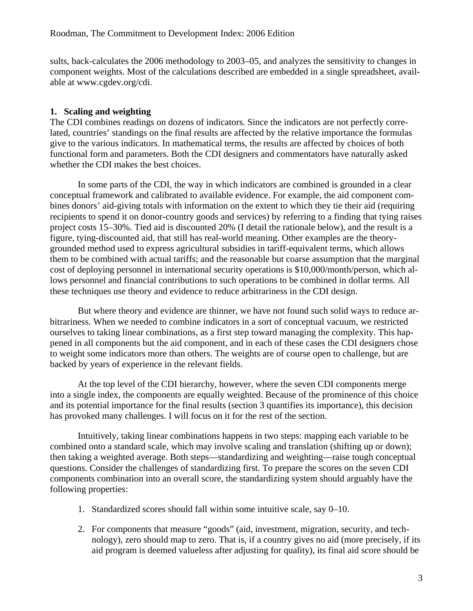sults, back-calculates the 2006 methodology to 2003–05, and analyzes the sensitivity to changes in component weights. Most of the calculations described are embedded in a single spreadsheet, available at www.cgdev.org/cdi.

# **1. Scaling and weighting**

The CDI combines readings on dozens of indicators. Since the indicators are not perfectly correlated, countries' standings on the final results are affected by the relative importance the formulas give to the various indicators. In mathematical terms, the results are affected by choices of both functional form and parameters. Both the CDI designers and commentators have naturally asked whether the CDI makes the best choices.

In some parts of the CDI, the way in which indicators are combined is grounded in a clear conceptual framework and calibrated to available evidence. For example, the aid component combines donors' aid-giving totals with information on the extent to which they tie their aid (requiring recipients to spend it on donor-country goods and services) by referring to a finding that tying raises project costs 15–30%. Tied aid is discounted 20% (I detail the rationale below), and the result is a figure, tying-discounted aid, that still has real-world meaning. Other examples are the theorygrounded method used to express agricultural subsidies in tariff-equivalent terms, which allows them to be combined with actual tariffs; and the reasonable but coarse assumption that the marginal cost of deploying personnel in international security operations is \$10,000/month/person, which allows personnel and financial contributions to such operations to be combined in dollar terms. All these techniques use theory and evidence to reduce arbitrariness in the CDI design.

But where theory and evidence are thinner, we have not found such solid ways to reduce arbitrariness. When we needed to combine indicators in a sort of conceptual vacuum, we restricted ourselves to taking linear combinations, as a first step toward managing the complexity. This happened in all components but the aid component, and in each of these cases the CDI designers chose to weight some indicators more than others. The weights are of course open to challenge, but are backed by years of experience in the relevant fields.

At the top level of the CDI hierarchy, however, where the seven CDI components merge into a single index, the components are equally weighted. Because of the prominence of this choice and its potential importance for the final results (section 3 quantifies its importance), this decision has provoked many challenges. I will focus on it for the rest of the section.

Intuitively, taking linear combinations happens in two steps: mapping each variable to be combined onto a standard scale, which may involve scaling and translation (shifting up or down); then taking a weighted average. Both steps—standardizing and weighting—raise tough conceptual questions. Consider the challenges of standardizing first. To prepare the scores on the seven CDI components combination into an overall score, the standardizing system should arguably have the following properties:

- 1. Standardized scores should fall within some intuitive scale, say 0–10.
- 2. For components that measure "goods" (aid, investment, migration, security, and technology), zero should map to zero. That is, if a country gives no aid (more precisely, if its aid program is deemed valueless after adjusting for quality), its final aid score should be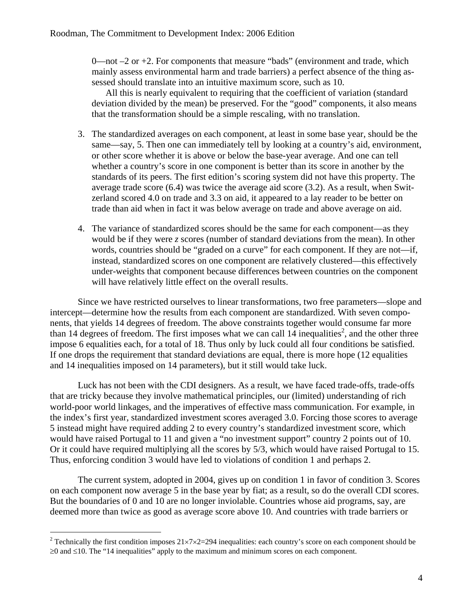$0$ —not  $-2$  or  $+2$ . For components that measure "bads" (environment and trade, which mainly assess environmental harm and trade barriers) a perfect absence of the thing assessed should translate into an intuitive maximum score, such as 10.

 All this is nearly equivalent to requiring that the coefficient of variation (standard deviation divided by the mean) be preserved. For the "good" components, it also means that the transformation should be a simple rescaling, with no translation.

- 3. The standardized averages on each component, at least in some base year, should be the same—say, 5. Then one can immediately tell by looking at a country's aid, environment, or other score whether it is above or below the base-year average. And one can tell whether a country's score in one component is better than its score in another by the standards of its peers. The first edition's scoring system did not have this property. The average trade score (6.4) was twice the average aid score (3.2). As a result, when Switzerland scored 4.0 on trade and 3.3 on aid, it appeared to a lay reader to be better on trade than aid when in fact it was below average on trade and above average on aid.
- 4. The variance of standardized scores should be the same for each component—as they would be if they were *z* scores (number of standard deviations from the mean). In other words, countries should be "graded on a curve" for each component. If they are not—if, instead, standardized scores on one component are relatively clustered—this effectively under-weights that component because differences between countries on the component will have relatively little effect on the overall results.

Since we have restricted ourselves to linear transformations, two free parameters—slope and intercept—determine how the results from each component are standardized. With seven components, that yields 14 degrees of freedom. The above constraints together would consume far more than 14 degrees of freedom. The first imposes what we can call 14 inequalities<sup>2</sup>, and the other three impose 6 equalities each, for a total of 18. Thus only by luck could all four conditions be satisfied. If one drops the requirement that standard deviations are equal, there is more hope (12 equalities and 14 inequalities imposed on 14 parameters), but it still would take luck.

Luck has not been with the CDI designers. As a result, we have faced trade-offs, trade-offs that are tricky because they involve mathematical principles, our (limited) understanding of rich world-poor world linkages, and the imperatives of effective mass communication. For example, in the index's first year, standardized investment scores averaged 3.0. Forcing those scores to average 5 instead might have required adding 2 to every country's standardized investment score, which would have raised Portugal to 11 and given a "no investment support" country 2 points out of 10. Or it could have required multiplying all the scores by 5/3, which would have raised Portugal to 15. Thus, enforcing condition 3 would have led to violations of condition 1 and perhaps 2.

The current system, adopted in 2004, gives up on condition 1 in favor of condition 3. Scores on each component now average 5 in the base year by fiat; as a result, so do the overall CDI scores. But the boundaries of 0 and 10 are no longer inviolable. Countries whose aid programs, say, are deemed more than twice as good as average score above 10. And countries with trade barriers or

<sup>&</sup>lt;sup>2</sup> Technically the first condition imposes  $21\times7\times2=294$  inequalities: each country's score on each component should be ≥0 and ≤10. The "14 inequalities" apply to the maximum and minimum scores on each component.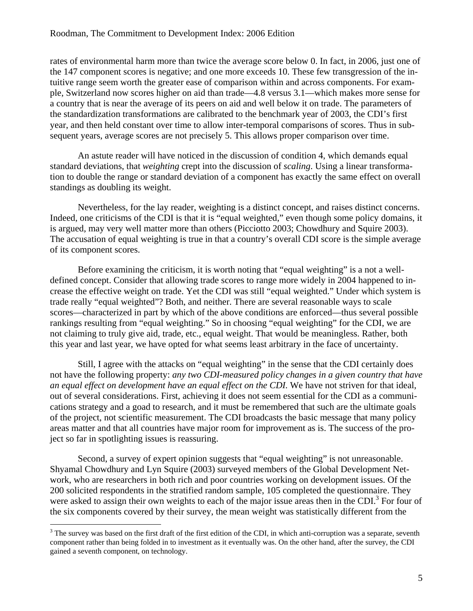rates of environmental harm more than twice the average score below 0. In fact, in 2006, just one of the 147 component scores is negative; and one more exceeds 10. These few transgression of the intuitive range seem worth the greater ease of comparison within and across components. For example, Switzerland now scores higher on aid than trade—4.8 versus 3.1—which makes more sense for a country that is near the average of its peers on aid and well below it on trade. The parameters of the standardization transformations are calibrated to the benchmark year of 2003, the CDI's first year, and then held constant over time to allow inter-temporal comparisons of scores. Thus in subsequent years, average scores are not precisely 5. This allows proper comparison over time.

An astute reader will have noticed in the discussion of condition 4, which demands equal standard deviations, that *weighting* crept into the discussion of *scaling*. Using a linear transformation to double the range or standard deviation of a component has exactly the same effect on overall standings as doubling its weight.

Nevertheless, for the lay reader, weighting is a distinct concept, and raises distinct concerns. Indeed, one criticisms of the CDI is that it is "equal weighted," even though some policy domains, it is argued, may very well matter more than others (Picciotto 2003; Chowdhury and Squire 2003). The accusation of equal weighting is true in that a country's overall CDI score is the simple average of its component scores.

Before examining the criticism, it is worth noting that "equal weighting" is a not a welldefined concept. Consider that allowing trade scores to range more widely in 2004 happened to increase the effective weight on trade. Yet the CDI was still "equal weighted." Under which system is trade really "equal weighted"? Both, and neither. There are several reasonable ways to scale scores—characterized in part by which of the above conditions are enforced—thus several possible rankings resulting from "equal weighting." So in choosing "equal weighting" for the CDI, we are not claiming to truly give aid, trade, etc., equal weight. That would be meaningless. Rather, both this year and last year, we have opted for what seems least arbitrary in the face of uncertainty.

Still, I agree with the attacks on "equal weighting" in the sense that the CDI certainly does not have the following property: *any two CDI-measured policy changes in a given country that have an equal effect on development have an equal effect on the CDI.* We have not striven for that ideal, out of several considerations. First, achieving it does not seem essential for the CDI as a communications strategy and a goad to research, and it must be remembered that such are the ultimate goals of the project, not scientific measurement. The CDI broadcasts the basic message that many policy areas matter and that all countries have major room for improvement as is. The success of the project so far in spotlighting issues is reassuring.

Second, a survey of expert opinion suggests that "equal weighting" is not unreasonable. Shyamal Chowdhury and Lyn Squire (2003) surveyed members of the Global Development Network, who are researchers in both rich and poor countries working on development issues. Of the 200 solicited respondents in the stratified random sample, 105 completed the questionnaire. They were asked to assign their own weights to each of the major issue areas then in the CDI.<sup>3</sup> For four of the six components covered by their survey, the mean weight was statistically different from the

 $3$  The survey was based on the first draft of the first edition of the CDI, in which anti-corruption was a separate, seventh component rather than being folded in to investment as it eventually was. On the other hand, after the survey, the CDI gained a seventh component, on technology.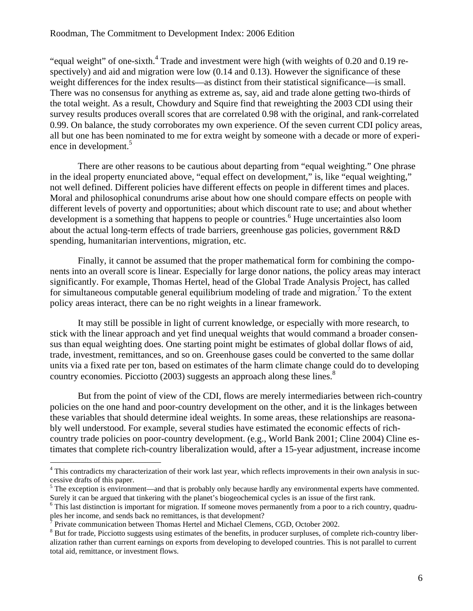#### Roodman, The Commitment to Development Index: 2006 Edition

"equal weight" of one-sixth.<sup>4</sup> Trade and investment were high (with weights of 0.20 and 0.19 respectively) and aid and migration were low  $(0.14 \text{ and } 0.13)$ . However the significance of these weight differences for the index results—as distinct from their statistical significance—is small. There was no consensus for anything as extreme as, say, aid and trade alone getting two-thirds of the total weight. As a result, Chowdury and Squire find that reweighting the 2003 CDI using their survey results produces overall scores that are correlated 0.98 with the original, and rank-correlated 0.99. On balance, the study corroborates my own experience. Of the seven current CDI policy areas, all but one has been nominated to me for extra weight by someone with a decade or more of experience in development.<sup>5</sup>

There are other reasons to be cautious about departing from "equal weighting." One phrase in the ideal property enunciated above, "equal effect on development," is, like "equal weighting," not well defined. Different policies have different effects on people in different times and places. Moral and philosophical conundrums arise about how one should compare effects on people with different levels of poverty and opportunities; about which discount rate to use; and about whether development is a something that happens to people or countries.<sup>6</sup> Huge uncertainties also loom about the actual long-term effects of trade barriers, greenhouse gas policies, government R&D spending, humanitarian interventions, migration, etc.

Finally, it cannot be assumed that the proper mathematical form for combining the components into an overall score is linear. Especially for large donor nations, the policy areas may interact significantly. For example, Thomas Hertel, head of the Global Trade Analysis Project, has called for simultaneous computable general equilibrium modeling of trade and migration.<sup>7</sup> To the extent policy areas interact, there can be no right weights in a linear framework.

It may still be possible in light of current knowledge, or especially with more research, to stick with the linear approach and yet find unequal weights that would command a broader consensus than equal weighting does. One starting point might be estimates of global dollar flows of aid, trade, investment, remittances, and so on. Greenhouse gases could be converted to the same dollar units via a fixed rate per ton, based on estimates of the harm climate change could do to developing country economies. Picciotto (2003) suggests an approach along these lines.<sup>8</sup>

But from the point of view of the CDI, flows are merely intermediaries between rich-country policies on the one hand and poor-country development on the other, and it is the linkages between these variables that should determine ideal weights. In some areas, these relationships are reasonably well understood. For example, several studies have estimated the economic effects of richcountry trade policies on poor-country development. (e.g., World Bank 2001; Cline 2004) Cline estimates that complete rich-country liberalization would, after a 15-year adjustment, increase income

<sup>&</sup>lt;sup>4</sup> This contradicts my characterization of their work last year, which reflects improvements in their own analysis in successive drafts of this paper.

<sup>&</sup>lt;sup>5</sup> The exception is environment—and that is probably only because hardly any environmental experts have commented. Surely it can be argued that tinkering with the planet's biogeochemical cycles is an issue of the first rank. 6

 $6$  This last distinction is important for migration. If someone moves permanently from a poor to a rich country, quadruples her income, and sends back no remittances, is that development?

 $^7$  Private communication between Thomas Hertel and Michael Clemens, CGD, October 2002.

 $8$  But for trade, Picciotto suggests using estimates of the benefits, in producer surpluses, of complete rich-country liberalization rather than current earnings on exports from developing to developed countries. This is not parallel to current total aid, remittance, or investment flows.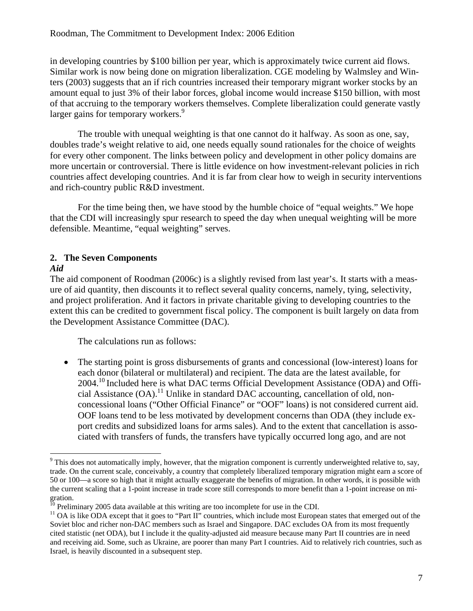in developing countries by \$100 billion per year, which is approximately twice current aid flows. Similar work is now being done on migration liberalization. CGE modeling by Walmsley and Winters (2003) suggests that an if rich countries increased their temporary migrant worker stocks by an amount equal to just 3% of their labor forces, global income would increase \$150 billion, with most of that accruing to the temporary workers themselves. Complete liberalization could generate vastly larger gains for temporary workers.<sup>9</sup>

The trouble with unequal weighting is that one cannot do it halfway. As soon as one, say, doubles trade's weight relative to aid, one needs equally sound rationales for the choice of weights for every other component. The links between policy and development in other policy domains are more uncertain or controversial. There is little evidence on how investment-relevant policies in rich countries affect developing countries. And it is far from clear how to weigh in security interventions and rich-country public R&D investment.

For the time being then, we have stood by the humble choice of "equal weights." We hope that the CDI will increasingly spur research to speed the day when unequal weighting will be more defensible. Meantime, "equal weighting" serves.

# **2. The Seven Components**

#### *Aid*

 $\overline{a}$ 

The aid component of Roodman (2006c) is a slightly revised from last year's. It starts with a measure of aid quantity, then discounts it to reflect several quality concerns, namely, tying, selectivity, and project proliferation. And it factors in private charitable giving to developing countries to the extent this can be credited to government fiscal policy. The component is built largely on data from the Development Assistance Committee (DAC).

The calculations run as follows:

• The starting point is gross disbursements of grants and concessional (low-interest) loans for each donor (bilateral or multilateral) and recipient. The data are the latest available, for 2004.10 Included here is what DAC terms Official Development Assistance (ODA) and Official Assistance  $(OA)$ <sup>11</sup> Unlike in standard DAC accounting, cancellation of old, nonconcessional loans ("Other Official Finance" or "OOF" loans) is not considered current aid. OOF loans tend to be less motivated by development concerns than ODA (they include export credits and subsidized loans for arms sales). And to the extent that cancellation is associated with transfers of funds, the transfers have typically occurred long ago, and are not

 $9$  This does not automatically imply, however, that the migration component is currently underweighted relative to, say, trade. On the current scale, conceivably, a country that completely liberalized temporary migration might earn a score of 50 or 100—a score so high that it might actually exaggerate the benefits of migration. In other words, it is possible with the current scaling that a 1-point increase in trade score still corresponds to more benefit than a 1-point increase on migration.<br><sup>10</sup> Preliminary 2005 data available at this writing are too incomplete for use in the CDI.

<sup>&</sup>lt;sup>11</sup> OA is like ODA except that it goes to "Part II" countries, which include most European states that emerged out of the Soviet bloc and richer non-DAC members such as Israel and Singapore. DAC excludes OA from its most frequently cited statistic (net ODA), but I include it the quality-adjusted aid measure because many Part II countries are in need and receiving aid. Some, such as Ukraine, are poorer than many Part I countries. Aid to relatively rich countries, such as Israel, is heavily discounted in a subsequent step.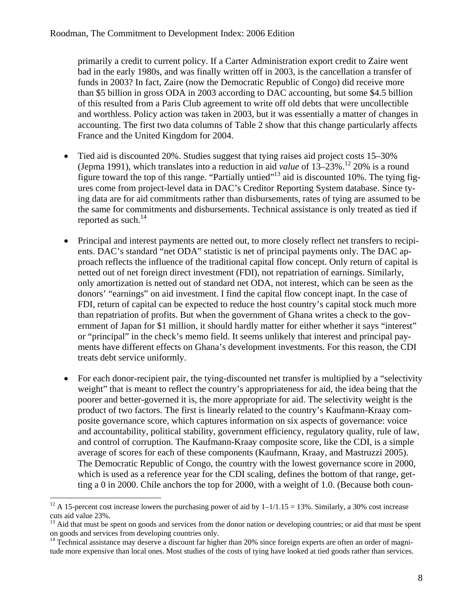primarily a credit to current policy. If a Carter Administration export credit to Zaire went bad in the early 1980s, and was finally written off in 2003, is the cancellation a transfer of funds in 2003? In fact, Zaire (now the Democratic Republic of Congo) did receive more than \$5 billion in gross ODA in 2003 according to DAC accounting, but some \$4.5 billion of this resulted from a Paris Club agreement to write off old debts that were uncollectible and worthless. Policy action was taken in 2003, but it was essentially a matter of changes in accounting. The first two data columns of Table 2 show that this change particularly affects France and the United Kingdom for 2004.

- Tied aid is discounted 20%. Studies suggest that tying raises aid project costs 15–30% (Jepma 1991), which translates into a reduction in aid *value* of  $13-23\%$ <sup>12</sup> 20% is a round figure toward the top of this range. "Partially untied"<sup>13</sup> aid is discounted 10%. The tying figures come from project-level data in DAC's Creditor Reporting System database. Since tying data are for aid commitments rather than disbursements, rates of tying are assumed to be the same for commitments and disbursements. Technical assistance is only treated as tied if reported as such. $^{14}$
- Principal and interest payments are netted out, to more closely reflect net transfers to recipients. DAC's standard "net ODA" statistic is net of principal payments only. The DAC approach reflects the influence of the traditional capital flow concept. Only return of capital is netted out of net foreign direct investment (FDI), not repatriation of earnings. Similarly, only amortization is netted out of standard net ODA, not interest, which can be seen as the donors' "earnings" on aid investment. I find the capital flow concept inapt. In the case of FDI, return of capital can be expected to reduce the host country's capital stock much more than repatriation of profits. But when the government of Ghana writes a check to the government of Japan for \$1 million, it should hardly matter for either whether it says "interest" or "principal" in the check's memo field. It seems unlikely that interest and principal payments have different effects on Ghana's development investments. For this reason, the CDI treats debt service uniformly.
- For each donor-recipient pair, the tying-discounted net transfer is multiplied by a "selectivity" weight" that is meant to reflect the country's appropriateness for aid, the idea being that the poorer and better-governed it is, the more appropriate for aid. The selectivity weight is the product of two factors. The first is linearly related to the country's Kaufmann-Kraay composite governance score, which captures information on six aspects of governance: voice and accountability, political stability, government efficiency, regulatory quality, rule of law, and control of corruption. The Kaufmann-Kraay composite score, like the CDI, is a simple average of scores for each of these components (Kaufmann, Kraay, and Mastruzzi 2005). The Democratic Republic of Congo, the country with the lowest governance score in 2000, which is used as a reference year for the CDI scaling, defines the bottom of that range, getting a 0 in 2000. Chile anchors the top for 2000, with a weight of 1.0. (Because both coun-

<sup>&</sup>lt;sup>12</sup> A 15-percent cost increase lowers the purchasing power of aid by  $1-1/1.15 = 13\%$ . Similarly, a 30% cost increase cuts aid value 23%.

<sup>&</sup>lt;sup>13</sup> Aid that must be spent on goods and services from the donor nation *or* developing countries; or aid that must be spent on goods and services from developing countries only.

<sup>&</sup>lt;sup>14</sup> Technical assistance may deserve a discount far higher than 20% since foreign experts are often an order of magnitude more expensive than local ones. Most studies of the costs of tying have looked at tied goods rather than services.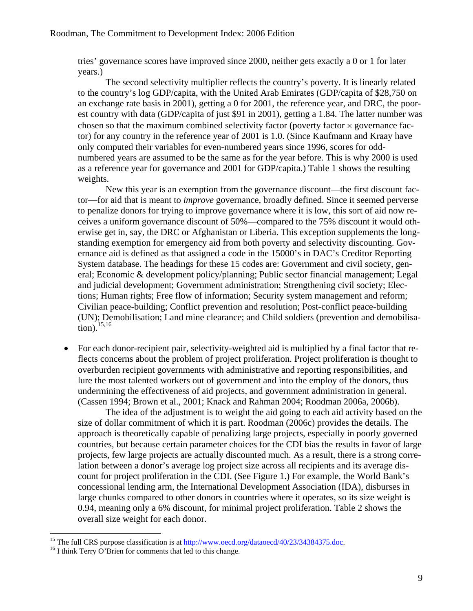tries' governance scores have improved since 2000, neither gets exactly a 0 or 1 for later years.)

 The second selectivity multiplier reflects the country's poverty. It is linearly related to the country's log GDP/capita, with the United Arab Emirates (GDP/capita of \$28,750 on an exchange rate basis in 2001), getting a 0 for 2001, the reference year, and DRC, the poorest country with data (GDP/capita of just \$91 in 2001), getting a 1.84. The latter number was chosen so that the maximum combined selectivity factor (poverty factor  $\times$  governance factor) for any country in the reference year of 2001 is 1.0. (Since Kaufmann and Kraay have only computed their variables for even-numbered years since 1996, scores for oddnumbered years are assumed to be the same as for the year before. This is why 2000 is used as a reference year for governance and 2001 for GDP/capita.) Table 1 shows the resulting weights.

 New this year is an exemption from the governance discount—the first discount factor—for aid that is meant to *improve* governance, broadly defined. Since it seemed perverse to penalize donors for trying to improve governance where it is low, this sort of aid now receives a uniform governance discount of 50%—compared to the 75% discount it would otherwise get in, say, the DRC or Afghanistan or Liberia. This exception supplements the longstanding exemption for emergency aid from both poverty and selectivity discounting. Governance aid is defined as that assigned a code in the 15000's in DAC's Creditor Reporting System database. The headings for these 15 codes are: Government and civil society, general; Economic & development policy/planning; Public sector financial management; Legal and judicial development; Government administration; Strengthening civil society; Elections; Human rights; Free flow of information; Security system management and reform; Civilian peace-building; Conflict prevention and resolution; Post-conflict peace-building (UN); Demobilisation; Land mine clearance; and Child soldiers (prevention and demobilisation). $15,16$ 

• For each donor-recipient pair, selectivity-weighted aid is multiplied by a final factor that reflects concerns about the problem of project proliferation. Project proliferation is thought to overburden recipient governments with administrative and reporting responsibilities, and lure the most talented workers out of government and into the employ of the donors, thus undermining the effectiveness of aid projects, and government administration in general. (Cassen 1994; Brown et al., 2001; Knack and Rahman 2004; Roodman 2006a, 2006b).

 The idea of the adjustment is to weight the aid going to each aid activity based on the size of dollar commitment of which it is part. Roodman (2006c) provides the details. The approach is theoretically capable of penalizing large projects, especially in poorly governed countries, but because certain parameter choices for the CDI bias the results in favor of large projects, few large projects are actually discounted much. As a result, there is a strong correlation between a donor's average log project size across all recipients and its average discount for project proliferation in the CDI. (See Figure 1.) For example, the World Bank's concessional lending arm, the International Development Association (IDA), disburses in large chunks compared to other donors in countries where it operates, so its size weight is 0.94, meaning only a 6% discount, for minimal project proliferation. Table 2 shows the overall size weight for each donor.

<sup>&</sup>lt;sup>15</sup> The full CRS purpose classification is at  $\frac{http://www.oecd.org/dataoecd/40/23/34384375.doc}{16}$ . I think Terry O'Brien for comments that led to this change.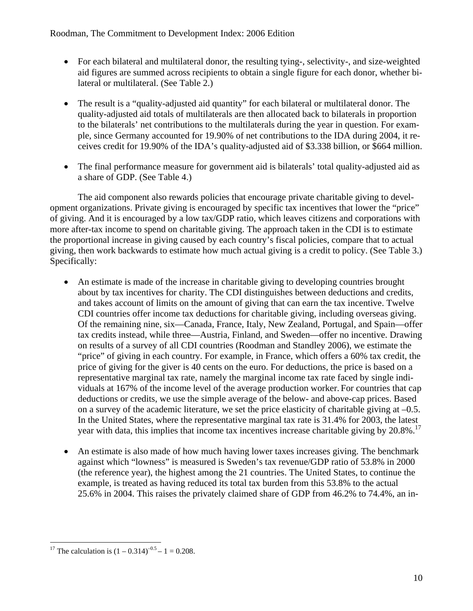- For each bilateral and multilateral donor, the resulting tying-, selectivity-, and size-weighted aid figures are summed across recipients to obtain a single figure for each donor, whether bilateral or multilateral. (See Table 2.)
- The result is a "quality-adjusted aid quantity" for each bilateral or multilateral donor. The quality-adjusted aid totals of multilaterals are then allocated back to bilaterals in proportion to the bilaterals' net contributions to the multilaterals during the year in question. For example, since Germany accounted for 19.90% of net contributions to the IDA during 2004, it receives credit for 19.90% of the IDA's quality-adjusted aid of \$3.338 billion, or \$664 million.
- The final performance measure for government aid is bilaterals' total quality-adjusted aid as a share of GDP. (See Table 4.)

The aid component also rewards policies that encourage private charitable giving to development organizations. Private giving is encouraged by specific tax incentives that lower the "price" of giving. And it is encouraged by a low tax/GDP ratio, which leaves citizens and corporations with more after-tax income to spend on charitable giving. The approach taken in the CDI is to estimate the proportional increase in giving caused by each country's fiscal policies, compare that to actual giving, then work backwards to estimate how much actual giving is a credit to policy. (See Table 3.) Specifically:

- An estimate is made of the increase in charitable giving to developing countries brought about by tax incentives for charity. The CDI distinguishes between deductions and credits, and takes account of limits on the amount of giving that can earn the tax incentive. Twelve CDI countries offer income tax deductions for charitable giving, including overseas giving. Of the remaining nine, six—Canada, France, Italy, New Zealand, Portugal, and Spain—offer tax credits instead, while three—Austria, Finland, and Sweden—offer no incentive. Drawing on results of a survey of all CDI countries (Roodman and Standley 2006), we estimate the "price" of giving in each country. For example, in France, which offers a 60% tax credit, the price of giving for the giver is 40 cents on the euro. For deductions, the price is based on a representative marginal tax rate, namely the marginal income tax rate faced by single individuals at 167% of the income level of the average production worker. For countries that cap deductions or credits, we use the simple average of the below- and above-cap prices. Based on a survey of the academic literature, we set the price elasticity of charitable giving at –0.5. In the United States, where the representative marginal tax rate is 31.4% for 2003, the latest year with data, this implies that income tax incentives increase charitable giving by 20.8%.<sup>17</sup>
- An estimate is also made of how much having lower taxes increases giving. The benchmark against which "lowness" is measured is Sweden's tax revenue/GDP ratio of 53.8% in 2000 (the reference year), the highest among the 21 countries. The United States, to continue the example, is treated as having reduced its total tax burden from this 53.8% to the actual 25.6% in 2004. This raises the privately claimed share of GDP from 46.2% to 74.4%, an in-

 $\overline{a}$ <sup>17</sup> The calculation is  $(1 - 0.314)^{-0.5} - 1 = 0.208$ .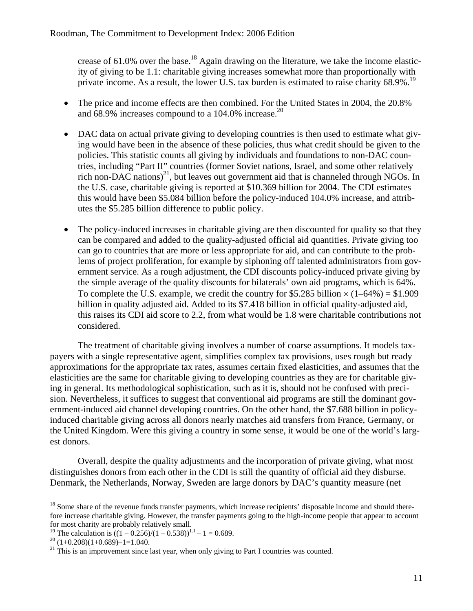crease of  $61.0\%$  over the base.<sup>18</sup> Again drawing on the literature, we take the income elasticity of giving to be 1.1: charitable giving increases somewhat more than proportionally with private income. As a result, the lower U.S. tax burden is estimated to raise charity 68.9%.<sup>19</sup>

- The price and income effects are then combined. For the United States in 2004, the 20.8% and 68.9% increases compound to a 104.0% increase.<sup>20</sup>
- DAC data on actual private giving to developing countries is then used to estimate what giving would have been in the absence of these policies, thus what credit should be given to the policies. This statistic counts all giving by individuals and foundations to non-DAC countries, including "Part II" countries (former Soviet nations, Israel, and some other relatively rich non-DAC nations)<sup>21</sup>, but leaves out government aid that is channeled through NGOs. In the U.S. case, charitable giving is reported at \$10.369 billion for 2004. The CDI estimates this would have been \$5.084 billion before the policy-induced 104.0% increase, and attributes the \$5.285 billion difference to public policy.
- The policy-induced increases in charitable giving are then discounted for quality so that they can be compared and added to the quality-adjusted official aid quantities. Private giving too can go to countries that are more or less appropriate for aid, and can contribute to the problems of project proliferation, for example by siphoning off talented administrators from government service. As a rough adjustment, the CDI discounts policy-induced private giving by the simple average of the quality discounts for bilaterals' own aid programs, which is 64%. To complete the U.S. example, we credit the country for \$5.285 billion  $\times (1-64\%) = $1.909$ billion in quality adjusted aid. Added to its \$7.418 billion in official quality-adjusted aid, this raises its CDI aid score to 2.2, from what would be 1.8 were charitable contributions not considered.

The treatment of charitable giving involves a number of coarse assumptions. It models taxpayers with a single representative agent, simplifies complex tax provisions, uses rough but ready approximations for the appropriate tax rates, assumes certain fixed elasticities, and assumes that the elasticities are the same for charitable giving to developing countries as they are for charitable giving in general. Its methodological sophistication, such as it is, should not be confused with precision. Nevertheless, it suffices to suggest that conventional aid programs are still the dominant government-induced aid channel developing countries. On the other hand, the \$7.688 billion in policyinduced charitable giving across all donors nearly matches aid transfers from France, Germany, or the United Kingdom. Were this giving a country in some sense, it would be one of the world's largest donors.

Overall, despite the quality adjustments and the incorporation of private giving, what most distinguishes donors from each other in the CDI is still the quantity of official aid they disburse. Denmark, the Netherlands, Norway, Sweden are large donors by DAC's quantity measure (net

 $\overline{a}$  $18$  Some share of the revenue funds transfer payments, which increase recipients' disposable income and should therefore increase charitable giving. However, the transfer payments going to the high-income people that appear to account for most charity are probably relatively small.

<sup>&</sup>lt;sup>19</sup> The calculation is  $((1 – 0.256)/(1 – 0.538))^{1.1} – 1 = 0.689$ .<br><sup>20</sup> (1+0.208)(1+0.689)–1=1.040.

 $21$  This is an improvement since last year, when only giving to Part I countries was counted.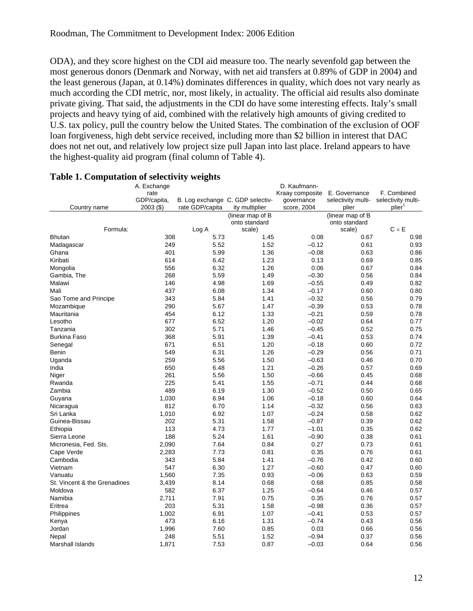ODA), and they score highest on the CDI aid measure too. The nearly sevenfold gap between the most generous donors (Denmark and Norway, with net aid transfers at 0.89% of GDP in 2004) and the least generous (Japan, at 0.14%) dominates differences in quality, which does not vary nearly as much according the CDI metric, nor, most likely, in actuality. The official aid results also dominate private giving. That said, the adjustments in the CDI do have some interesting effects. Italy's small projects and heavy tying of aid, combined with the relatively high amounts of giving credited to U.S. tax policy, pull the country below the United States. The combination of the exclusion of OOF loan forgiveness, high debt service received, including more than \$2 billion in interest that DAC does not net out, and relatively low project size pull Japan into last place. Ireland appears to have the highest-quality aid program (final column of Table 4).

|                              | A. Exchange |                                  |                  | D. Kaufmann-    |                    |                    |
|------------------------------|-------------|----------------------------------|------------------|-----------------|--------------------|--------------------|
|                              | rate        |                                  |                  | Kraay composite | E. Governance      | F. Combined        |
|                              | GDP/capita, | B. Log exchange C. GDP selectiv- |                  | qovernance      | selectivity multi- | selectivity multi- |
| Country name                 | $2003($ \$) | rate GDP/capita                  | ity multiplier   | score, 2004     | plier              | plier              |
|                              |             |                                  | (linear map of B |                 | (linear map of B   |                    |
|                              |             |                                  | onto standard    |                 | onto standard      |                    |
| Formula:                     |             | Log A                            | scale)           |                 | scale)             | $C \times E$       |
| <b>Bhutan</b>                | 308         | 5.73                             | 1.45             | 0.08            | 0.67               | 0.98               |
| Madagascar                   | 249         | 5.52                             | 1.52             | $-0.12$         | 0.61               | 0.93               |
| Ghana                        | 401         | 5.99                             | 1.36             | $-0.08$         | 0.63               | 0.86               |
| Kiribati                     | 614         | 6.42                             | 1.23             | 0.13            | 0.69               | 0.85               |
| Mongolia                     | 556         | 6.32                             | 1.26             | 0.06            | 0.67               | 0.84               |
| Gambia, The                  | 268         | 5.59                             | 1.49             | $-0.30$         | 0.56               | 0.84               |
| Malawi                       | 146         | 4.98                             | 1.69             | $-0.55$         | 0.49               | 0.82               |
| Mali                         | 437         | 6.08                             | 1.34             | $-0.17$         | 0.60               | 0.80               |
| Sao Tome and Principe        | 343         | 5.84                             | 1.41             | $-0.32$         | 0.56               | 0.79               |
| Mozambique                   | 290         | 5.67                             | 1.47             | $-0.39$         | 0.53               | 0.78               |
| Mauritania                   | 454         | 6.12                             | 1.33             | $-0.21$         | 0.59               | 0.78               |
| Lesotho                      | 677         | 6.52                             | 1.20             | $-0.02$         | 0.64               | 0.77               |
| Tanzania                     | 302         | 5.71                             | 1.46             | $-0.45$         | 0.52               | 0.75               |
| <b>Burkina Faso</b>          | 368         | 5.91                             | 1.39             | $-0.41$         | 0.53               | 0.74               |
| Senegal                      | 671         | 6.51                             | 1.20             | $-0.18$         | 0.60               | 0.72               |
| Benin                        | 549         | 6.31                             | 1.26             | $-0.29$         | 0.56               | 0.71               |
| Uganda                       | 259         | 5.56                             | 1.50             | $-0.63$         | 0.46               | 0.70               |
| India                        | 650         | 6.48                             | 1.21             | $-0.26$         | 0.57               | 0.69               |
| Niger                        | 261         | 5.56                             | 1.50             | $-0.66$         | 0.45               | 0.68               |
| Rwanda                       | 225         | 5.41                             | 1.55             | $-0.71$         | 0.44               | 0.68               |
| Zambia                       | 489         | 6.19                             | 1.30             | $-0.52$         | 0.50               | 0.65               |
| Guyana                       | 1,030       | 6.94                             | 1.06             | $-0.18$         | 0.60               | 0.64               |
| Nicaragua                    | 812         | 6.70                             | 1.14             | $-0.32$         | 0.56               | 0.63               |
| Sri Lanka                    | 1,010       | 6.92                             | 1.07             | $-0.24$         | 0.58               | 0.62               |
| Guinea-Bissau                | 202         | 5.31                             | 1.58             | $-0.87$         | 0.39               | 0.62               |
| Ethiopia                     | 113         | 4.73                             | 1.77             | $-1.01$         | 0.35               | 0.62               |
| Sierra Leone                 | 188         | 5.24                             | 1.61             | $-0.90$         | 0.38               | 0.61               |
| Micronesia, Fed. Sts.        | 2,090       | 7.64                             | 0.84             | 0.27            | 0.73               | 0.61               |
| Cape Verde                   | 2,283       | 7.73                             | 0.81             | 0.35            | 0.76               | 0.61               |
| Cambodia                     | 343         | 5.84                             | 1.41             | $-0.76$         | 0.42               | 0.60               |
| Vietnam                      | 547         | 6.30                             | 1.27             | $-0.60$         | 0.47               | 0.60               |
| Vanuatu                      | 1,560       | 7.35                             | 0.93             | $-0.06$         | 0.63               | 0.59               |
| St. Vincent & the Grenadines | 3,439       | 8.14                             | 0.68             | 0.68            | 0.85               | 0.58               |
| Moldova                      | 582         | 6.37                             | 1.25             | $-0.64$         | 0.46               | 0.57               |
| Namibia                      | 2,711       | 7.91                             | 0.75             | 0.35            | 0.76               | 0.57               |
| Eritrea                      | 203         | 5.31                             | 1.58             | $-0.98$         | 0.36               | 0.57               |
| Philippines                  | 1,002       | 6.91                             | 1.07             | $-0.41$         | 0.53               | 0.57               |
| Kenya                        | 473         | 6.16                             | 1.31             | $-0.74$         | 0.43               | 0.56               |
| Jordan                       | 1,996       | 7.60                             | 0.85             | 0.03            | 0.66               | 0.56               |
| Nepal                        | 248         | 5.51                             | 1.52             | $-0.94$         | 0.37               | 0.56               |
| Marshall Islands             | 1.871       | 7.53                             | 0.87             | $-0.03$         | 0.64               | 0.56               |

# **Table 1. Computation of selectivity weights**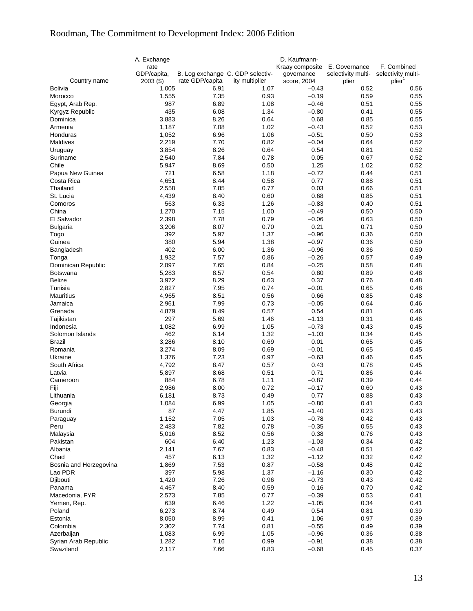# Roodman, The Commitment to Development Index: 2006 Edition

|                        | A. Exchange<br>rate        |                                                     |                | D. Kaufmann-<br>Kraay composite | E. Governance               | F. Combined                              |
|------------------------|----------------------------|-----------------------------------------------------|----------------|---------------------------------|-----------------------------|------------------------------------------|
| Country name           | GDP/capita,<br>$2003($ \$) | B. Log exchange C. GDP selectiv-<br>rate GDP/capita | ity multiplier | governance<br>score, 2004       | selectivity multi-<br>plier | selectivity multi-<br>plier <sup>1</sup> |
| Bolivia                | 1,005                      | 6.91                                                | 1.07           | $-0.43$                         | 0.52                        | 0.56                                     |
| Morocco                | 1,555                      | 7.35                                                | 0.93           | $-0.19$                         | 0.59                        | 0.55                                     |
| Egypt, Arab Rep.       | 987                        | 6.89                                                | 1.08           | $-0.46$                         | 0.51                        | 0.55                                     |
| Kyrgyz Republic        | 435                        | 6.08                                                | 1.34           | $-0.80$                         | 0.41                        | 0.55                                     |
| Dominica               | 3,883                      | 8.26                                                | 0.64           | 0.68                            | 0.85                        | 0.55                                     |
| Armenia                | 1,187                      | 7.08                                                | 1.02           | $-0.43$                         | 0.52                        | 0.53                                     |
| Honduras               | 1,052                      | 6.96                                                | 1.06           | $-0.51$                         | 0.50                        | 0.53                                     |
| Maldives               | 2,219                      | 7.70                                                | 0.82           | $-0.04$                         | 0.64                        | 0.52                                     |
| Uruguay                | 3,854                      | 8.26                                                | 0.64           | 0.54                            | 0.81                        | 0.52                                     |
| Suriname               | 2,540                      | 7.84                                                | 0.78           | 0.05                            | 0.67                        | 0.52                                     |
| Chile                  | 5,947                      | 8.69                                                | 0.50           | 1.25                            | 1.02                        | 0.52                                     |
| Papua New Guinea       | 721                        | 6.58                                                | 1.18           | $-0.72$                         | 0.44                        | 0.51                                     |
| Costa Rica             | 4,651                      | 8.44                                                | 0.58           | 0.77                            | 0.88                        | 0.51                                     |
| Thailand               | 2,558                      | 7.85                                                | 0.77           | 0.03                            | 0.66                        | 0.51                                     |
| St. Lucia              | 4,439                      | 8.40                                                | 0.60           | 0.68                            | 0.85                        | 0.51                                     |
| Comoros                | 563                        | 6.33                                                | 1.26           | $-0.83$                         | 0.40                        | 0.51                                     |
| China                  | 1,270                      | 7.15                                                | 1.00           | $-0.49$                         | 0.50                        | 0.50                                     |
| El Salvador            | 2,398                      | 7.78                                                | 0.79           | $-0.06$                         | 0.63                        | 0.50                                     |
| <b>Bulgaria</b>        | 3,206                      | 8.07                                                | 0.70           | 0.21                            | 0.71                        | 0.50                                     |
| Togo                   | 392                        | 5.97                                                | 1.37           | $-0.96$                         | 0.36                        | 0.50                                     |
| Guinea                 | 380                        | 5.94                                                | 1.38           | $-0.97$                         | 0.36                        | 0.50                                     |
| Bangladesh             | 402                        | 6.00                                                | 1.36           | $-0.96$                         | 0.36                        | 0.50                                     |
| Tonga                  | 1,932                      | 7.57                                                | 0.86           | $-0.26$                         | 0.57                        | 0.49                                     |
| Dominican Republic     | 2,097                      | 7.65                                                | 0.84           | $-0.25$                         | 0.58                        | 0.48                                     |
| <b>Botswana</b>        | 5,283                      | 8.57                                                | 0.54           | 0.80                            | 0.89                        | 0.48                                     |
| <b>Belize</b>          | 3,972                      | 8.29                                                | 0.63           | 0.37                            | 0.76                        | 0.48                                     |
| Tunisia                | 2,827                      | 7.95                                                | 0.74           | $-0.01$                         | 0.65                        | 0.48                                     |
| Mauritius              | 4,965                      | 8.51                                                | 0.56           | 0.66                            | 0.85                        | 0.48                                     |
| Jamaica                | 2,961                      | 7.99                                                | 0.73           | $-0.05$                         | 0.64                        | 0.46                                     |
| Grenada                | 4,879                      | 8.49                                                | 0.57           | 0.54                            | 0.81                        | 0.46                                     |
| Tajikistan             | 297                        | 5.69                                                | 1.46           | $-1.13$                         | 0.31                        | 0.46                                     |
| Indonesia              | 1,082                      | 6.99                                                | 1.05           | $-0.73$                         | 0.43                        | 0.45                                     |
| Solomon Islands        | 462                        | 6.14                                                | 1.32           | $-1.03$                         | 0.34                        | 0.45                                     |
| Brazil                 | 3,286                      | 8.10                                                | 0.69           | 0.01                            | 0.65                        | 0.45                                     |
| Romania                | 3,274                      | 8.09                                                | 0.69           | $-0.01$                         | 0.65                        | 0.45                                     |
| Ukraine                | 1,376                      | 7.23                                                | 0.97           | $-0.63$                         | 0.46                        | 0.45                                     |
| South Africa           | 4,792                      | 8.47                                                | 0.57           | 0.43                            | 0.78                        | 0.45<br>0.44                             |
| Latvia<br>Cameroon     | 5,897<br>884               | 8.68<br>6.78                                        | 0.51<br>1.11   | 0.71<br>$-0.87$                 | 0.86<br>0.39                | 0.44                                     |
|                        | 2,986                      | 8.00                                                | 0.72           | $-0.17$                         | 0.60                        | 0.43                                     |
| Fiji<br>Lithuania      | 6,181                      | 8.73                                                | 0.49           | 0.77                            | 0.88                        | 0.43                                     |
| Georgia                | 1,084                      | 6.99                                                | 1.05           | $-0.80$                         | 0.41                        | 0.43                                     |
| Burundi                | 87                         | 4.47                                                | 1.85           | $-1.40$                         | 0.23                        | 0.43                                     |
| Paraguay               | 1,152                      | 7.05                                                | 1.03           | $-0.78$                         | 0.42                        | 0.43                                     |
| Peru                   | 2,483                      | 7.82                                                | 0.78           | $-0.35$                         | 0.55                        | 0.43                                     |
| Malaysia               | 5,016                      | 8.52                                                | 0.56           | 0.38                            | 0.76                        | 0.43                                     |
| Pakistan               | 604                        | 6.40                                                | 1.23           | $-1.03$                         | 0.34                        | 0.42                                     |
| Albania                | 2,141                      | 7.67                                                | 0.83           | $-0.48$                         | 0.51                        | 0.42                                     |
| Chad                   | 457                        | 6.13                                                | 1.32           | $-1.12$                         | 0.32                        | 0.42                                     |
| Bosnia and Herzegovina | 1,869                      | 7.53                                                | 0.87           | $-0.58$                         | 0.48                        | 0.42                                     |
| Lao PDR                | 397                        | 5.98                                                | 1.37           | $-1.16$                         | 0.30                        | 0.42                                     |
| Djibouti               | 1,420                      | 7.26                                                | 0.96           | $-0.73$                         | 0.43                        | 0.42                                     |
| Panama                 | 4,467                      | 8.40                                                | 0.59           | 0.16                            | 0.70                        | 0.42                                     |
| Macedonia, FYR         | 2,573                      | 7.85                                                | 0.77           | $-0.39$                         | 0.53                        | 0.41                                     |
| Yemen, Rep.            | 639                        | 6.46                                                | 1.22           | $-1.05$                         | 0.34                        | 0.41                                     |
| Poland                 | 6,273                      | 8.74                                                | 0.49           | 0.54                            | 0.81                        | 0.39                                     |
| Estonia                | 8,050                      | 8.99                                                | 0.41           | 1.06                            | 0.97                        | 0.39                                     |
| Colombia               | 2,302                      | 7.74                                                | 0.81           | $-0.55$                         | 0.49                        | 0.39                                     |
| Azerbaijan             | 1,083                      | 6.99                                                | 1.05           | $-0.96$                         | 0.36                        | 0.38                                     |
| Syrian Arab Republic   | 1,282                      | 7.16                                                | 0.99           | $-0.91$                         | 0.38                        | 0.38                                     |
| Swaziland              | 2,117                      | 7.66                                                | 0.83           | $-0.68$                         | 0.45                        | 0.37                                     |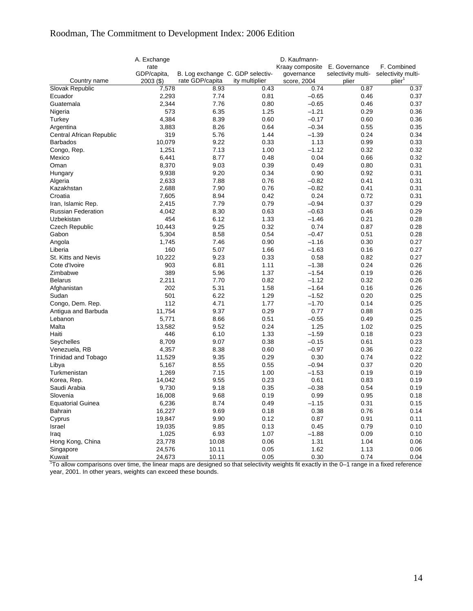# Roodman, The Commitment to Development Index: 2006 Edition

|                                                                                                                                            | A. Exchange<br>rate        |                                                     |                | D. Kaufmann-<br>Kraay composite E. Governance |                             | F. Combined                              |
|--------------------------------------------------------------------------------------------------------------------------------------------|----------------------------|-----------------------------------------------------|----------------|-----------------------------------------------|-----------------------------|------------------------------------------|
| Country name                                                                                                                               | GDP/capita,<br>$2003($ \$) | B. Log exchange C. GDP selectiv-<br>rate GDP/capita | ity multiplier | governance<br>score, 2004                     | selectivity multi-<br>plier | selectivity multi-<br>plier <sup>1</sup> |
| Slovak Republic                                                                                                                            | 7,578                      | 8.93                                                | 0.43           | 0.74                                          | 0.87                        | 0.37                                     |
| Ecuador                                                                                                                                    | 2,293                      | 7.74                                                | 0.81           | $-0.65$                                       | 0.46                        | 0.37                                     |
| Guatemala                                                                                                                                  | 2,344                      | 7.76                                                | 0.80           | $-0.65$                                       | 0.46                        | 0.37                                     |
| Nigeria                                                                                                                                    | 573                        | 6.35                                                | 1.25           | $-1.21$                                       | 0.29                        | 0.36                                     |
| Turkey                                                                                                                                     | 4,384                      | 8.39                                                | 0.60           | $-0.17$                                       | 0.60                        | 0.36                                     |
| Argentina                                                                                                                                  | 3,883                      | 8.26                                                | 0.64           | $-0.34$                                       | 0.55                        | 0.35                                     |
| Central African Republic                                                                                                                   | 319                        | 5.76                                                | 1.44           | $-1.39$                                       | 0.24                        | 0.34                                     |
| <b>Barbados</b>                                                                                                                            | 10,079                     | 9.22                                                | 0.33           | 1.13                                          | 0.99                        | 0.33                                     |
| Congo, Rep.                                                                                                                                | 1,251                      | 7.13                                                | 1.00           | $-1.12$                                       | 0.32                        | 0.32                                     |
| Mexico                                                                                                                                     | 6,441                      | 8.77                                                | 0.48           | 0.04                                          | 0.66                        | 0.32                                     |
| Oman                                                                                                                                       | 8,370                      | 9.03                                                | 0.39           | 0.49                                          | 0.80                        | 0.31                                     |
| Hungary                                                                                                                                    | 9,938                      | 9.20                                                | 0.34           | 0.90                                          | 0.92                        | 0.31                                     |
| Algeria                                                                                                                                    | 2,633                      | 7.88                                                | 0.76           | $-0.82$                                       | 0.41                        | 0.31                                     |
| Kazakhstan                                                                                                                                 | 2,688                      | 7.90                                                | 0.76           | $-0.82$                                       | 0.41                        | 0.31                                     |
| Croatia                                                                                                                                    | 7,605                      | 8.94                                                | 0.42           | 0.24                                          | 0.72                        | 0.31                                     |
| Iran, Islamic Rep.                                                                                                                         | 2,415                      | 7.79                                                | 0.79           | $-0.94$                                       | 0.37                        | 0.29                                     |
| <b>Russian Federation</b>                                                                                                                  | 4,042                      | 8.30                                                | 0.63           | $-0.63$                                       | 0.46                        | 0.29                                     |
| Uzbekistan                                                                                                                                 | 454                        | 6.12                                                | 1.33           | $-1.46$                                       | 0.21                        | 0.28                                     |
|                                                                                                                                            |                            |                                                     |                | 0.74                                          |                             |                                          |
| <b>Czech Republic</b>                                                                                                                      | 10,443                     | 9.25<br>8.58                                        | 0.32           | $-0.47$                                       | 0.87                        | 0.28                                     |
| Gabon                                                                                                                                      | 5,304                      |                                                     | 0.54           | $-1.16$                                       | 0.51                        | 0.28<br>0.27                             |
| Angola                                                                                                                                     | 1,745<br>160               | 7.46                                                | 0.90<br>1.66   | $-1.63$                                       | 0.30                        |                                          |
| Liberia                                                                                                                                    |                            | 5.07                                                |                |                                               | 0.16                        | 0.27                                     |
| St. Kitts and Nevis                                                                                                                        | 10,222                     | 9.23                                                | 0.33           | 0.58                                          | 0.82                        | 0.27                                     |
| Cote d'Ivoire                                                                                                                              | 903                        | 6.81                                                | 1.11           | $-1.38$                                       | 0.24                        | 0.26                                     |
| Zimbabwe                                                                                                                                   | 389                        | 5.96                                                | 1.37           | $-1.54$                                       | 0.19                        | 0.26                                     |
| <b>Belarus</b>                                                                                                                             | 2,211                      | 7.70                                                | 0.82           | $-1.12$                                       | 0.32                        | 0.26                                     |
| Afghanistan                                                                                                                                | 202                        | 5.31                                                | 1.58           | $-1.64$                                       | 0.16                        | 0.26                                     |
| Sudan                                                                                                                                      | 501                        | 6.22                                                | 1.29           | $-1.52$                                       | 0.20                        | 0.25                                     |
| Congo, Dem. Rep.                                                                                                                           | 112                        | 4.71                                                | 1.77           | $-1.70$                                       | 0.14                        | 0.25                                     |
| Antigua and Barbuda                                                                                                                        | 11,754                     | 9.37                                                | 0.29           | 0.77                                          | 0.88                        | 0.25                                     |
| Lebanon                                                                                                                                    | 5,771                      | 8.66                                                | 0.51           | $-0.55$                                       | 0.49                        | 0.25                                     |
| Malta                                                                                                                                      | 13,582                     | 9.52                                                | 0.24           | 1.25                                          | 1.02                        | 0.25                                     |
| Haiti                                                                                                                                      | 446                        | 6.10                                                | 1.33           | $-1.59$                                       | 0.18                        | 0.23                                     |
| Seychelles                                                                                                                                 | 8,709                      | 9.07                                                | 0.38           | $-0.15$                                       | 0.61                        | 0.23                                     |
| Venezuela, RB                                                                                                                              | 4,357                      | 8.38                                                | 0.60           | $-0.97$                                       | 0.36                        | 0.22                                     |
| <b>Trinidad and Tobago</b>                                                                                                                 | 11,529                     | 9.35                                                | 0.29           | 0.30                                          | 0.74                        | 0.22                                     |
| Libya                                                                                                                                      | 5,167                      | 8.55                                                | 0.55           | $-0.94$                                       | 0.37                        | 0.20                                     |
| Turkmenistan                                                                                                                               | 1,269                      | 7.15                                                | 1.00           | $-1.53$                                       | 0.19                        | 0.19                                     |
| Korea, Rep.                                                                                                                                | 14,042                     | 9.55                                                | 0.23           | 0.61                                          | 0.83                        | 0.19                                     |
| Saudi Arabia                                                                                                                               | 9,730                      | 9.18                                                | 0.35           | $-0.38$                                       | 0.54                        | 0.19                                     |
| Slovenia                                                                                                                                   | 16,008                     | 9.68                                                | 0.19           | 0.99                                          | 0.95                        | 0.18                                     |
| <b>Equatorial Guinea</b>                                                                                                                   | 6,236                      | 8.74                                                | 0.49           | $-1.15$                                       | 0.31                        | 0.15                                     |
| Bahrain                                                                                                                                    | 16,227                     | 9.69                                                | 0.18           | 0.38                                          | 0.76                        | 0.14                                     |
| Cyprus                                                                                                                                     | 19,847                     | 9.90                                                | 0.12           | 0.87                                          | 0.91                        | 0.11                                     |
| Israel                                                                                                                                     | 19,035                     | 9.85                                                | 0.13           | 0.45                                          | 0.79                        | 0.10                                     |
| Iraq                                                                                                                                       | 1,025                      | 6.93                                                | 1.07           | $-1.88$                                       | 0.09                        | 0.10                                     |
| Hong Kong, China                                                                                                                           | 23,778                     | 10.08                                               | 0.06           | 1.31                                          | 1.04                        | 0.06                                     |
| Singapore                                                                                                                                  | 24,576                     | 10.11                                               | 0.05           | 1.62                                          | 1.13                        | 0.06                                     |
| Kuwait                                                                                                                                     | 24,673                     | 10.11                                               | 0.05           | 0.30                                          | 0.74                        | 0.04                                     |
| To allow comparisons over time, the linear maps are designed so that selectivity weights fit exactly in the 0-1 range in a fixed reference |                            |                                                     |                |                                               |                             |                                          |

year, 2001. In other years, weights can exceed these bounds.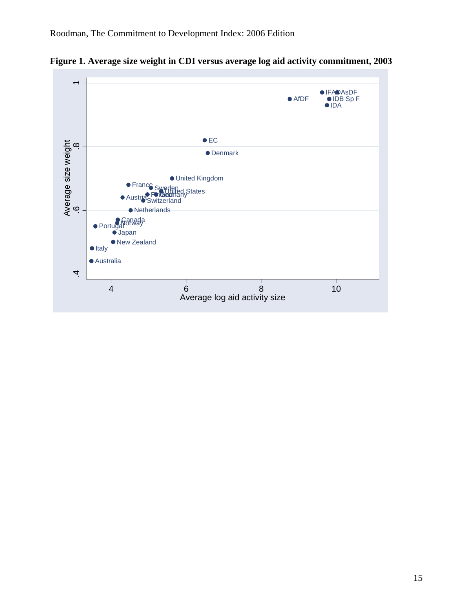

**Figure 1. Average size weight in CDI versus average log aid activity commitment, 2003**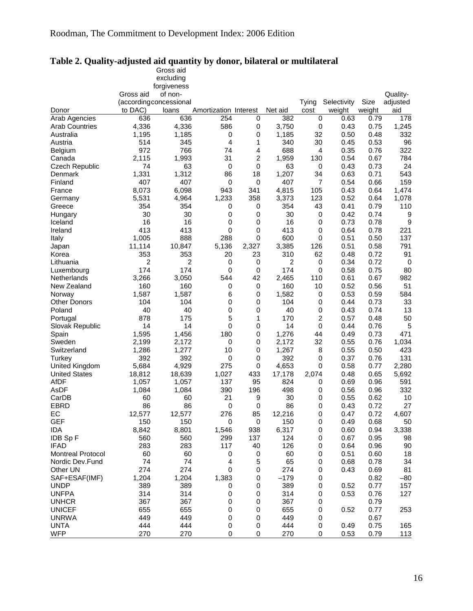|                          |                         | Gross aid   |                       |       |          |                |             |        |             |
|--------------------------|-------------------------|-------------|-----------------------|-------|----------|----------------|-------------|--------|-------------|
|                          |                         | excluding   |                       |       |          |                |             |        |             |
|                          |                         | forgiveness |                       |       |          |                |             |        |             |
|                          | Gross aid               | of non-     |                       |       |          |                |             |        | Quality-    |
|                          | (according concessional |             |                       |       |          | Tying          | Selectivity | Size   | adjusted    |
| Donor                    | to DAC)                 | loans       | Amortization Interest |       | Net aid  | cost           | weight      | weight | aid         |
| Arab Agencies            | 636                     | 636         | 254                   | 0     | 382      | 0              | 0.63        | 0.79   | 178         |
| <b>Arab Countries</b>    | 4,336                   | 4,336       | 586                   | 0     | 3,750    | 0              | 0.43        | 0.75   | 1,245       |
| Australia                | 1,195                   | 1,185       | 0                     | 0     | 1,185    | 32             | 0.50        | 0.48   | 332         |
| Austria                  | 514                     | 345         | $\overline{4}$        | 1     | 340      | 30             | 0.45        | 0.53   | 96          |
| <b>Belgium</b>           | 972                     | 766         | 74                    | 4     | 688      | 4              | 0.35        | 0.76   | 322         |
| Canada                   | 2,115                   | 1,993       | 31                    | 2     | 1,959    | 130            | 0.54        | 0.67   | 784         |
| <b>Czech Republic</b>    | 74                      | 63          | 0                     | 0     | 63       | 0              | 0.43        | 0.73   | 24          |
| Denmark                  | 1,331                   | 1,312       | 86                    | 18    | 1,207    | 34             | 0.63        | 0.71   | 543         |
| Finland                  | 407                     | 407         | 0                     | 0     | 407      | $\overline{7}$ | 0.54        | 0.66   | 159         |
| France                   | 8,073                   | 6,098       | 943                   | 341   | 4,815    | 105            | 0.43        | 0.64   | 1,474       |
| Germany                  | 5,531                   | 4,964       | 1,233                 | 358   | 3,373    | 123            | 0.52        | 0.64   | 1,078       |
| Greece                   | 354                     | 354         | 0                     | 0     | 354      | 43             | 0.41        | 0.79   | 110         |
| Hungary                  | 30                      | 30          | 0                     | 0     | 30       | 0              | 0.42        | 0.74   | 9           |
| Iceland                  | 16                      | 16          | 0                     | 0     | 16       | 0              | 0.73        | 0.78   | 9           |
| Ireland                  | 413                     | 413         | 0                     | 0     | 413      | 0              | 0.64        | 0.78   | 221         |
|                          | 1,005                   | 888         | 288                   | 0     | 600      | 0              | 0.51        | 0.50   | 137         |
| Italy                    | 11,114                  | 10,847      | 5,136                 | 2,327 | 3,385    | 126            | 0.51        | 0.58   | 791         |
| Japan<br>Korea           |                         |             | 20                    | 23    | 310      |                | 0.48        | 0.72   | 91          |
|                          | 353                     | 353         |                       |       |          | 62             |             |        |             |
| Lithuania                | 2<br>174                | 2<br>174    | 0                     | 0     | 2<br>174 | 0              | 0.34        | 0.72   | $\mathbf 0$ |
| Luxembourg               |                         |             | 0                     | 0     |          | $\mathbf 0$    | 0.58        | 0.75   | 80          |
| Netherlands              | 3,266                   | 3,050       | 544                   | 42    | 2,465    | 110            | 0.61        | 0.67   | 982         |
| New Zealand              | 160                     | 160         | 0                     | 0     | 160      | 10             | 0.52        | 0.56   | 51          |
| Norway                   | 1,587                   | 1,587       | 6                     | 0     | 1,582    | 0              | 0.53        | 0.59   | 584         |
| <b>Other Donors</b>      | 104                     | 104         | 0                     | 0     | 104      | 0              | 0.44        | 0.73   | 33          |
| Poland                   | 40                      | 40          | 0                     | 0     | 40       | 0              | 0.43        | 0.74   | 13          |
| Portugal                 | 878                     | 175         | 5                     | 1     | 170      | 2              | 0.57        | 0.48   | 50          |
| Slovak Republic          | 14                      | 14          | 0                     | 0     | 14       | $\mathbf 0$    | 0.44        | 0.76   | 5           |
| Spain                    | 1,595                   | 1,456       | 180                   | 0     | 1,276    | 44             | 0.49        | 0.73   | 471         |
| Sweden                   | 2,199                   | 2,172       | 0                     | 0     | 2,172    | 32             | 0.55        | 0.76   | 1,034       |
| Switzerland              | 1,286                   | 1,277       | 10                    | 0     | 1,267    | 8              | 0.55        | 0.50   | 423         |
| Turkey                   | 392                     | 392         | 0                     | 0     | 392      | 0              | 0.37        | 0.76   | 131         |
| United Kingdom           | 5,684                   | 4,929       | 275                   | 0     | 4,653    | 0              | 0.58        | 0.77   | 2,280       |
| <b>United States</b>     | 18,812                  | 18,639      | 1,027                 | 433   | 17,178   | 2,074          | 0.48        | 0.65   | 5,692       |
| AfDF                     | 1,057                   | 1,057       | 137                   | 95    | 824      | 0              | 0.69        | 0.96   | 591         |
| AsDF                     | 1,084                   | 1,084       | 390                   | 196   | 498      | 0              | 0.56        | 0.96   | 332         |
| CarDB                    | 60                      | 60          | 21                    | 9     | 30       | 0              | 0.55        | 0.62   | 10          |
| <b>EBRD</b>              | 86                      | 86          | 0                     | 0     | 86       | 0              | 0.43        | 0.72   | 27          |
| EC                       | 12,577                  | 12,577      | 276                   | 85    | 12,216   | 0              | 0.47        | 0.72   | 4,607       |
| <b>GEF</b>               | 150                     | 150         | 0                     | 0     | 150      | 0              | 0.49        | 0.68   | 50          |
| <b>IDA</b>               | 8,842                   | 8,801       | 1,546                 | 938   | 6,317    | 0              | 0.60        | 0.94   | 3,338       |
| IDB Sp F                 | 560                     | 560         | 299                   | 137   | 124      | 0              | 0.67        | 0.95   | 98          |
| <b>IFAD</b>              | 283                     | 283         | 117                   | 40    | 126      | 0              | 0.64        | 0.96   | 90          |
| <b>Montreal Protocol</b> | 60                      | 60          | 0                     | 0     | 60       | 0              | 0.51        | 0.60   | 18          |
| Nordic Dev.Fund          | 74                      | 74          | 4                     | 5     | 65       | 0              | 0.68        | 0.78   | 34          |
| Other UN                 | 274                     | 274         | 0                     | 0     | 274      | 0              | 0.43        | 0.69   | 81          |
| SAF+ESAF(IMF)            | 1,204                   | 1,204       | 1,383                 | 0     | $-179$   | 0              |             | 0.82   | $-80$       |
| <b>UNDP</b>              | 389                     | 389         | 0                     | 0     | 389      | 0              | 0.52        | 0.77   | 157         |
| <b>UNFPA</b>             | 314                     | 314         | 0                     | 0     | 314      | 0              | 0.53        | 0.76   | 127         |
| <b>UNHCR</b>             | 367                     | 367         | 0                     | 0     | 367      | 0              |             | 0.79   |             |
| <b>UNICEF</b>            | 655                     | 655         | 0                     | 0     | 655      | 0              | 0.52        | 0.77   | 253         |
| <b>UNRWA</b>             | 449                     | 449         | 0                     | 0     | 449      | 0              |             | 0.67   |             |
| <b>UNTA</b>              | 444                     | 444         | 0                     | 0     | 444      | 0              | 0.49        | 0.75   | 165         |
| <b>WFP</b>               | 270                     | 270         | 0                     | 0     | 270      | 0              | 0.53        | 0.79   | 113         |

#### **Table 2. Quality-adjusted aid quantity by donor, bilateral or multilateral**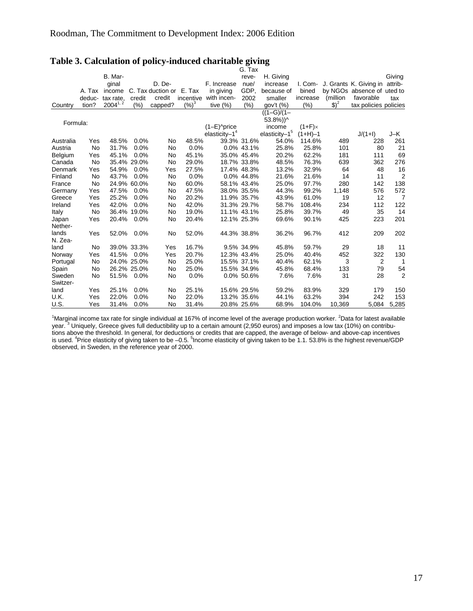|           |        |              |             |                          |           |                            | G. Tax      |                           |                |          |                            |                |
|-----------|--------|--------------|-------------|--------------------------|-----------|----------------------------|-------------|---------------------------|----------------|----------|----------------------------|----------------|
|           |        | B. Mar-      |             |                          |           |                            | reve-       | H. Giving                 |                |          |                            | Giving         |
|           |        | ginal        |             | D. De-                   |           | F. Increase                | nue/        | increase                  | I. Com-        |          | J. Grants K. Giving in     | attrib-        |
|           | A. Tax | income       |             | C. Tax duction or E. Tax |           | in giving                  | GDP.        | because of                | bined          |          | by NGOs absence of uted to |                |
|           | deduc- | tax rate,    | credit      | credit                   | incentive | with incen-                | 2002        | smaller                   | increase       | (million | favorable                  | tax            |
| Country   | tion?  | $2004^{1,2}$ | (% )        | capped?                  | $(\%)^3$  | tive $(\%)$                | (%)         | gov't (%)                 | $(\%)$         | $$)^2$   | tax policies policies      |                |
|           |        |              |             |                          |           |                            |             | $((1-G)/(1 -$             |                |          |                            |                |
|           |        |              |             |                          |           |                            |             | $53.8\%)$ <sup>^</sup>    |                |          |                            |                |
| Formula:  |        |              |             |                          |           | $(1-E)$ <sup>o</sup> price |             | income                    | $(1+F) \times$ |          |                            |                |
|           |        |              |             |                          |           | elasticity $-14$           |             | elasticity-1 <sup>5</sup> | $(1+H)-1$      |          | $J/(1+I)$                  | J-K            |
| Australia | Yes    | 48.5%        | 0.0%        | No                       | 48.5%     |                            | 39.3% 31.6% | 54.0%                     | 114.6%         | 489      | 228                        | 261            |
| Austria   | No     | 31.7%        | 0.0%        | No                       | 0.0%      |                            | 0.0% 43.1%  | 25.8%                     | 25.8%          | 101      | 80                         | 21             |
| Belgium   | Yes    | 45.1%        | 0.0%        | No                       | 45.1%     |                            | 35.0% 45.4% | 20.2%                     | 62.2%          | 181      | 111                        | 69             |
| Canada    | No     |              | 35.4% 29.0% | No                       | 29.0%     |                            | 18.7% 33.8% | 48.5%                     | 76.3%          | 639      | 362                        | 276            |
| Denmark   | Yes    | 54.9%        | 0.0%        | Yes                      | 27.5%     |                            | 17.4% 48.3% | 13.2%                     | 32.9%          | 64       | 48                         | 16             |
| Finland   | No     | 43.7%        | 0.0%        | No                       | 0.0%      |                            | 0.0% 44.8%  | 21.6%                     | 21.6%          | 14       | 11                         | $\overline{2}$ |
| France    | No     |              | 24.9% 60.0% | No                       | 60.0%     |                            | 58.1% 43.4% | 25.0%                     | 97.7%          | 280      | 142                        | 138            |
| Germany   | Yes    | 47.5%        | 0.0%        | No                       | 47.5%     |                            | 38.0% 35.5% | 44.3%                     | 99.2%          | 1,148    | 576                        | 572            |
| Greece    | Yes    | 25.2%        | 0.0%        | No                       | 20.2%     |                            | 11.9% 35.7% | 43.9%                     | 61.0%          | 19       | 12                         | $\overline{7}$ |
| Ireland   | Yes    | 42.0%        | 0.0%        | No                       | 42.0%     |                            | 31.3% 29.7% | 58.7%                     | 108.4%         | 234      | 112                        | 122            |
| Italy     | No     | 36.4%        | 19.0%       | No                       | 19.0%     |                            | 11.1% 43.1% | 25.8%                     | 39.7%          | 49       | 35                         | 14             |
| Japan     | Yes    | 20.4%        | 0.0%        | No                       | 20.4%     |                            | 12.1% 25.3% | 69.6%                     | 90.1%          | 425      | 223                        | 201            |
| Nether-   |        |              |             |                          |           |                            |             |                           |                |          |                            |                |
| lands     | Yes    | 52.0%        | $0.0\%$     | No                       | 52.0%     |                            | 44.3% 38.8% | 36.2%                     | 96.7%          | 412      | 209                        | 202            |
| N. Zea-   |        |              |             |                          |           |                            |             |                           |                |          |                            |                |
| land      | No     |              | 39.0% 33.3% | Yes                      | 16.7%     |                            | 9.5% 34.9%  | 45.8%                     | 59.7%          | 29       | 18                         | 11             |
| Norway    | Yes    | 41.5%        | $0.0\%$     | Yes                      | 20.7%     |                            | 12.3% 43.4% | 25.0%                     | 40.4%          | 452      | 322                        | 130            |
| Portugal  | No     |              | 24.0% 25.0% | <b>No</b>                | 25.0%     |                            | 15.5% 37.1% | 40.4%                     | 62.1%          | 3        | 2                          | 1              |
| Spain     | No     |              | 26.2% 25.0% | No                       | 25.0%     |                            | 15.5% 34.9% | 45.8%                     | 68.4%          | 133      | 79                         | 54             |
| Sweden    | No     | 51.5%        | $0.0\%$     | No                       | 0.0%      |                            | 0.0% 50.6%  | 7.6%                      | 7.6%           | 31       | 28                         | $\overline{2}$ |
| Switzer-  |        |              |             |                          |           |                            |             |                           |                |          |                            |                |
| land      | Yes    | 25.1%        | 0.0%        | No                       | 25.1%     |                            | 15.6% 29.5% | 59.2%                     | 83.9%          | 329      | 179                        | 150            |
| U.K.      | Yes    | 22.0%        | 0.0%        | No                       | 22.0%     |                            | 13.2% 35.6% | 44.1%                     | 63.2%          | 394      | 242                        | 153            |
| U.S.      | Yes    | 31.4%        | 0.0%        | No                       | 31.4%     |                            | 20.8% 25.6% | 68.9%                     | 104.0%         | 10,369   | 5,084                      | 5,285          |

# **Table 3. Calculation of policy-induced charitable giving**

<sup>1</sup>Marginal income tax rate for single individual at 167% of income level of the average production worker. <sup>2</sup>Data for latest available<br>year. <sup>3</sup> Uniquely, Greece gives full deductibility up to a certain amount (2,950 eur tions above the threshold. In general, for deductions or credits that are capped, the average of below- and above-cap incentives<br>is used. <sup>4</sup>Price elasticity of giving taken to be –0.5. <sup>5</sup>Income elasticity of giving taken observed, in Sweden, in the reference year of 2000.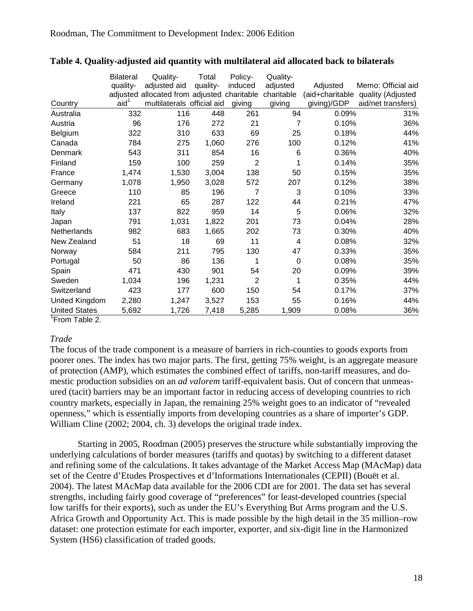|                      | <b>Bilateral</b> | Quality-                                    | Total    | Policy-        | Quality-    |                 |                    |
|----------------------|------------------|---------------------------------------------|----------|----------------|-------------|-----------------|--------------------|
|                      | quality-         | adjusted aid                                | quality- | induced        | adjusted    | Adjusted        | Memo: Official aid |
|                      |                  | adjusted allocated from adjusted charitable |          |                | charitable  | (aid+charitable | quality (Adjusted  |
| Country              | aid <sup>1</sup> | multilaterals official aid                  |          | giving         | giving      | giving)/GDP     | aid/net transfers) |
| Australia            | 332              | 116                                         | 448      | 261            | 94          | 0.09%           | 31%                |
| Austria              | 96               | 176                                         | 272      | 21             | 7           | 0.10%           | 36%                |
| Belgium              | 322              | 310                                         | 633      | 69             | 25          | 0.18%           | 44%                |
| Canada               | 784              | 275                                         | 1,060    | 276            | 100         | 0.12%           | 41%                |
| Denmark              | 543              | 311                                         | 854      | 16             | 6           | 0.36%           | 40%                |
| Finland              | 159              | 100                                         | 259      | $\overline{2}$ | 1           | 0.14%           | 35%                |
| France               | 1,474            | 1,530                                       | 3,004    | 138            | 50          | 0.15%           | 35%                |
| Germany              | 1,078            | 1,950                                       | 3,028    | 572            | 207         | 0.12%           | 38%                |
| Greece               | 110              | 85                                          | 196      | 7              | 3           | 0.10%           | 33%                |
| Ireland              | 221              | 65                                          | 287      | 122            | 44          | 0.21%           | 47%                |
| Italy                | 137              | 822                                         | 959      | 14             | 5           | 0.06%           | 32%                |
| Japan                | 791              | 1,031                                       | 1,822    | 201            | 73          | 0.04%           | 28%                |
| Netherlands          | 982              | 683                                         | 1,665    | 202            | 73          | 0.30%           | 40%                |
| New Zealand          | 51               | 18                                          | 69       | 11             | 4           | 0.08%           | 32%                |
| Norway               | 584              | 211                                         | 795      | 130            | 47          | 0.33%           | 35%                |
| Portugal             | 50               | 86                                          | 136      | 1              | $\mathbf 0$ | 0.08%           | 35%                |
| Spain                | 471              | 430                                         | 901      | 54             | 20          | 0.09%           | 39%                |
| Sweden               | 1,034            | 196                                         | 1,231    | $\overline{2}$ | 1           | 0.35%           | 44%                |
| Switzerland          | 423              | 177                                         | 600      | 150            | 54          | 0.17%           | 37%                |
| United Kingdom       | 2,280            | 1,247                                       | 3,527    | 153            | 55          | 0.16%           | 44%                |
| <b>United States</b> | 5,692            | 1,726                                       | 7,418    | 5,285          | 1,909       | 0.08%           | 36%                |

#### **Table 4. Quality-adjusted aid quantity with multilateral aid allocated back to bilaterals**

<sup>1</sup>From Table 2.

### *Trade*

The focus of the trade component is a measure of barriers in rich-counties to goods exports from poorer ones. The index has two major parts. The first, getting 75% weight, is an aggregate measure of protection (AMP), which estimates the combined effect of tariffs, non-tariff measures, and domestic production subsidies on an *ad valorem* tariff-equivalent basis. Out of concern that unmeasured (tacit) barriers may be an important factor in reducing access of developing countries to rich country markets, especially in Japan, the remaining 25% weight goes to an indicator of "revealed openness," which is essentially imports from developing countries as a share of importer's GDP. William Cline (2002; 2004, ch. 3) develops the original trade index.

 Starting in 2005, Roodman (2005) preserves the structure while substantially improving the underlying calculations of border measures (tariffs and quotas) by switching to a different dataset and refining some of the calculations. It takes advantage of the Market Access Map (MAcMap) data set of the Centre d'Etudes Prospectives et d'Informations Internationales (CEPII) (Bouët et al. 2004). The latest MAcMap data available for the 2006 CDI are for 2001. The data set has several strengths, including fairly good coverage of "preferences" for least-developed countries (special low tariffs for their exports), such as under the EU's Everything But Arms program and the U.S. Africa Growth and Opportunity Act. This is made possible by the high detail in the 35 million–row dataset: one protection estimate for each importer, exporter, and six-digit line in the Harmonized System (HS6) classification of traded goods.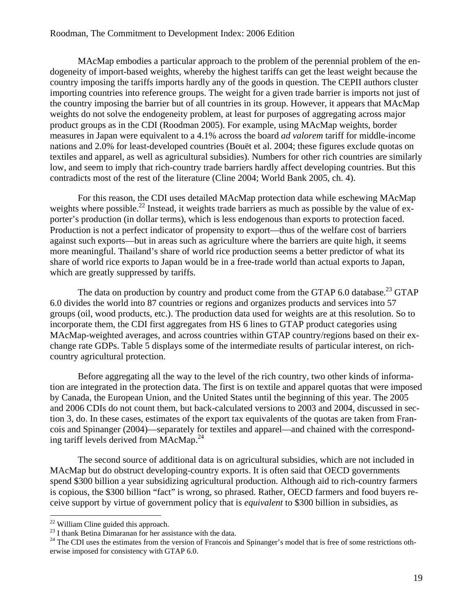#### Roodman, The Commitment to Development Index: 2006 Edition

 MAcMap embodies a particular approach to the problem of the perennial problem of the endogeneity of import-based weights, whereby the highest tariffs can get the least weight because the country imposing the tariffs imports hardly any of the goods in question. The CEPII authors cluster importing countries into reference groups. The weight for a given trade barrier is imports not just of the country imposing the barrier but of all countries in its group. However, it appears that MAcMap weights do not solve the endogeneity problem, at least for purposes of aggregating across major product groups as in the CDI (Roodman 2005). For example, using MAcMap weights, border measures in Japan were equivalent to a 4.1% across the board *ad valorem* tariff for middle-income nations and 2.0% for least-developed countries (Bouët et al. 2004; these figures exclude quotas on textiles and apparel, as well as agricultural subsidies). Numbers for other rich countries are similarly low, and seem to imply that rich-country trade barriers hardly affect developing countries. But this contradicts most of the rest of the literature (Cline 2004; World Bank 2005, ch. 4).

For this reason, the CDI uses detailed MAcMap protection data while eschewing MAcMap weights where possible.<sup>22</sup> Instead, it weights trade barriers as much as possible by the value of exporter's production (in dollar terms), which is less endogenous than exports to protection faced. Production is not a perfect indicator of propensity to export—thus of the welfare cost of barriers against such exports—but in areas such as agriculture where the barriers are quite high, it seems more meaningful. Thailand's share of world rice production seems a better predictor of what its share of world rice exports to Japan would be in a free-trade world than actual exports to Japan, which are greatly suppressed by tariffs.

The data on production by country and product come from the GTAP 6.0 database.<sup>23</sup> GTAP 6.0 divides the world into 87 countries or regions and organizes products and services into 57 groups (oil, wood products, etc.). The production data used for weights are at this resolution. So to incorporate them, the CDI first aggregates from HS 6 lines to GTAP product categories using MAcMap-weighted averages, and across countries within GTAP country/regions based on their exchange rate GDPs. Table 5 displays some of the intermediate results of particular interest, on richcountry agricultural protection.

Before aggregating all the way to the level of the rich country, two other kinds of information are integrated in the protection data. The first is on textile and apparel quotas that were imposed by Canada, the European Union, and the United States until the beginning of this year. The 2005 and 2006 CDIs do not count them, but back-calculated versions to 2003 and 2004, discussed in section 3, do. In these cases, estimates of the export tax equivalents of the quotas are taken from Francois and Spinanger (2004)—separately for textiles and apparel—and chained with the corresponding tariff levels derived from MAcMap. $^{24}$ 

The second source of additional data is on agricultural subsidies, which are not included in MAcMap but do obstruct developing-country exports. It is often said that OECD governments spend \$300 billion a year subsidizing agricultural production. Although aid to rich-country farmers is copious, the \$300 billion "fact" is wrong, so phrased. Rather, OECD farmers and food buyers receive support by virtue of government policy that is *equivalent* to \$300 billion in subsidies, as

 $22$  William Cline guided this approach.

 $^{23}$  I thank Betina Dimaranan for her assistance with the data.

<sup>&</sup>lt;sup>24</sup> The CDI uses the estimates from the version of Francois and Spinanger's model that is free of some restrictions otherwise imposed for consistency with GTAP 6.0.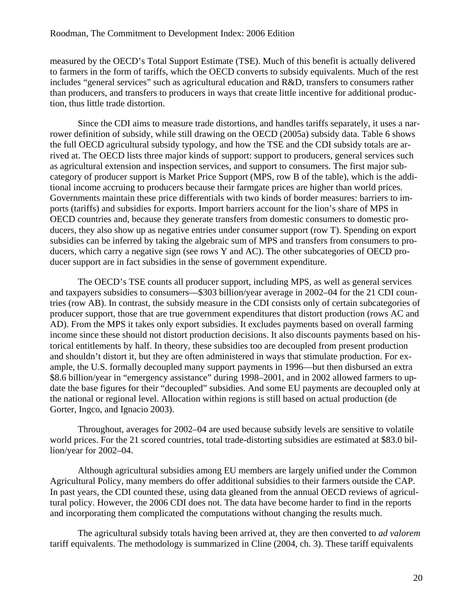measured by the OECD's Total Support Estimate (TSE). Much of this benefit is actually delivered to farmers in the form of tariffs, which the OECD converts to subsidy equivalents. Much of the rest includes "general services" such as agricultural education and R&D, transfers to consumers rather than producers, and transfers to producers in ways that create little incentive for additional production, thus little trade distortion.

Since the CDI aims to measure trade distortions, and handles tariffs separately, it uses a narrower definition of subsidy, while still drawing on the OECD (2005a) subsidy data. Table 6 shows the full OECD agricultural subsidy typology, and how the TSE and the CDI subsidy totals are arrived at. The OECD lists three major kinds of support: support to producers, general services such as agricultural extension and inspection services, and support to consumers. The first major subcategory of producer support is Market Price Support (MPS, row B of the table), which is the additional income accruing to producers because their farmgate prices are higher than world prices. Governments maintain these price differentials with two kinds of border measures: barriers to imports (tariffs) and subsidies for exports. Import barriers account for the lion's share of MPS in OECD countries and, because they generate transfers from domestic consumers to domestic producers, they also show up as negative entries under consumer support (row T). Spending on export subsidies can be inferred by taking the algebraic sum of MPS and transfers from consumers to producers, which carry a negative sign (see rows Y and AC). The other subcategories of OECD producer support are in fact subsidies in the sense of government expenditure.

The OECD's TSE counts all producer support, including MPS, as well as general services and taxpayers subsidies to consumers—\$303 billion/year average in 2002–04 for the 21 CDI countries (row AB). In contrast, the subsidy measure in the CDI consists only of certain subcategories of producer support, those that are true government expenditures that distort production (rows AC and AD). From the MPS it takes only export subsidies. It excludes payments based on overall farming income since these should not distort production decisions. It also discounts payments based on historical entitlements by half. In theory, these subsidies too are decoupled from present production and shouldn't distort it, but they are often administered in ways that stimulate production. For example, the U.S. formally decoupled many support payments in 1996—but then disbursed an extra \$8.6 billion/year in "emergency assistance" during 1998–2001, and in 2002 allowed farmers to update the base figures for their "decoupled" subsidies. And some EU payments are decoupled only at the national or regional level. Allocation within regions is still based on actual production (de Gorter, Ingco, and Ignacio 2003).

Throughout, averages for 2002–04 are used because subsidy levels are sensitive to volatile world prices. For the 21 scored countries, total trade-distorting subsidies are estimated at \$83.0 billion/year for 2002–04.

Although agricultural subsidies among EU members are largely unified under the Common Agricultural Policy, many members do offer additional subsidies to their farmers outside the CAP. In past years, the CDI counted these, using data gleaned from the annual OECD reviews of agricultural policy. However, the 2006 CDI does not. The data have become harder to find in the reports and incorporating them complicated the computations without changing the results much.

The agricultural subsidy totals having been arrived at, they are then converted to *ad valorem* tariff equivalents. The methodology is summarized in Cline (2004, ch. 3). These tariff equivalents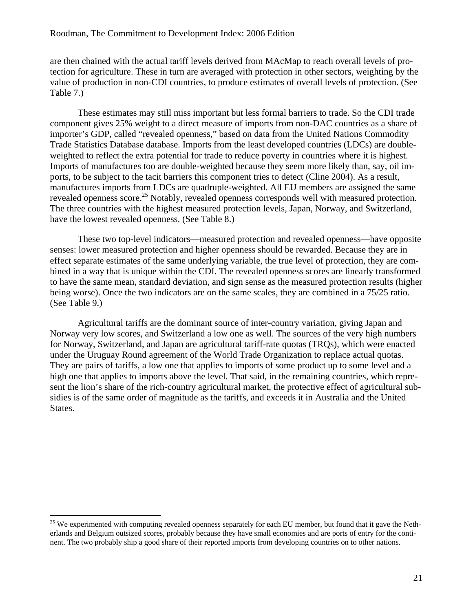are then chained with the actual tariff levels derived from MAcMap to reach overall levels of protection for agriculture. These in turn are averaged with protection in other sectors, weighting by the value of production in non-CDI countries, to produce estimates of overall levels of protection. (See Table 7.)

These estimates may still miss important but less formal barriers to trade. So the CDI trade component gives 25% weight to a direct measure of imports from non-DAC countries as a share of importer's GDP, called "revealed openness," based on data from the United Nations Commodity Trade Statistics Database database. Imports from the least developed countries (LDCs) are doubleweighted to reflect the extra potential for trade to reduce poverty in countries where it is highest. Imports of manufactures too are double-weighted because they seem more likely than, say, oil imports, to be subject to the tacit barriers this component tries to detect (Cline 2004). As a result, manufactures imports from LDCs are quadruple-weighted. All EU members are assigned the same revealed openness score.<sup>25</sup> Notably, revealed openness corresponds well with measured protection. The three countries with the highest measured protection levels, Japan, Norway, and Switzerland, have the lowest revealed openness. (See Table 8.)

These two top-level indicators—measured protection and revealed openness—have opposite senses: lower measured protection and higher openness should be rewarded. Because they are in effect separate estimates of the same underlying variable, the true level of protection, they are combined in a way that is unique within the CDI. The revealed openness scores are linearly transformed to have the same mean, standard deviation, and sign sense as the measured protection results (higher being worse). Once the two indicators are on the same scales, they are combined in a 75/25 ratio. (See Table 9.)

Agricultural tariffs are the dominant source of inter-country variation, giving Japan and Norway very low scores, and Switzerland a low one as well. The sources of the very high numbers for Norway, Switzerland, and Japan are agricultural tariff-rate quotas (TRQs), which were enacted under the Uruguay Round agreement of the World Trade Organization to replace actual quotas. They are pairs of tariffs, a low one that applies to imports of some product up to some level and a high one that applies to imports above the level. That said, in the remaining countries, which represent the lion's share of the rich-country agricultural market, the protective effect of agricultural subsidies is of the same order of magnitude as the tariffs, and exceeds it in Australia and the United States.

<sup>&</sup>lt;sup>25</sup> We experimented with computing revealed openness separately for each EU member, but found that it gave the Netherlands and Belgium outsized scores, probably because they have small economies and are ports of entry for the continent. The two probably ship a good share of their reported imports from developing countries on to other nations.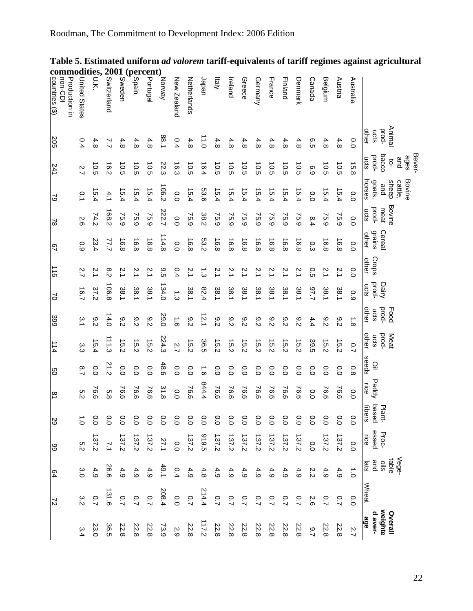# Roodman, The Commitment to Development Index: 2006 Edition

|                                                                                                                |                        | Bever-                 |                            |                       |                                  |                |                       |                        |                        |                      |                |                           |                        |                     |                |                           |
|----------------------------------------------------------------------------------------------------------------|------------------------|------------------------|----------------------------|-----------------------|----------------------------------|----------------|-----------------------|------------------------|------------------------|----------------------|----------------|---------------------------|------------------------|---------------------|----------------|---------------------------|
|                                                                                                                | Animal                 | ages<br>and<br>ុ       | Bovine<br>sheep<br>cattle, | Bovine                |                                  |                |                       | Food                   | Meat                   |                      |                |                           |                        | Vege-<br>table      |                | Overall                   |
|                                                                                                                | prod-<br>other<br>ucts | bacco<br>pod-<br>ucts  | horses<br>goats,<br>and    | prod-<br>meat<br>ucts | <b>grains</b><br>Cereal<br>other | Crops<br>other | pod-<br>Dairy<br>ucts | other<br>pood-<br>ucts | pood-<br>other<br>ucts | seeds<br>$\subseteq$ | Paddy<br>Fice  | based<br>Plant-<br>€<br>ā | besse<br>Proc-<br>Lice | and<br>slis<br>fats | Wheat          | weighte<br>d aver-<br>age |
| Australia                                                                                                      | $\overline{O}$         | 15.8                   | 0.0                        | 0.0                   | 0.0                              | $\overline{0}$ | 0.9                   | $\frac{1}{8}$          | $\overline{C}$         | $\frac{0}{8}$        | 0.0            | o.o                       | 0.0                    | $\vec{C}$           | $\overline{0}$ | 2.7                       |
| Austria                                                                                                        | 4.8                    | 10.5                   | 15.4                       | 75.9                  | 16.8                             | 2.1            | 38.1                  | $\frac{8}{5}$          | 15.2                   | 0.0                  | 76.6           | °0                        | 137.2                  | 4.9                 | $\overline{C}$ | 22.8                      |
| Belgium                                                                                                        | 4.8                    | 10.5                   | 15.4                       | 75.9                  | 16.8                             | 2.1            | 38.1                  | $\frac{8}{2}$          | 15.2                   | $\overline{0}$       | 76.6           | °0                        | 137.2                  | 4.9                 | 0.7            | 22.8                      |
| Canada                                                                                                         | ο.<br>Ο                | 6.9                    | 0.0                        | 8.4                   | Ο.<br>Ω                          | $\overline{c}$ | Z.75                  | 4.4                    | 39.5                   | $\overline{0}$       | 0.0            | °0                        | 0.0                    | 2.2                 | 2.6            | 2.7                       |
| Denmark                                                                                                        | 4.8                    | 10.5                   | 15.4                       | 5.9                   | 16.8                             | $\tilde{z}$    | 38.1                  | $\frac{8}{2}$          | 15.2                   | $\overline{0}$       | 76.6           | °ט                        | 137.2                  | 4.9                 | $\overline{C}$ | 22.8                      |
| Finland                                                                                                        | 4.8                    | 10.5                   | 15.4                       | 75.9                  | 16.8                             | Ņ              | 38.1                  | $\frac{8}{2}$          | 15.2                   | 0.0                  | 76.6           | $\frac{1}{2}$             | 137.2                  | 4.9                 | $\overline{C}$ | 22.8                      |
| France                                                                                                         | 4.8                    | $\overrightarrow{0.5}$ | 15.4                       | 75.9                  | 16.8                             | 2.1            | 38.1                  | $\frac{8}{2}$          | 15.2                   | $\overline{0}$       | 76.6           | $\overline{0}$            | 137.2                  | 4.9                 | $\overline{C}$ | 22.8                      |
| Germany                                                                                                        | 4.8                    | 10.5                   | 15.4                       | 75.9                  | 16.8                             | Ņ              | 38.1                  | $\frac{8}{2}$          | 15.2                   | 0.0                  | 76.6           | $\overline{0}$            | 137.2                  | 4.9                 | $\overline{C}$ | 22.8                      |
| Greece                                                                                                         | 4.8                    | 10.5                   | 15.4                       | 75.9                  | 6.8                              | 2.1            | 38.1                  | $\frac{8}{2}$          | 15.2                   | $\overline{0}$       | 76.6           | 0.0                       | 137.2                  | 4.9                 | $\overline{C}$ | 22.8                      |
| Ireland                                                                                                        | 4.8                    | 10.5                   | 15.4                       | 75.9                  | 16.8                             | 2.1            | 38.1                  | $\frac{8}{2}$          | 15.2                   | $\overline{0}$       | 76.6           | 0.0                       | 137.2                  | 4.9                 | $\overline{C}$ | 22.8                      |
| kialy                                                                                                          | 4.8                    | 10.5                   | 15.4                       | 5.9                   | 16.8                             | 2.1            | 38.1                  | $\frac{8}{2}$          | 15.2                   | 0.0                  | 76.6           | 0.0                       | 137.2                  | 4.9                 | $\overline{2}$ | 22.8                      |
| Japan                                                                                                          | 11.0                   | 16.4                   | 53.6                       | 38.2                  | 53.2                             | بن<br>3        | 82.4                  | 12.1                   | 36.5                   | $\vec{e}$            | 44.4           | 0.0                       | 5016                   | 4.8                 | 214.4          | 117.2                     |
| Netherlands                                                                                                    | 4.8                    | 10.5                   | 15.4                       | 75.9                  | 16.8                             | 2.1            | 18.1                  | $\frac{8}{2}$          | 15.2                   | 0.0                  | 76.6           | 0.0                       | 137.2                  | 4.9                 | $\overline{C}$ | 22.8                      |
| New Zealand                                                                                                    | 0.4                    | 16.3                   | 0.0                        | 0.0                   | 0.0                              | 0.4            | د<br>ما               | $\vec{e}$              | 2.7                    | 0.0                  | 0.0            | 0.0                       | 0.0                    | 0.4                 | 0.0            | 2.9                       |
| Norway                                                                                                         | 1.88                   | 22.3                   | 106.2                      | 222.7                 | 114.8                            | 9.5            | 134.0                 | <b>29.0</b>            | 224.3                  | 48.6                 | 31.8           | 0.0                       | 27.1                   | 49.1                | 208.4          | 73.9                      |
|                                                                                                                | 4.8                    | 10.5                   | 15.4                       | 5.9                   | 16.8                             | 2.1            | 18.1                  | $\frac{8}{2}$          | 15.2                   | $\overline{0}$       | 76.6           | $\overline{0}$            | 137.2                  | 4.9                 | $\overline{2}$ | 22.8                      |
| $\begin{bmatrix} \text{percent} \\ \text{green} \\ \text{green} \\ \text{green} \\ \text{green} \end{bmatrix}$ | 4.8                    | 10.5                   | 15.4                       | 5.9                   | 16.8                             | 2.1            | 38.1                  | 8.2                    | 15.2                   | $\overline{0}$       | 76.6           | 0.0                       | 137.2                  | 4.9                 | Ο.             | 22.8                      |
| Sweden                                                                                                         | 4.8                    | 10.5                   | 15.4                       | 75.9                  | 16.8                             | 2.1            | 38.1                  | $\frac{8}{2}$          | 15.2                   | $\overline{0.0}$     | 76.6           | 0.0                       | 137.2                  | 4.9                 | $\overline{C}$ | 22.8                      |
| <b>NOVER</b><br>SAMPLE<br>ON SAMPLE<br>ON SAMPLE                                                               | $\overline{L}$         | 16.2                   | 4.1                        | 168.2                 | 77.7                             | 8.2            | 106.8                 | 14.0                   | 111.3                  | 212                  | 5.8            | 0.0                       | $\overline{2}$         | 26.6                | 131.6          | 36.5                      |
| odities,<br>$\frac{C}{\frac{1}{\pi}} \sum_{\pi}^{\infty}$                                                      | 4.8                    | io.s                   | 5.4                        | 74.2                  | 23.4                             | 2.1            | 37.2                  | $\frac{8}{5}$          | 15.4                   | 0.0                  | 76.6           | °0                        | 137.2                  | 4.9                 | $\overline{2}$ | 23.0                      |
| <b>United States</b>                                                                                           | 0.4                    | 2.7                    | °.                         | 2.6                   | 0.9                              | 2.7            | 16.7                  | $\frac{1}{2}$          | α<br>ვ                 | $\frac{8}{1}$        | s:2            | $\overline{5}$            | 5.2                    | 3.0                 | 3:2            | 3.4                       |
| Production in<br>non-CDI                                                                                       |                        |                        |                            |                       |                                  |                |                       |                        |                        |                      |                |                           |                        |                     |                |                           |
| countries (\$)                                                                                                 | 205                    | 241                    | 2                          | $\approx$             | 29                               | $\frac{1}{10}$ | S                     | 399                    | 114                    | ပ္ပ                  | $\overline{8}$ | SS                        | 89                     | 64                  | $\overline{c}$ |                           |
|                                                                                                                |                        |                        |                            |                       |                                  |                |                       |                        |                        |                      |                |                           |                        |                     |                |                           |

#### **Table 5. Estimated uniform** *ad valorem* **tariff-equivalents of tariff regimes against agricultural commodities, 2001 (percent)**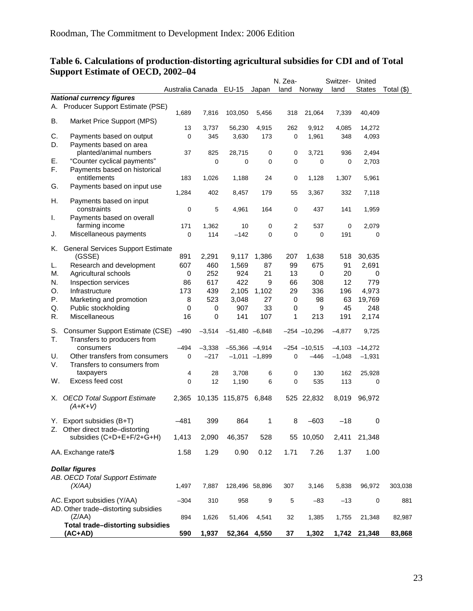| Australia Canada EU-15<br><b>States</b><br>Total $(\$)$<br>Japan<br>land<br>Norway<br>land<br><b>National currency figures</b><br>Producer Support Estimate (PSE)<br>А.<br>1,689<br>7,816<br>103,050<br>5,456<br>318<br>21,064<br>7,339<br>40,409<br>В.<br>Market Price Support (MPS)<br>13<br>3,737<br>56,230<br>4,915<br>262<br>9,912<br>14,272<br>4,085<br>Payments based on output<br>C.<br>0<br>345<br>3,630<br>173<br>0<br>1,961<br>4,093<br>348<br>Payments based on area<br>D.<br>planted/animal numbers<br>37<br>825<br>28,715<br>3,721<br>936<br>2,494<br>0<br>0<br>"Counter cyclical payments"<br>Ε.<br>$\mathbf 0$<br>0<br>0<br>0<br>0<br>0<br>2,703<br>F.<br>Payments based on historical<br>entitlements<br>0<br>5,961<br>183<br>1,026<br>1,188<br>24<br>1,128<br>1,307<br>Payments based on input use<br>G.<br>1,284<br>402<br>8,457<br>179<br>55<br>3,367<br>332<br>7,118<br>Η.<br>Payments based on input<br>constraints<br>0<br>5<br>164<br>437<br>1,959<br>4,961<br>0<br>141<br>Payments based on overall<br>I.<br>farming income<br>171<br>1,362<br>0<br>$\overline{c}$<br>537<br>2,079<br>10<br>0<br>114<br>0<br>$\mathbf 0$<br>Miscellaneous payments<br>0<br>$-142$<br>0<br>191<br>0<br>J.<br><b>General Services Support Estimate</b><br>K.<br>(GSSE)<br>891<br>2,291<br>9,117<br>1,386<br>207<br>30,635<br>1,638<br>518<br>Research and development<br>607<br>460<br>1,569<br>87<br>99<br>675<br>91<br>2,691<br>L.<br>Agricultural schools<br>252<br>924<br>21<br>13<br>М.<br>0<br>0<br>20<br>0<br>N.<br>422<br>66<br>12<br>779<br>Inspection services<br>86<br>617<br>9<br>308<br>439<br>336<br>4,973<br>O.<br>Infrastructure<br>173<br>2,105<br>1,102<br>29<br>196<br>Ρ.<br>523<br>3,048<br>27<br>98<br>19,769<br>Marketing and promotion<br>8<br>0<br>63<br>907<br>33<br>9<br>Q.<br>Public stockholding<br>0<br>0<br>0<br>45<br>248<br>Miscellaneous<br>R.<br>16<br>0<br>141<br>107<br>1<br>213<br>191<br>2,174<br>Consumer Support Estimate (CSE)<br>S.<br>$-490$<br>$-3,514$<br>$-254 - 10,296$<br>$-4,877$<br>9,725<br>$-51,480 -6,848$<br>Т.<br>Transfers to producers from<br>$-494$<br>consumers<br>$-3,338$<br>$-55,366 -4,914$<br>$-254 - 10,515$<br>$-4,103$<br>$-14,272$<br>U.<br>Other transfers from consumers<br>0<br>$-217$<br>$-1,011 -1,899$<br>0<br>$-1,048$<br>$-1,931$<br>-446<br>V.<br>Transfers to consumers from<br>28<br>3,708<br>0<br>130<br>25,928<br>taxpayers<br>4<br>6<br>162<br>W.<br>Excess feed cost<br>0<br>12<br>$\mathbf 0$<br>535<br>1,190<br>6<br>113<br>0<br>X. OECD Total Support Estimate<br>10,135 115,875 6,848<br>525 22,832<br>8,019<br>96,972<br>2,365<br>$(A+K+V)$<br>$-481$<br>399<br>1<br>8<br>$-603$<br>864<br>$-18$<br>0<br>Y. Export subsidies (B+T)<br>Z. Other direct trade-distorting<br>subsidies (C+D+E+F/2+G+H)<br>528<br>1,413<br>2,090<br>46,357<br>55 10,050<br>2,411<br>21,348<br>1.58<br>1.29<br>7.26<br>1.00<br>AA. Exchange rate/\$<br>0.90<br>0.12<br>1.71<br>1.37<br><b>Dollar figures</b><br>AB. OECD Total Support Estimate<br>(X/AA)<br>1,497<br>7,887<br>128,496 58,896<br>307<br>3,146<br>5,838<br>96,972<br>303,038<br>AC. Export subsidies (Y/AA)<br>$-304$<br>310<br>958<br>5<br>$-83$<br>$-13$<br>881<br>9<br>0<br>AD. Other trade-distorting subsidies<br>(Z/AA)<br>894<br>1,626<br>82,987<br>51,406<br>4,541<br>32<br>1,385<br>1,755<br>21,348<br>Total trade-distorting subsidies<br>1,302<br>590<br>1,937<br>52,364 4,550<br>37<br>1,742<br>83,868<br>(AC+AD)<br>21,348 |  |  |  | N. Zea- | Switzer- | United |  |
|-----------------------------------------------------------------------------------------------------------------------------------------------------------------------------------------------------------------------------------------------------------------------------------------------------------------------------------------------------------------------------------------------------------------------------------------------------------------------------------------------------------------------------------------------------------------------------------------------------------------------------------------------------------------------------------------------------------------------------------------------------------------------------------------------------------------------------------------------------------------------------------------------------------------------------------------------------------------------------------------------------------------------------------------------------------------------------------------------------------------------------------------------------------------------------------------------------------------------------------------------------------------------------------------------------------------------------------------------------------------------------------------------------------------------------------------------------------------------------------------------------------------------------------------------------------------------------------------------------------------------------------------------------------------------------------------------------------------------------------------------------------------------------------------------------------------------------------------------------------------------------------------------------------------------------------------------------------------------------------------------------------------------------------------------------------------------------------------------------------------------------------------------------------------------------------------------------------------------------------------------------------------------------------------------------------------------------------------------------------------------------------------------------------------------------------------------------------------------------------------------------------------------------------------------------------------------------------------------------------------------------------------------------------------------------------------------------------------------------------------------------------------------------------------------------------------------------------------------------------------------------------------------------------------------------------------------------------------------------------------------------------------------------------------------------------------------------------------------------------------------------------------------------------------------------------------------------------------------------------------------------------------------------------------------------------------------------------------------------------------------------------------------------------------------------------------------------------------------------------|--|--|--|---------|----------|--------|--|
|                                                                                                                                                                                                                                                                                                                                                                                                                                                                                                                                                                                                                                                                                                                                                                                                                                                                                                                                                                                                                                                                                                                                                                                                                                                                                                                                                                                                                                                                                                                                                                                                                                                                                                                                                                                                                                                                                                                                                                                                                                                                                                                                                                                                                                                                                                                                                                                                                                                                                                                                                                                                                                                                                                                                                                                                                                                                                                                                                                                                                                                                                                                                                                                                                                                                                                                                                                                                                                                                                   |  |  |  |         |          |        |  |
|                                                                                                                                                                                                                                                                                                                                                                                                                                                                                                                                                                                                                                                                                                                                                                                                                                                                                                                                                                                                                                                                                                                                                                                                                                                                                                                                                                                                                                                                                                                                                                                                                                                                                                                                                                                                                                                                                                                                                                                                                                                                                                                                                                                                                                                                                                                                                                                                                                                                                                                                                                                                                                                                                                                                                                                                                                                                                                                                                                                                                                                                                                                                                                                                                                                                                                                                                                                                                                                                                   |  |  |  |         |          |        |  |
|                                                                                                                                                                                                                                                                                                                                                                                                                                                                                                                                                                                                                                                                                                                                                                                                                                                                                                                                                                                                                                                                                                                                                                                                                                                                                                                                                                                                                                                                                                                                                                                                                                                                                                                                                                                                                                                                                                                                                                                                                                                                                                                                                                                                                                                                                                                                                                                                                                                                                                                                                                                                                                                                                                                                                                                                                                                                                                                                                                                                                                                                                                                                                                                                                                                                                                                                                                                                                                                                                   |  |  |  |         |          |        |  |
|                                                                                                                                                                                                                                                                                                                                                                                                                                                                                                                                                                                                                                                                                                                                                                                                                                                                                                                                                                                                                                                                                                                                                                                                                                                                                                                                                                                                                                                                                                                                                                                                                                                                                                                                                                                                                                                                                                                                                                                                                                                                                                                                                                                                                                                                                                                                                                                                                                                                                                                                                                                                                                                                                                                                                                                                                                                                                                                                                                                                                                                                                                                                                                                                                                                                                                                                                                                                                                                                                   |  |  |  |         |          |        |  |
|                                                                                                                                                                                                                                                                                                                                                                                                                                                                                                                                                                                                                                                                                                                                                                                                                                                                                                                                                                                                                                                                                                                                                                                                                                                                                                                                                                                                                                                                                                                                                                                                                                                                                                                                                                                                                                                                                                                                                                                                                                                                                                                                                                                                                                                                                                                                                                                                                                                                                                                                                                                                                                                                                                                                                                                                                                                                                                                                                                                                                                                                                                                                                                                                                                                                                                                                                                                                                                                                                   |  |  |  |         |          |        |  |
|                                                                                                                                                                                                                                                                                                                                                                                                                                                                                                                                                                                                                                                                                                                                                                                                                                                                                                                                                                                                                                                                                                                                                                                                                                                                                                                                                                                                                                                                                                                                                                                                                                                                                                                                                                                                                                                                                                                                                                                                                                                                                                                                                                                                                                                                                                                                                                                                                                                                                                                                                                                                                                                                                                                                                                                                                                                                                                                                                                                                                                                                                                                                                                                                                                                                                                                                                                                                                                                                                   |  |  |  |         |          |        |  |
|                                                                                                                                                                                                                                                                                                                                                                                                                                                                                                                                                                                                                                                                                                                                                                                                                                                                                                                                                                                                                                                                                                                                                                                                                                                                                                                                                                                                                                                                                                                                                                                                                                                                                                                                                                                                                                                                                                                                                                                                                                                                                                                                                                                                                                                                                                                                                                                                                                                                                                                                                                                                                                                                                                                                                                                                                                                                                                                                                                                                                                                                                                                                                                                                                                                                                                                                                                                                                                                                                   |  |  |  |         |          |        |  |
|                                                                                                                                                                                                                                                                                                                                                                                                                                                                                                                                                                                                                                                                                                                                                                                                                                                                                                                                                                                                                                                                                                                                                                                                                                                                                                                                                                                                                                                                                                                                                                                                                                                                                                                                                                                                                                                                                                                                                                                                                                                                                                                                                                                                                                                                                                                                                                                                                                                                                                                                                                                                                                                                                                                                                                                                                                                                                                                                                                                                                                                                                                                                                                                                                                                                                                                                                                                                                                                                                   |  |  |  |         |          |        |  |
|                                                                                                                                                                                                                                                                                                                                                                                                                                                                                                                                                                                                                                                                                                                                                                                                                                                                                                                                                                                                                                                                                                                                                                                                                                                                                                                                                                                                                                                                                                                                                                                                                                                                                                                                                                                                                                                                                                                                                                                                                                                                                                                                                                                                                                                                                                                                                                                                                                                                                                                                                                                                                                                                                                                                                                                                                                                                                                                                                                                                                                                                                                                                                                                                                                                                                                                                                                                                                                                                                   |  |  |  |         |          |        |  |
|                                                                                                                                                                                                                                                                                                                                                                                                                                                                                                                                                                                                                                                                                                                                                                                                                                                                                                                                                                                                                                                                                                                                                                                                                                                                                                                                                                                                                                                                                                                                                                                                                                                                                                                                                                                                                                                                                                                                                                                                                                                                                                                                                                                                                                                                                                                                                                                                                                                                                                                                                                                                                                                                                                                                                                                                                                                                                                                                                                                                                                                                                                                                                                                                                                                                                                                                                                                                                                                                                   |  |  |  |         |          |        |  |
|                                                                                                                                                                                                                                                                                                                                                                                                                                                                                                                                                                                                                                                                                                                                                                                                                                                                                                                                                                                                                                                                                                                                                                                                                                                                                                                                                                                                                                                                                                                                                                                                                                                                                                                                                                                                                                                                                                                                                                                                                                                                                                                                                                                                                                                                                                                                                                                                                                                                                                                                                                                                                                                                                                                                                                                                                                                                                                                                                                                                                                                                                                                                                                                                                                                                                                                                                                                                                                                                                   |  |  |  |         |          |        |  |
|                                                                                                                                                                                                                                                                                                                                                                                                                                                                                                                                                                                                                                                                                                                                                                                                                                                                                                                                                                                                                                                                                                                                                                                                                                                                                                                                                                                                                                                                                                                                                                                                                                                                                                                                                                                                                                                                                                                                                                                                                                                                                                                                                                                                                                                                                                                                                                                                                                                                                                                                                                                                                                                                                                                                                                                                                                                                                                                                                                                                                                                                                                                                                                                                                                                                                                                                                                                                                                                                                   |  |  |  |         |          |        |  |
|                                                                                                                                                                                                                                                                                                                                                                                                                                                                                                                                                                                                                                                                                                                                                                                                                                                                                                                                                                                                                                                                                                                                                                                                                                                                                                                                                                                                                                                                                                                                                                                                                                                                                                                                                                                                                                                                                                                                                                                                                                                                                                                                                                                                                                                                                                                                                                                                                                                                                                                                                                                                                                                                                                                                                                                                                                                                                                                                                                                                                                                                                                                                                                                                                                                                                                                                                                                                                                                                                   |  |  |  |         |          |        |  |
|                                                                                                                                                                                                                                                                                                                                                                                                                                                                                                                                                                                                                                                                                                                                                                                                                                                                                                                                                                                                                                                                                                                                                                                                                                                                                                                                                                                                                                                                                                                                                                                                                                                                                                                                                                                                                                                                                                                                                                                                                                                                                                                                                                                                                                                                                                                                                                                                                                                                                                                                                                                                                                                                                                                                                                                                                                                                                                                                                                                                                                                                                                                                                                                                                                                                                                                                                                                                                                                                                   |  |  |  |         |          |        |  |
|                                                                                                                                                                                                                                                                                                                                                                                                                                                                                                                                                                                                                                                                                                                                                                                                                                                                                                                                                                                                                                                                                                                                                                                                                                                                                                                                                                                                                                                                                                                                                                                                                                                                                                                                                                                                                                                                                                                                                                                                                                                                                                                                                                                                                                                                                                                                                                                                                                                                                                                                                                                                                                                                                                                                                                                                                                                                                                                                                                                                                                                                                                                                                                                                                                                                                                                                                                                                                                                                                   |  |  |  |         |          |        |  |
|                                                                                                                                                                                                                                                                                                                                                                                                                                                                                                                                                                                                                                                                                                                                                                                                                                                                                                                                                                                                                                                                                                                                                                                                                                                                                                                                                                                                                                                                                                                                                                                                                                                                                                                                                                                                                                                                                                                                                                                                                                                                                                                                                                                                                                                                                                                                                                                                                                                                                                                                                                                                                                                                                                                                                                                                                                                                                                                                                                                                                                                                                                                                                                                                                                                                                                                                                                                                                                                                                   |  |  |  |         |          |        |  |
|                                                                                                                                                                                                                                                                                                                                                                                                                                                                                                                                                                                                                                                                                                                                                                                                                                                                                                                                                                                                                                                                                                                                                                                                                                                                                                                                                                                                                                                                                                                                                                                                                                                                                                                                                                                                                                                                                                                                                                                                                                                                                                                                                                                                                                                                                                                                                                                                                                                                                                                                                                                                                                                                                                                                                                                                                                                                                                                                                                                                                                                                                                                                                                                                                                                                                                                                                                                                                                                                                   |  |  |  |         |          |        |  |
|                                                                                                                                                                                                                                                                                                                                                                                                                                                                                                                                                                                                                                                                                                                                                                                                                                                                                                                                                                                                                                                                                                                                                                                                                                                                                                                                                                                                                                                                                                                                                                                                                                                                                                                                                                                                                                                                                                                                                                                                                                                                                                                                                                                                                                                                                                                                                                                                                                                                                                                                                                                                                                                                                                                                                                                                                                                                                                                                                                                                                                                                                                                                                                                                                                                                                                                                                                                                                                                                                   |  |  |  |         |          |        |  |
|                                                                                                                                                                                                                                                                                                                                                                                                                                                                                                                                                                                                                                                                                                                                                                                                                                                                                                                                                                                                                                                                                                                                                                                                                                                                                                                                                                                                                                                                                                                                                                                                                                                                                                                                                                                                                                                                                                                                                                                                                                                                                                                                                                                                                                                                                                                                                                                                                                                                                                                                                                                                                                                                                                                                                                                                                                                                                                                                                                                                                                                                                                                                                                                                                                                                                                                                                                                                                                                                                   |  |  |  |         |          |        |  |
|                                                                                                                                                                                                                                                                                                                                                                                                                                                                                                                                                                                                                                                                                                                                                                                                                                                                                                                                                                                                                                                                                                                                                                                                                                                                                                                                                                                                                                                                                                                                                                                                                                                                                                                                                                                                                                                                                                                                                                                                                                                                                                                                                                                                                                                                                                                                                                                                                                                                                                                                                                                                                                                                                                                                                                                                                                                                                                                                                                                                                                                                                                                                                                                                                                                                                                                                                                                                                                                                                   |  |  |  |         |          |        |  |
|                                                                                                                                                                                                                                                                                                                                                                                                                                                                                                                                                                                                                                                                                                                                                                                                                                                                                                                                                                                                                                                                                                                                                                                                                                                                                                                                                                                                                                                                                                                                                                                                                                                                                                                                                                                                                                                                                                                                                                                                                                                                                                                                                                                                                                                                                                                                                                                                                                                                                                                                                                                                                                                                                                                                                                                                                                                                                                                                                                                                                                                                                                                                                                                                                                                                                                                                                                                                                                                                                   |  |  |  |         |          |        |  |
|                                                                                                                                                                                                                                                                                                                                                                                                                                                                                                                                                                                                                                                                                                                                                                                                                                                                                                                                                                                                                                                                                                                                                                                                                                                                                                                                                                                                                                                                                                                                                                                                                                                                                                                                                                                                                                                                                                                                                                                                                                                                                                                                                                                                                                                                                                                                                                                                                                                                                                                                                                                                                                                                                                                                                                                                                                                                                                                                                                                                                                                                                                                                                                                                                                                                                                                                                                                                                                                                                   |  |  |  |         |          |        |  |
|                                                                                                                                                                                                                                                                                                                                                                                                                                                                                                                                                                                                                                                                                                                                                                                                                                                                                                                                                                                                                                                                                                                                                                                                                                                                                                                                                                                                                                                                                                                                                                                                                                                                                                                                                                                                                                                                                                                                                                                                                                                                                                                                                                                                                                                                                                                                                                                                                                                                                                                                                                                                                                                                                                                                                                                                                                                                                                                                                                                                                                                                                                                                                                                                                                                                                                                                                                                                                                                                                   |  |  |  |         |          |        |  |
|                                                                                                                                                                                                                                                                                                                                                                                                                                                                                                                                                                                                                                                                                                                                                                                                                                                                                                                                                                                                                                                                                                                                                                                                                                                                                                                                                                                                                                                                                                                                                                                                                                                                                                                                                                                                                                                                                                                                                                                                                                                                                                                                                                                                                                                                                                                                                                                                                                                                                                                                                                                                                                                                                                                                                                                                                                                                                                                                                                                                                                                                                                                                                                                                                                                                                                                                                                                                                                                                                   |  |  |  |         |          |        |  |
|                                                                                                                                                                                                                                                                                                                                                                                                                                                                                                                                                                                                                                                                                                                                                                                                                                                                                                                                                                                                                                                                                                                                                                                                                                                                                                                                                                                                                                                                                                                                                                                                                                                                                                                                                                                                                                                                                                                                                                                                                                                                                                                                                                                                                                                                                                                                                                                                                                                                                                                                                                                                                                                                                                                                                                                                                                                                                                                                                                                                                                                                                                                                                                                                                                                                                                                                                                                                                                                                                   |  |  |  |         |          |        |  |
|                                                                                                                                                                                                                                                                                                                                                                                                                                                                                                                                                                                                                                                                                                                                                                                                                                                                                                                                                                                                                                                                                                                                                                                                                                                                                                                                                                                                                                                                                                                                                                                                                                                                                                                                                                                                                                                                                                                                                                                                                                                                                                                                                                                                                                                                                                                                                                                                                                                                                                                                                                                                                                                                                                                                                                                                                                                                                                                                                                                                                                                                                                                                                                                                                                                                                                                                                                                                                                                                                   |  |  |  |         |          |        |  |
|                                                                                                                                                                                                                                                                                                                                                                                                                                                                                                                                                                                                                                                                                                                                                                                                                                                                                                                                                                                                                                                                                                                                                                                                                                                                                                                                                                                                                                                                                                                                                                                                                                                                                                                                                                                                                                                                                                                                                                                                                                                                                                                                                                                                                                                                                                                                                                                                                                                                                                                                                                                                                                                                                                                                                                                                                                                                                                                                                                                                                                                                                                                                                                                                                                                                                                                                                                                                                                                                                   |  |  |  |         |          |        |  |
|                                                                                                                                                                                                                                                                                                                                                                                                                                                                                                                                                                                                                                                                                                                                                                                                                                                                                                                                                                                                                                                                                                                                                                                                                                                                                                                                                                                                                                                                                                                                                                                                                                                                                                                                                                                                                                                                                                                                                                                                                                                                                                                                                                                                                                                                                                                                                                                                                                                                                                                                                                                                                                                                                                                                                                                                                                                                                                                                                                                                                                                                                                                                                                                                                                                                                                                                                                                                                                                                                   |  |  |  |         |          |        |  |
|                                                                                                                                                                                                                                                                                                                                                                                                                                                                                                                                                                                                                                                                                                                                                                                                                                                                                                                                                                                                                                                                                                                                                                                                                                                                                                                                                                                                                                                                                                                                                                                                                                                                                                                                                                                                                                                                                                                                                                                                                                                                                                                                                                                                                                                                                                                                                                                                                                                                                                                                                                                                                                                                                                                                                                                                                                                                                                                                                                                                                                                                                                                                                                                                                                                                                                                                                                                                                                                                                   |  |  |  |         |          |        |  |
|                                                                                                                                                                                                                                                                                                                                                                                                                                                                                                                                                                                                                                                                                                                                                                                                                                                                                                                                                                                                                                                                                                                                                                                                                                                                                                                                                                                                                                                                                                                                                                                                                                                                                                                                                                                                                                                                                                                                                                                                                                                                                                                                                                                                                                                                                                                                                                                                                                                                                                                                                                                                                                                                                                                                                                                                                                                                                                                                                                                                                                                                                                                                                                                                                                                                                                                                                                                                                                                                                   |  |  |  |         |          |        |  |
|                                                                                                                                                                                                                                                                                                                                                                                                                                                                                                                                                                                                                                                                                                                                                                                                                                                                                                                                                                                                                                                                                                                                                                                                                                                                                                                                                                                                                                                                                                                                                                                                                                                                                                                                                                                                                                                                                                                                                                                                                                                                                                                                                                                                                                                                                                                                                                                                                                                                                                                                                                                                                                                                                                                                                                                                                                                                                                                                                                                                                                                                                                                                                                                                                                                                                                                                                                                                                                                                                   |  |  |  |         |          |        |  |
|                                                                                                                                                                                                                                                                                                                                                                                                                                                                                                                                                                                                                                                                                                                                                                                                                                                                                                                                                                                                                                                                                                                                                                                                                                                                                                                                                                                                                                                                                                                                                                                                                                                                                                                                                                                                                                                                                                                                                                                                                                                                                                                                                                                                                                                                                                                                                                                                                                                                                                                                                                                                                                                                                                                                                                                                                                                                                                                                                                                                                                                                                                                                                                                                                                                                                                                                                                                                                                                                                   |  |  |  |         |          |        |  |
|                                                                                                                                                                                                                                                                                                                                                                                                                                                                                                                                                                                                                                                                                                                                                                                                                                                                                                                                                                                                                                                                                                                                                                                                                                                                                                                                                                                                                                                                                                                                                                                                                                                                                                                                                                                                                                                                                                                                                                                                                                                                                                                                                                                                                                                                                                                                                                                                                                                                                                                                                                                                                                                                                                                                                                                                                                                                                                                                                                                                                                                                                                                                                                                                                                                                                                                                                                                                                                                                                   |  |  |  |         |          |        |  |
|                                                                                                                                                                                                                                                                                                                                                                                                                                                                                                                                                                                                                                                                                                                                                                                                                                                                                                                                                                                                                                                                                                                                                                                                                                                                                                                                                                                                                                                                                                                                                                                                                                                                                                                                                                                                                                                                                                                                                                                                                                                                                                                                                                                                                                                                                                                                                                                                                                                                                                                                                                                                                                                                                                                                                                                                                                                                                                                                                                                                                                                                                                                                                                                                                                                                                                                                                                                                                                                                                   |  |  |  |         |          |        |  |
|                                                                                                                                                                                                                                                                                                                                                                                                                                                                                                                                                                                                                                                                                                                                                                                                                                                                                                                                                                                                                                                                                                                                                                                                                                                                                                                                                                                                                                                                                                                                                                                                                                                                                                                                                                                                                                                                                                                                                                                                                                                                                                                                                                                                                                                                                                                                                                                                                                                                                                                                                                                                                                                                                                                                                                                                                                                                                                                                                                                                                                                                                                                                                                                                                                                                                                                                                                                                                                                                                   |  |  |  |         |          |        |  |
|                                                                                                                                                                                                                                                                                                                                                                                                                                                                                                                                                                                                                                                                                                                                                                                                                                                                                                                                                                                                                                                                                                                                                                                                                                                                                                                                                                                                                                                                                                                                                                                                                                                                                                                                                                                                                                                                                                                                                                                                                                                                                                                                                                                                                                                                                                                                                                                                                                                                                                                                                                                                                                                                                                                                                                                                                                                                                                                                                                                                                                                                                                                                                                                                                                                                                                                                                                                                                                                                                   |  |  |  |         |          |        |  |
|                                                                                                                                                                                                                                                                                                                                                                                                                                                                                                                                                                                                                                                                                                                                                                                                                                                                                                                                                                                                                                                                                                                                                                                                                                                                                                                                                                                                                                                                                                                                                                                                                                                                                                                                                                                                                                                                                                                                                                                                                                                                                                                                                                                                                                                                                                                                                                                                                                                                                                                                                                                                                                                                                                                                                                                                                                                                                                                                                                                                                                                                                                                                                                                                                                                                                                                                                                                                                                                                                   |  |  |  |         |          |        |  |
|                                                                                                                                                                                                                                                                                                                                                                                                                                                                                                                                                                                                                                                                                                                                                                                                                                                                                                                                                                                                                                                                                                                                                                                                                                                                                                                                                                                                                                                                                                                                                                                                                                                                                                                                                                                                                                                                                                                                                                                                                                                                                                                                                                                                                                                                                                                                                                                                                                                                                                                                                                                                                                                                                                                                                                                                                                                                                                                                                                                                                                                                                                                                                                                                                                                                                                                                                                                                                                                                                   |  |  |  |         |          |        |  |
|                                                                                                                                                                                                                                                                                                                                                                                                                                                                                                                                                                                                                                                                                                                                                                                                                                                                                                                                                                                                                                                                                                                                                                                                                                                                                                                                                                                                                                                                                                                                                                                                                                                                                                                                                                                                                                                                                                                                                                                                                                                                                                                                                                                                                                                                                                                                                                                                                                                                                                                                                                                                                                                                                                                                                                                                                                                                                                                                                                                                                                                                                                                                                                                                                                                                                                                                                                                                                                                                                   |  |  |  |         |          |        |  |
|                                                                                                                                                                                                                                                                                                                                                                                                                                                                                                                                                                                                                                                                                                                                                                                                                                                                                                                                                                                                                                                                                                                                                                                                                                                                                                                                                                                                                                                                                                                                                                                                                                                                                                                                                                                                                                                                                                                                                                                                                                                                                                                                                                                                                                                                                                                                                                                                                                                                                                                                                                                                                                                                                                                                                                                                                                                                                                                                                                                                                                                                                                                                                                                                                                                                                                                                                                                                                                                                                   |  |  |  |         |          |        |  |
|                                                                                                                                                                                                                                                                                                                                                                                                                                                                                                                                                                                                                                                                                                                                                                                                                                                                                                                                                                                                                                                                                                                                                                                                                                                                                                                                                                                                                                                                                                                                                                                                                                                                                                                                                                                                                                                                                                                                                                                                                                                                                                                                                                                                                                                                                                                                                                                                                                                                                                                                                                                                                                                                                                                                                                                                                                                                                                                                                                                                                                                                                                                                                                                                                                                                                                                                                                                                                                                                                   |  |  |  |         |          |        |  |
|                                                                                                                                                                                                                                                                                                                                                                                                                                                                                                                                                                                                                                                                                                                                                                                                                                                                                                                                                                                                                                                                                                                                                                                                                                                                                                                                                                                                                                                                                                                                                                                                                                                                                                                                                                                                                                                                                                                                                                                                                                                                                                                                                                                                                                                                                                                                                                                                                                                                                                                                                                                                                                                                                                                                                                                                                                                                                                                                                                                                                                                                                                                                                                                                                                                                                                                                                                                                                                                                                   |  |  |  |         |          |        |  |
|                                                                                                                                                                                                                                                                                                                                                                                                                                                                                                                                                                                                                                                                                                                                                                                                                                                                                                                                                                                                                                                                                                                                                                                                                                                                                                                                                                                                                                                                                                                                                                                                                                                                                                                                                                                                                                                                                                                                                                                                                                                                                                                                                                                                                                                                                                                                                                                                                                                                                                                                                                                                                                                                                                                                                                                                                                                                                                                                                                                                                                                                                                                                                                                                                                                                                                                                                                                                                                                                                   |  |  |  |         |          |        |  |
|                                                                                                                                                                                                                                                                                                                                                                                                                                                                                                                                                                                                                                                                                                                                                                                                                                                                                                                                                                                                                                                                                                                                                                                                                                                                                                                                                                                                                                                                                                                                                                                                                                                                                                                                                                                                                                                                                                                                                                                                                                                                                                                                                                                                                                                                                                                                                                                                                                                                                                                                                                                                                                                                                                                                                                                                                                                                                                                                                                                                                                                                                                                                                                                                                                                                                                                                                                                                                                                                                   |  |  |  |         |          |        |  |
|                                                                                                                                                                                                                                                                                                                                                                                                                                                                                                                                                                                                                                                                                                                                                                                                                                                                                                                                                                                                                                                                                                                                                                                                                                                                                                                                                                                                                                                                                                                                                                                                                                                                                                                                                                                                                                                                                                                                                                                                                                                                                                                                                                                                                                                                                                                                                                                                                                                                                                                                                                                                                                                                                                                                                                                                                                                                                                                                                                                                                                                                                                                                                                                                                                                                                                                                                                                                                                                                                   |  |  |  |         |          |        |  |
|                                                                                                                                                                                                                                                                                                                                                                                                                                                                                                                                                                                                                                                                                                                                                                                                                                                                                                                                                                                                                                                                                                                                                                                                                                                                                                                                                                                                                                                                                                                                                                                                                                                                                                                                                                                                                                                                                                                                                                                                                                                                                                                                                                                                                                                                                                                                                                                                                                                                                                                                                                                                                                                                                                                                                                                                                                                                                                                                                                                                                                                                                                                                                                                                                                                                                                                                                                                                                                                                                   |  |  |  |         |          |        |  |
|                                                                                                                                                                                                                                                                                                                                                                                                                                                                                                                                                                                                                                                                                                                                                                                                                                                                                                                                                                                                                                                                                                                                                                                                                                                                                                                                                                                                                                                                                                                                                                                                                                                                                                                                                                                                                                                                                                                                                                                                                                                                                                                                                                                                                                                                                                                                                                                                                                                                                                                                                                                                                                                                                                                                                                                                                                                                                                                                                                                                                                                                                                                                                                                                                                                                                                                                                                                                                                                                                   |  |  |  |         |          |        |  |
|                                                                                                                                                                                                                                                                                                                                                                                                                                                                                                                                                                                                                                                                                                                                                                                                                                                                                                                                                                                                                                                                                                                                                                                                                                                                                                                                                                                                                                                                                                                                                                                                                                                                                                                                                                                                                                                                                                                                                                                                                                                                                                                                                                                                                                                                                                                                                                                                                                                                                                                                                                                                                                                                                                                                                                                                                                                                                                                                                                                                                                                                                                                                                                                                                                                                                                                                                                                                                                                                                   |  |  |  |         |          |        |  |
|                                                                                                                                                                                                                                                                                                                                                                                                                                                                                                                                                                                                                                                                                                                                                                                                                                                                                                                                                                                                                                                                                                                                                                                                                                                                                                                                                                                                                                                                                                                                                                                                                                                                                                                                                                                                                                                                                                                                                                                                                                                                                                                                                                                                                                                                                                                                                                                                                                                                                                                                                                                                                                                                                                                                                                                                                                                                                                                                                                                                                                                                                                                                                                                                                                                                                                                                                                                                                                                                                   |  |  |  |         |          |        |  |
|                                                                                                                                                                                                                                                                                                                                                                                                                                                                                                                                                                                                                                                                                                                                                                                                                                                                                                                                                                                                                                                                                                                                                                                                                                                                                                                                                                                                                                                                                                                                                                                                                                                                                                                                                                                                                                                                                                                                                                                                                                                                                                                                                                                                                                                                                                                                                                                                                                                                                                                                                                                                                                                                                                                                                                                                                                                                                                                                                                                                                                                                                                                                                                                                                                                                                                                                                                                                                                                                                   |  |  |  |         |          |        |  |
|                                                                                                                                                                                                                                                                                                                                                                                                                                                                                                                                                                                                                                                                                                                                                                                                                                                                                                                                                                                                                                                                                                                                                                                                                                                                                                                                                                                                                                                                                                                                                                                                                                                                                                                                                                                                                                                                                                                                                                                                                                                                                                                                                                                                                                                                                                                                                                                                                                                                                                                                                                                                                                                                                                                                                                                                                                                                                                                                                                                                                                                                                                                                                                                                                                                                                                                                                                                                                                                                                   |  |  |  |         |          |        |  |
|                                                                                                                                                                                                                                                                                                                                                                                                                                                                                                                                                                                                                                                                                                                                                                                                                                                                                                                                                                                                                                                                                                                                                                                                                                                                                                                                                                                                                                                                                                                                                                                                                                                                                                                                                                                                                                                                                                                                                                                                                                                                                                                                                                                                                                                                                                                                                                                                                                                                                                                                                                                                                                                                                                                                                                                                                                                                                                                                                                                                                                                                                                                                                                                                                                                                                                                                                                                                                                                                                   |  |  |  |         |          |        |  |
|                                                                                                                                                                                                                                                                                                                                                                                                                                                                                                                                                                                                                                                                                                                                                                                                                                                                                                                                                                                                                                                                                                                                                                                                                                                                                                                                                                                                                                                                                                                                                                                                                                                                                                                                                                                                                                                                                                                                                                                                                                                                                                                                                                                                                                                                                                                                                                                                                                                                                                                                                                                                                                                                                                                                                                                                                                                                                                                                                                                                                                                                                                                                                                                                                                                                                                                                                                                                                                                                                   |  |  |  |         |          |        |  |
|                                                                                                                                                                                                                                                                                                                                                                                                                                                                                                                                                                                                                                                                                                                                                                                                                                                                                                                                                                                                                                                                                                                                                                                                                                                                                                                                                                                                                                                                                                                                                                                                                                                                                                                                                                                                                                                                                                                                                                                                                                                                                                                                                                                                                                                                                                                                                                                                                                                                                                                                                                                                                                                                                                                                                                                                                                                                                                                                                                                                                                                                                                                                                                                                                                                                                                                                                                                                                                                                                   |  |  |  |         |          |        |  |

# **Table 6. Calculations of production-distorting agricultural subsidies for CDI and of Total Support Estimate of OECD, 2002–04**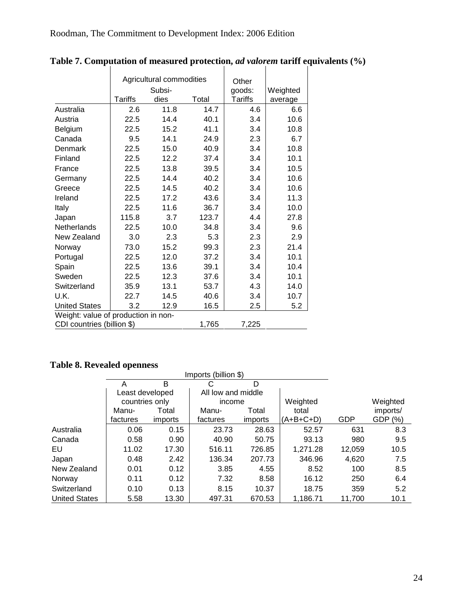|                                     |                | Agricultural commodities<br>Subsi- |       | Other<br>goods: | Weighted |
|-------------------------------------|----------------|------------------------------------|-------|-----------------|----------|
|                                     | <b>Tariffs</b> | dies                               | Total | <b>Tariffs</b>  | average  |
| Australia                           | 2.6            | 11.8                               | 14.7  | 4.6             | 6.6      |
| Austria                             | 22.5           | 14.4                               | 40.1  | 3.4             | 10.6     |
| Belgium                             | 22.5           | 15.2                               | 41.1  | 3.4             | 10.8     |
| Canada                              | 9.5            | 14.1                               | 24.9  | 2.3             | 6.7      |
| Denmark                             | 22.5           | 15.0                               | 40.9  | 3.4             | 10.8     |
| Finland                             | 22.5           | 12.2                               | 37.4  | 3.4             | 10.1     |
| France                              | 22.5           | 13.8                               | 39.5  | 3.4             | 10.5     |
| Germany                             | 22.5           | 14.4                               | 40.2  | 3.4             | 10.6     |
| Greece                              | 22.5           | 14.5                               | 40.2  | 3.4             | 10.6     |
| Ireland                             | 22.5           | 17.2                               | 43.6  | 3.4             | 11.3     |
| Italy                               | 22.5           | 11.6                               | 36.7  | 3.4             | 10.0     |
| Japan                               | 115.8          | 3.7                                | 123.7 | 4.4             | 27.8     |
| Netherlands                         | 22.5           | 10.0                               | 34.8  | 3.4             | 9.6      |
| New Zealand                         | 3.0            | 2.3                                | 5.3   | 2.3             | 2.9      |
| Norway                              | 73.0           | 15.2                               | 99.3  | 2.3             | 21.4     |
| Portugal                            | 22.5           | 12.0                               | 37.2  | 3.4             | 10.1     |
| Spain                               | 22.5           | 13.6                               | 39.1  | 3.4             | 10.4     |
| Sweden                              | 22.5           | 12.3                               | 37.6  | 3.4             | 10.1     |
| Switzerland                         | 35.9           | 13.1                               | 53.7  | 4.3             | 14.0     |
| U.K.                                | 22.7           | 14.5                               | 40.6  | 3.4             | 10.7     |
| <b>United States</b>                | 3.2            | 12.9                               | 16.5  | 2.5             | 5.2      |
| Weight: value of production in non- |                |                                    |       |                 |          |
| CDI countries (billion \$)          |                |                                    | 1,765 | 7,225           |          |

Table 7. Computation of measured protection, *ad valorem* tariff equivalents (%)

# **Table 8. Revealed openness**

|                      |                 |         | Imports (billion \$) |         |           |        |          |
|----------------------|-----------------|---------|----------------------|---------|-----------|--------|----------|
|                      | А               | B       | С                    | D       |           |        |          |
|                      | Least developed |         | All low and middle   |         |           |        |          |
|                      | countries only  |         | income               |         | Weighted  |        | Weighted |
|                      | Manu-           | Total   | Manu-                | Total   | total     |        | imports/ |
|                      | factures        | imports | factures             | imports | (A+B+C+D) | GDP    | GDP (%)  |
| Australia            | 0.06            | 0.15    | 23.73                | 28.63   | 52.57     | 631    | 8.3      |
| Canada               | 0.58            | 0.90    | 40.90                | 50.75   | 93.13     | 980    | 9.5      |
| EU                   | 11.02           | 17.30   | 516.11               | 726.85  | 1,271.28  | 12,059 | 10.5     |
| Japan                | 0.48            | 2.42    | 136.34               | 207.73  | 346.96    | 4,620  | 7.5      |
| New Zealand          | 0.01            | 0.12    | 3.85                 | 4.55    | 8.52      | 100    | 8.5      |
| Norway               | 0.11            | 0.12    | 7.32                 | 8.58    | 16.12     | 250    | 6.4      |
| Switzerland          | 0.10            | 0.13    | 8.15                 | 10.37   | 18.75     | 359    | 5.2      |
| <b>United States</b> | 5.58            | 13.30   | 497.31               | 670.53  | 1.186.71  | 11,700 | 10.1     |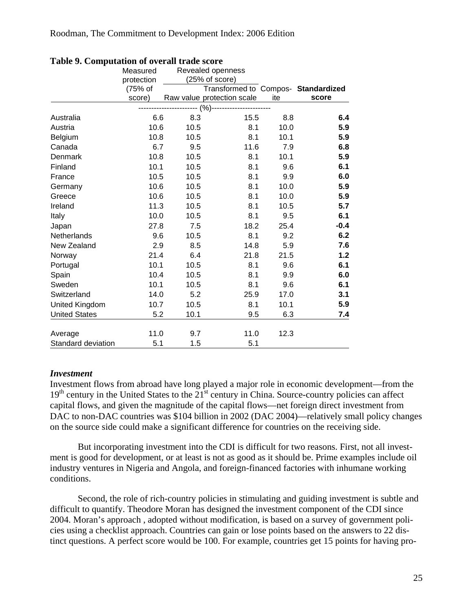|                      | Measured   |      | Revealed openness                   |      |        |
|----------------------|------------|------|-------------------------------------|------|--------|
|                      | protection |      | (25% of score)                      |      |        |
|                      | (75% of    |      | Transformed to Compos- Standardized |      |        |
|                      | score)     |      | Raw value protection scale          | ite  | score  |
|                      |            |      | - (%)-                              |      |        |
| Australia            | 6.6        | 8.3  | 15.5                                | 8.8  | 6.4    |
| Austria              | 10.6       | 10.5 | 8.1                                 | 10.0 | 5.9    |
| Belgium              | 10.8       | 10.5 | 8.1                                 | 10.1 | 5.9    |
| Canada               | 6.7        | 9.5  | 11.6                                | 7.9  | 6.8    |
| Denmark              | 10.8       | 10.5 | 8.1                                 | 10.1 | 5.9    |
| Finland              | 10.1       | 10.5 | 8.1                                 | 9.6  | 6.1    |
| France               | 10.5       | 10.5 | 8.1                                 | 9.9  | 6.0    |
| Germany              | 10.6       | 10.5 | 8.1                                 | 10.0 | 5.9    |
| Greece               | 10.6       | 10.5 | 8.1                                 | 10.0 | 5.9    |
| Ireland              | 11.3       | 10.5 | 8.1                                 | 10.5 | 5.7    |
| Italy                | 10.0       | 10.5 | 8.1                                 | 9.5  | 6.1    |
| Japan                | 27.8       | 7.5  | 18.2                                | 25.4 | $-0.4$ |
| Netherlands          | 9.6        | 10.5 | 8.1                                 | 9.2  | 6.2    |
| New Zealand          | 2.9        | 8.5  | 14.8                                | 5.9  | 7.6    |
| Norway               | 21.4       | 6.4  | 21.8                                | 21.5 | 1.2    |
| Portugal             | 10.1       | 10.5 | 8.1                                 | 9.6  | 6.1    |
| Spain                | 10.4       | 10.5 | 8.1                                 | 9.9  | 6.0    |
| Sweden               | 10.1       | 10.5 | 8.1                                 | 9.6  | 6.1    |
| Switzerland          | 14.0       | 5.2  | 25.9                                | 17.0 | 3.1    |
| United Kingdom       | 10.7       | 10.5 | 8.1                                 | 10.1 | 5.9    |
| <b>United States</b> | 5.2        | 10.1 | 9.5                                 | 6.3  | 7.4    |
| Average              | 11.0       | 9.7  | 11.0                                | 12.3 |        |
| Standard deviation   | 5.1        | 1.5  | 5.1                                 |      |        |

#### **Table 9. Computation of overall trade score**

### *Investment*

Investment flows from abroad have long played a major role in economic development—from the  $19<sup>th</sup>$  century in the United States to the  $21<sup>st</sup>$  century in China. Source-country policies can affect capital flows, and given the magnitude of the capital flows—net foreign direct investment from DAC to non-DAC countries was \$104 billion in 2002 (DAC 2004)—relatively small policy changes on the source side could make a significant difference for countries on the receiving side.

But incorporating investment into the CDI is difficult for two reasons. First, not all investment is good for development, or at least is not as good as it should be. Prime examples include oil industry ventures in Nigeria and Angola, and foreign-financed factories with inhumane working conditions.

Second, the role of rich-country policies in stimulating and guiding investment is subtle and difficult to quantify. Theodore Moran has designed the investment component of the CDI since 2004. Moran's approach , adopted without modification, is based on a survey of government policies using a checklist approach. Countries can gain or lose points based on the answers to 22 distinct questions. A perfect score would be 100. For example, countries get 15 points for having pro-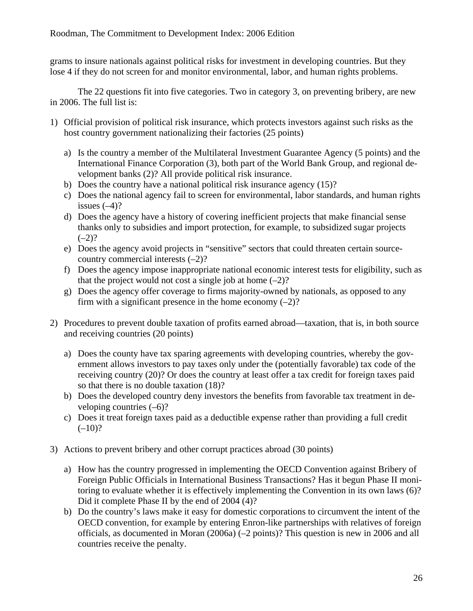grams to insure nationals against political risks for investment in developing countries. But they lose 4 if they do not screen for and monitor environmental, labor, and human rights problems.

The 22 questions fit into five categories. Two in category 3, on preventing bribery, are new in 2006. The full list is:

- 1) Official provision of political risk insurance, which protects investors against such risks as the host country government nationalizing their factories (25 points)
	- a) Is the country a member of the Multilateral Investment Guarantee Agency (5 points) and the International Finance Corporation (3), both part of the World Bank Group, and regional development banks (2)? All provide political risk insurance.
	- b) Does the country have a national political risk insurance agency (15)?
	- c) Does the national agency fail to screen for environmental, labor standards, and human rights issues  $(-4)$ ?
	- d) Does the agency have a history of covering inefficient projects that make financial sense thanks only to subsidies and import protection, for example, to subsidized sugar projects  $(-2)?$
	- e) Does the agency avoid projects in "sensitive" sectors that could threaten certain sourcecountry commercial interests (–2)?
	- f) Does the agency impose inappropriate national economic interest tests for eligibility, such as that the project would not cost a single job at home  $(-2)$ ?
	- g) Does the agency offer coverage to firms majority-owned by nationals, as opposed to any firm with a significant presence in the home economy  $(-2)$ ?
- 2) Procedures to prevent double taxation of profits earned abroad—taxation, that is, in both source and receiving countries (20 points)
	- a) Does the county have tax sparing agreements with developing countries, whereby the government allows investors to pay taxes only under the (potentially favorable) tax code of the receiving country (20)? Or does the country at least offer a tax credit for foreign taxes paid so that there is no double taxation (18)?
	- b) Does the developed country deny investors the benefits from favorable tax treatment in developing countries  $(-6)$ ?
	- c) Does it treat foreign taxes paid as a deductible expense rather than providing a full credit  $(-10)$ ?
- 3) Actions to prevent bribery and other corrupt practices abroad (30 points)
	- a) How has the country progressed in implementing the OECD Convention against Bribery of Foreign Public Officials in International Business Transactions? Has it begun Phase II monitoring to evaluate whether it is effectively implementing the Convention in its own laws (6)? Did it complete Phase II by the end of 2004 (4)?
	- b) Do the country's laws make it easy for domestic corporations to circumvent the intent of the OECD convention, for example by entering Enron-like partnerships with relatives of foreign officials, as documented in Moran (2006a) (–2 points)? This question is new in 2006 and all countries receive the penalty.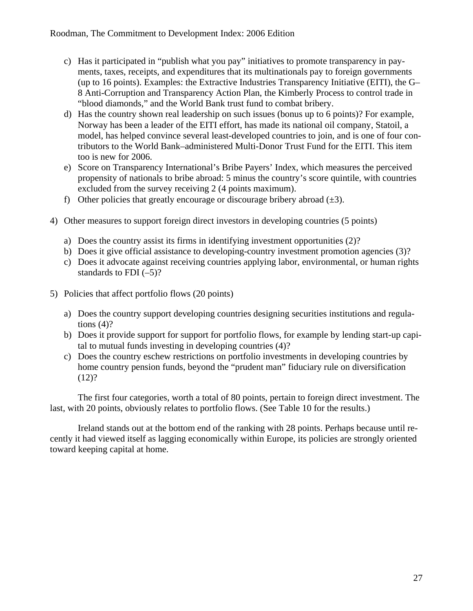- c) Has it participated in "publish what you pay" initiatives to promote transparency in payments, taxes, receipts, and expenditures that its multinationals pay to foreign governments (up to 16 points). Examples: the Extractive Industries Transparency Initiative (EITI), the G– 8 Anti-Corruption and Transparency Action Plan, the Kimberly Process to control trade in "blood diamonds," and the World Bank trust fund to combat bribery.
- d) Has the country shown real leadership on such issues (bonus up to 6 points)? For example, Norway has been a leader of the EITI effort, has made its national oil company, Statoil, a model, has helped convince several least-developed countries to join, and is one of four contributors to the World Bank–administered Multi-Donor Trust Fund for the EITI. This item too is new for 2006.
- e) Score on Transparency International's Bribe Payers' Index, which measures the perceived propensity of nationals to bribe abroad: 5 minus the country's score quintile, with countries excluded from the survey receiving 2 (4 points maximum).
- f) Other policies that greatly encourage or discourage bribery abroad  $(\pm 3)$ .
- 4) Other measures to support foreign direct investors in developing countries (5 points)
	- a) Does the country assist its firms in identifying investment opportunities (2)?
	- b) Does it give official assistance to developing-country investment promotion agencies (3)?
	- c) Does it advocate against receiving countries applying labor, environmental, or human rights standards to FDI  $(-5)$ ?
- 5) Policies that affect portfolio flows (20 points)
	- a) Does the country support developing countries designing securities institutions and regulations  $(4)$ ?
	- b) Does it provide support for support for portfolio flows, for example by lending start-up capital to mutual funds investing in developing countries (4)?
	- c) Does the country eschew restrictions on portfolio investments in developing countries by home country pension funds, beyond the "prudent man" fiduciary rule on diversification  $(12)?$

The first four categories, worth a total of 80 points, pertain to foreign direct investment. The last, with 20 points, obviously relates to portfolio flows. (See Table 10 for the results.)

Ireland stands out at the bottom end of the ranking with 28 points. Perhaps because until recently it had viewed itself as lagging economically within Europe, its policies are strongly oriented toward keeping capital at home.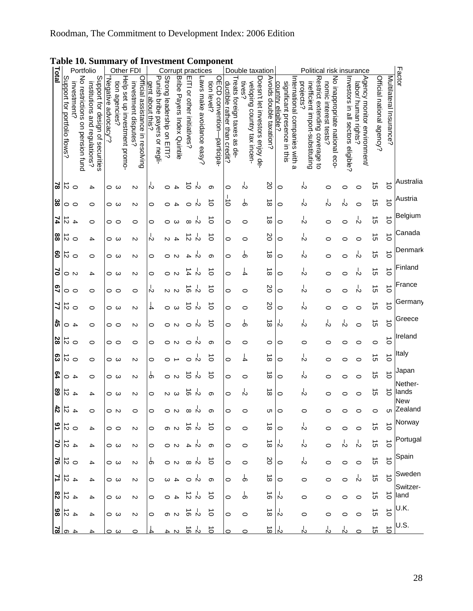| Total           |                              | Portfolio                                        |                                                                   |                      |                 |                               | Other FDI                                               |                                                   | Corrupt practices          |                                       |                            |                           |                                           |                              |                            |                                       | Double taxation                 |                         |                                                                                     | Political                                                                                     |                                                         |                                    | risk insurance                                      |                           |                         |                  |
|-----------------|------------------------------|--------------------------------------------------|-------------------------------------------------------------------|----------------------|-----------------|-------------------------------|---------------------------------------------------------|---------------------------------------------------|----------------------------|---------------------------------------|----------------------------|---------------------------|-------------------------------------------|------------------------------|----------------------------|---------------------------------------|---------------------------------|-------------------------|-------------------------------------------------------------------------------------|-----------------------------------------------------------------------------------------------|---------------------------------------------------------|------------------------------------|-----------------------------------------------------|---------------------------|-------------------------|------------------|
|                 | Support for portfolio flows? | No restrictions<br>mvestment?<br>on pension fund | Support for design of securities<br>institutions and regulations? | "Kegative advocacy"? | tion agencies?  | Help set up investment promo- | Official assistance in resolving<br>investment disputes | Punish bribe payers or negli-<br>gent about this? | Strong leadership on EITI? | <b>Bribe</b><br>Payers Index Quintile | EITI or other initiatives? | -aws make avoidance easy? | OECD convention-participa-<br>tion level? | ductible rather than credit? | reats foreign taxes as de- | tives?<br>veloping country tax incen- | Doesn't let investors enjoy de- | Avoids double taxation? | International companies with a<br>significant presence in this<br>country eligible? | Restrict extending coverage<br>projects?<br>inefficient import-substituting<br>$\overline{5}$ | No inappropriate national eco-<br>nomic interest tests? | Investors in all sectors eligible? | Agency monitor environment/<br>labor/ human rights? | Official national agency? | Multilateral Insurance? | Factor           |
| 2               | 5                            | $\circ$                                          | 4                                                                 |                      | ဝ ယ             |                               | N                                                       | Ň                                                 | 0                          | 4                                     | $\circ$                    | Ň                         | တ                                         | 0                            |                            | Ň                                     |                                 | 20                      | $\circ$                                                                             | よ                                                                                             | 0                                                       | 0                                  | 0                                                   | $\overline{c}$            | $\vec{0}$               | Australia        |
| ္ထ              | 0 0                          |                                                  | 0                                                                 |                      | ဝ ယ             |                               | N                                                       | 0                                                 | 0                          | 4                                     | 0                          | Ň                         | $\circ$                                   | ਠੋ                           |                            | თ                                     |                                 | $\vec{\infty}$          | 0                                                                                   | ή                                                                                             | ή                                                       | ή                                  | 0                                                   | $\vec{q}$                 | $\vec{o}$               | Austria          |
| 74              | $\sim$                       | $\overline{1}$                                   | 0                                                                 |                      | 00              |                               | 0                                                       | 0                                                 | 0                          | ω                                     | ∞                          |                           | $\circ$                                   | 0                            |                            | 0                                     |                                 | $\infty$                | 0                                                                                   | Ň                                                                                             | 0                                                       | 0                                  | Ň                                                   | $\vec{5}$                 | $\vec{o}$               | Belgium          |
| 88              | ನ                            | $\circ$                                          | 4                                                                 |                      | ဝ ယ             |                               | N                                                       | Ņ                                                 | N                          | 4                                     | ನ                          | Ň                         | ਠੋ                                        | 0                            |                            | 0                                     |                                 | 20                      | 0                                                                                   | ή                                                                                             | 0                                                       | 0                                  | 0                                                   | ີຕ                        | $\vec{0}$               | Canada           |
| ဇွ              | $\frac{1}{\circ}$            |                                                  | 0                                                                 |                      | ဝ ယ             |                               | N                                                       | 0                                                 | 0                          | N                                     | 4                          | N                         | တ                                         | 0                            |                            | Ġ                                     |                                 | $\infty$                | 0                                                                                   | Y                                                                                             | 0                                                       | 0                                  | r,                                                  | $\vec{c}$                 | $\vec{o}$               | Denmark          |
| 5               | $\circ$ N                    |                                                  | 4                                                                 |                      | ဝ ယ             |                               | N                                                       | 0                                                 | 0                          | N                                     | 4                          | Ň                         | $\vec{0}$                                 | 0                            |                            | 4                                     |                                 | $\vec{\infty}$          | $\circ$                                                                             | Y                                                                                             | $\circ$                                                 | 0                                  | Y                                                   | $\vec{\sigma}$            | $\vec{0}$               | Finland          |
| 2               | 00                           |                                                  | 0                                                                 |                      | 00              |                               | 0                                                       | ή                                                 |                            | 10 N                                  | $\vec{0}$                  | N                         | $\vec{0}$                                 | 0                            |                            | 0                                     |                                 | 2O                      | 0                                                                                   | よ                                                                                             | 0                                                       | 0                                  | Ň                                                   | $\vec{c}$                 | $\vec{o}$               | France           |
| 4               | ನ                            | $\circ$                                          | 0                                                                 |                      | ဝ ယ             |                               | N                                                       | 4                                                 | 0                          | ယ                                     | ਠੋ                         | r,                        | ਠੋ                                        | 0                            |                            | 0                                     |                                 | 20                      | $\circ$                                                                             | ☆                                                                                             | 0                                                       | 0                                  | 0                                                   | $\vec{\sigma}$            | $\vec{0}$               | Germany          |
| 45              | $4\circ$                     |                                                  | 0                                                                 |                      | 00              |                               | N                                                       | 0                                                 | 0                          | N                                     | 0                          | Ň                         | $\circ$                                   | 0                            |                            | Ò                                     |                                 | $\vec{\infty}$          | Ň                                                                                   | Y                                                                                             | ß                                                       | ή                                  | 0                                                   | $\vec{c}$                 | $\vec{0}$               | Greece           |
| 28              | 5                            | $\circ$                                          | 0                                                                 |                      | 00              |                               | 0                                                       | 0                                                 | 0                          | N                                     | 0                          |                           | တ                                         | 0                            |                            | 0                                     |                                 | $\circ$                 | 0                                                                                   | 0                                                                                             | 0                                                       | 0                                  | 0                                                   | $\circ$                   | $\vec{o}$               | Ireland          |
| ဥ               | $\vec{z}$                    | $\circ$                                          | 0                                                                 |                      | ဝ ယ             |                               | N                                                       | 0                                                 | 0                          |                                       |                            |                           | Ó                                         | $\circ$                      |                            | 4                                     |                                 | $\vec{\infty}$          | 0                                                                                   | ☆                                                                                             | 0                                                       | 0                                  | O                                                   | $\vec{c}$                 | $\vec{o}$               | Italy            |
| 54              | 0                            | 4                                                | 0                                                                 |                      | ဝ ယ             |                               | N                                                       | රා                                                | 0                          | $\sim$                                | $\circ$                    | Ň                         | ਠੋ                                        | 0                            |                            | 0                                     |                                 | $\infty$                | 0                                                                                   | ή                                                                                             | 0                                                       | 0                                  | 0                                                   | Cη                        | $\vec{0}$               | Japan<br>Nether- |
| 89              | $\vec{z}$                    | $\overline{1}$                                   | 4                                                                 |                      | ဝ ယ             |                               | N                                                       | 0                                                 | $\mathsf{N}$               | ω                                     | ಕ                          | N                         | တ                                         | 0                            |                            | ņ                                     |                                 | $\vec{\infty}$          | 0                                                                                   | Y                                                                                             | $\circ$                                                 | 0                                  | $\circ$                                             | $\vec{q}$                 | $\vec{0}$               | lands<br>New     |
| $\frac{42}{5}$  | $\vec{v}$                    | $\overline{1}$                                   | 0                                                                 |                      | ೦ N             |                               | $\circ$                                                 | 0                                                 |                            | ೦ N                                   | ∞                          | Ň                         | თ                                         | $\circ$                      |                            | 0                                     |                                 | c                       | $\circ$                                                                             | 0                                                                                             | 0                                                       | 0                                  | 0                                                   | 0                         | Cη                      | Zealand          |
| $\frac{1}{2}$   |                              |                                                  | 4                                                                 |                      | $\circ$ $\circ$ |                               | N                                                       | 0                                                 |                            | ၈ N                                   | る や                        |                           | $\vec{0}$                                 | $\circ$                      |                            | $\circ$                               |                                 | $\vec{\infty}$          | $\circ$                                                                             | ή                                                                                             | $\circ$                                                 | $\circ$                            | $\circ$                                             | $\vec{\sigma}$            | $\vec{o}$               | Norway           |
| $rac{1}{2}$     |                              |                                                  | 4                                                                 |                      | ဝ ယ             |                               | N                                                       | 0                                                 |                            | O N                                   |                            | Ù 4                       | $\infty$                                  | $\circ$                      |                            | $\circ$                               |                                 | $\frac{1}{\infty}$      |                                                                                     | r<br>P                                                                                        | $\circ$                                                 | ¦^                                 | k,                                                  | $\vec{q}$                 | $\vec{0}$               | Portugal         |
| $\frac{51}{26}$ |                              |                                                  | 4                                                                 |                      | ဝ ယ             |                               | N                                                       | Ⴛ                                                 |                            | O N                                   |                            | ∞ స                       | $\vec{0}$                                 | $\circ$                      |                            | $\circ$                               |                                 | SO                      | $\circ$                                                                             | ή                                                                                             | $\circ$                                                 | $\circ$                            | $\circ$                                             | $\vec{\sigma}$            | $\vec{o}$               | Spain<br>Sweden  |
| 7               | $\frac{4}{9}$                |                                                  | 4                                                                 |                      | ဝ ယ             |                               | N                                                       | 0                                                 | $\sim$                     | $\overline{a}$                        | $\circ$                    |                           | တ                                         | $\circ$                      |                            | Ⴛ                                     |                                 | $\vec{\infty}$          | $\circ$                                                                             | $\circ$                                                                                       | $\circ$                                                 | $\circ$                            | Y                                                   | $\vec{q}$                 | $\vec{o}$               | Switzer-         |
| 83              | $rac{4}{5}$                  |                                                  | 4                                                                 |                      | ဝ ယ             |                               | N                                                       | 0                                                 |                            | $4^\circ$                             | 고 인                        |                           | ᅙ                                         | 0                            |                            | Ⴛ                                     |                                 | $\vec{\circ}$           | 心                                                                                   | 0                                                                                             | 0                                                       | 0                                  | $\circ$                                             | C                         | $\vec{o}$               | land<br>U.K.     |
| $rac{1}{28}$    |                              |                                                  | 4                                                                 |                      | ဝ ယ             |                               | N                                                       | 0                                                 |                            | စ လ                                   | ㅎ ド                        |                           | $\vec{0}$                                 | $\circ$                      |                            | $\circ$                               |                                 | $\vec{\infty}$          | Ņ                                                                                   | $\circ$                                                                                       | 0                                                       | 0                                  | $\circ$                                             | $\vec{\sigma}$            | $\vec{o}$               | U.S.             |
| $\frac{4}{5}$   |                              |                                                  |                                                                   |                      | ဝ ယ             |                               | $\circ$                                                 |                                                   | 4                          | $\mathbf{\mathsf{N}}$                 | $\vec{e}$                  | Ń                         | $\vec{o}$                                 | 0                            |                            | 0                                     |                                 | <u>ಹ ಸಿ</u>             |                                                                                     | ή                                                                                             |                                                         |                                    |                                                     | c                         | $\vec{o}$               |                  |

# **Table 10. Summary of Investment Component**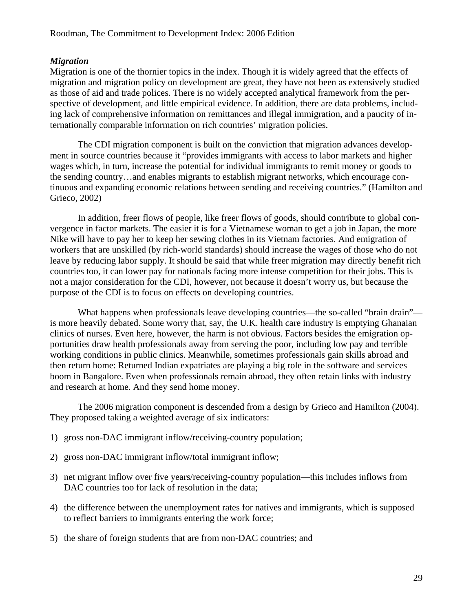# *Migration*

Migration is one of the thornier topics in the index. Though it is widely agreed that the effects of migration and migration policy on development are great, they have not been as extensively studied as those of aid and trade polices. There is no widely accepted analytical framework from the perspective of development, and little empirical evidence. In addition, there are data problems, including lack of comprehensive information on remittances and illegal immigration, and a paucity of internationally comparable information on rich countries' migration policies.

The CDI migration component is built on the conviction that migration advances development in source countries because it "provides immigrants with access to labor markets and higher wages which, in turn, increase the potential for individual immigrants to remit money or goods to the sending country…and enables migrants to establish migrant networks, which encourage continuous and expanding economic relations between sending and receiving countries." (Hamilton and Grieco, 2002)

In addition, freer flows of people, like freer flows of goods, should contribute to global convergence in factor markets. The easier it is for a Vietnamese woman to get a job in Japan, the more Nike will have to pay her to keep her sewing clothes in its Vietnam factories. And emigration of workers that are unskilled (by rich-world standards) should increase the wages of those who do not leave by reducing labor supply. It should be said that while freer migration may directly benefit rich countries too, it can lower pay for nationals facing more intense competition for their jobs. This is not a major consideration for the CDI, however, not because it doesn't worry us, but because the purpose of the CDI is to focus on effects on developing countries.

What happens when professionals leave developing countries—the so-called "brain drain" is more heavily debated. Some worry that, say, the U.K. health care industry is emptying Ghanaian clinics of nurses. Even here, however, the harm is not obvious. Factors besides the emigration opportunities draw health professionals away from serving the poor, including low pay and terrible working conditions in public clinics. Meanwhile, sometimes professionals gain skills abroad and then return home: Returned Indian expatriates are playing a big role in the software and services boom in Bangalore. Even when professionals remain abroad, they often retain links with industry and research at home. And they send home money.

The 2006 migration component is descended from a design by Grieco and Hamilton (2004). They proposed taking a weighted average of six indicators:

- 1) gross non-DAC immigrant inflow/receiving-country population;
- 2) gross non-DAC immigrant inflow/total immigrant inflow;
- 3) net migrant inflow over five years/receiving-country population—this includes inflows from DAC countries too for lack of resolution in the data;
- 4) the difference between the unemployment rates for natives and immigrants, which is supposed to reflect barriers to immigrants entering the work force;
- 5) the share of foreign students that are from non-DAC countries; and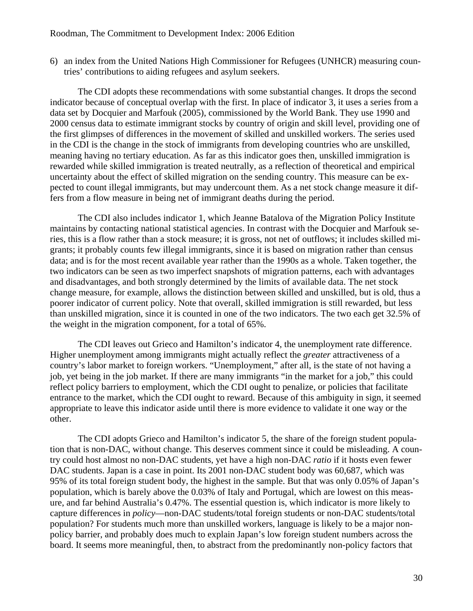6) an index from the United Nations High Commissioner for Refugees (UNHCR) measuring countries' contributions to aiding refugees and asylum seekers.

The CDI adopts these recommendations with some substantial changes. It drops the second indicator because of conceptual overlap with the first. In place of indicator 3, it uses a series from a data set by Docquier and Marfouk (2005), commissioned by the World Bank. They use 1990 and 2000 census data to estimate immigrant stocks by country of origin and skill level, providing one of the first glimpses of differences in the movement of skilled and unskilled workers. The series used in the CDI is the change in the stock of immigrants from developing countries who are unskilled, meaning having no tertiary education. As far as this indicator goes then, unskilled immigration is rewarded while skilled immigration is treated neutrally, as a reflection of theoretical and empirical uncertainty about the effect of skilled migration on the sending country. This measure can be expected to count illegal immigrants, but may undercount them. As a net stock change measure it differs from a flow measure in being net of immigrant deaths during the period.

The CDI also includes indicator 1, which Jeanne Batalova of the Migration Policy Institute maintains by contacting national statistical agencies. In contrast with the Docquier and Marfouk series, this is a flow rather than a stock measure; it is gross, not net of outflows; it includes skilled migrants; it probably counts few illegal immigrants, since it is based on migration rather than census data; and is for the most recent available year rather than the 1990s as a whole. Taken together, the two indicators can be seen as two imperfect snapshots of migration patterns, each with advantages and disadvantages, and both strongly determined by the limits of available data. The net stock change measure, for example, allows the distinction between skilled and unskilled, but is old, thus a poorer indicator of current policy. Note that overall, skilled immigration is still rewarded, but less than unskilled migration, since it is counted in one of the two indicators. The two each get 32.5% of the weight in the migration component, for a total of 65%.

The CDI leaves out Grieco and Hamilton's indicator 4, the unemployment rate difference. Higher unemployment among immigrants might actually reflect the *greater* attractiveness of a country's labor market to foreign workers. "Unemployment," after all, is the state of not having a job, yet being in the job market. If there are many immigrants "in the market for a job," this could reflect policy barriers to employment, which the CDI ought to penalize, or policies that facilitate entrance to the market, which the CDI ought to reward. Because of this ambiguity in sign, it seemed appropriate to leave this indicator aside until there is more evidence to validate it one way or the other.

The CDI adopts Grieco and Hamilton's indicator 5, the share of the foreign student population that is non-DAC, without change. This deserves comment since it could be misleading. A country could host almost no non-DAC students, yet have a high non-DAC *ratio* if it hosts even fewer DAC students. Japan is a case in point. Its 2001 non-DAC student body was 60,687, which was 95% of its total foreign student body, the highest in the sample. But that was only 0.05% of Japan's population, which is barely above the 0.03% of Italy and Portugal, which are lowest on this measure, and far behind Australia's 0.47%. The essential question is, which indicator is more likely to capture differences in *policy*—non-DAC students/total foreign students or non-DAC students/total population? For students much more than unskilled workers, language is likely to be a major nonpolicy barrier, and probably does much to explain Japan's low foreign student numbers across the board. It seems more meaningful, then, to abstract from the predominantly non-policy factors that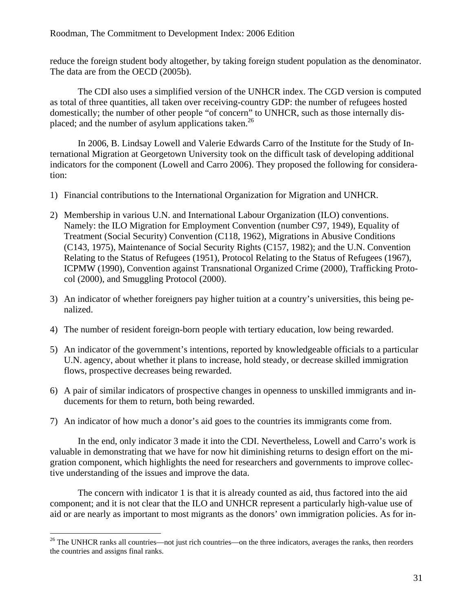#### Roodman, The Commitment to Development Index: 2006 Edition

reduce the foreign student body altogether, by taking foreign student population as the denominator. The data are from the OECD (2005b).

The CDI also uses a simplified version of the UNHCR index. The CGD version is computed as total of three quantities, all taken over receiving-country GDP: the number of refugees hosted domestically; the number of other people "of concern" to UNHCR, such as those internally displaced; and the number of asylum applications taken.<sup>26</sup>

In 2006, B. Lindsay Lowell and Valerie Edwards Carro of the Institute for the Study of International Migration at Georgetown University took on the difficult task of developing additional indicators for the component (Lowell and Carro 2006). They proposed the following for consideration:

- 1) Financial contributions to the International Organization for Migration and UNHCR.
- 2) Membership in various U.N. and International Labour Organization (ILO) conventions. Namely: the ILO Migration for Employment Convention (number C97, 1949), Equality of Treatment (Social Security) Convention (C118, 1962), Migrations in Abusive Conditions (C143, 1975), Maintenance of Social Security Rights (C157, 1982); and the U.N. Convention Relating to the Status of Refugees (1951), Protocol Relating to the Status of Refugees (1967), ICPMW (1990), Convention against Transnational Organized Crime (2000), Trafficking Protocol (2000), and Smuggling Protocol (2000).
- 3) An indicator of whether foreigners pay higher tuition at a country's universities, this being penalized.
- 4) The number of resident foreign-born people with tertiary education, low being rewarded.
- 5) An indicator of the government's intentions, reported by knowledgeable officials to a particular U.N. agency, about whether it plans to increase, hold steady, or decrease skilled immigration flows, prospective decreases being rewarded.
- 6) A pair of similar indicators of prospective changes in openness to unskilled immigrants and inducements for them to return, both being rewarded.
- 7) An indicator of how much a donor's aid goes to the countries its immigrants come from.

In the end, only indicator 3 made it into the CDI. Nevertheless, Lowell and Carro's work is valuable in demonstrating that we have for now hit diminishing returns to design effort on the migration component, which highlights the need for researchers and governments to improve collective understanding of the issues and improve the data.

The concern with indicator 1 is that it is already counted as aid, thus factored into the aid component; and it is not clear that the ILO and UNHCR represent a particularly high-value use of aid or are nearly as important to most migrants as the donors' own immigration policies. As for in-

 $26$  The UNHCR ranks all countries—not just rich countries—on the three indicators, averages the ranks, then reorders the countries and assigns final ranks.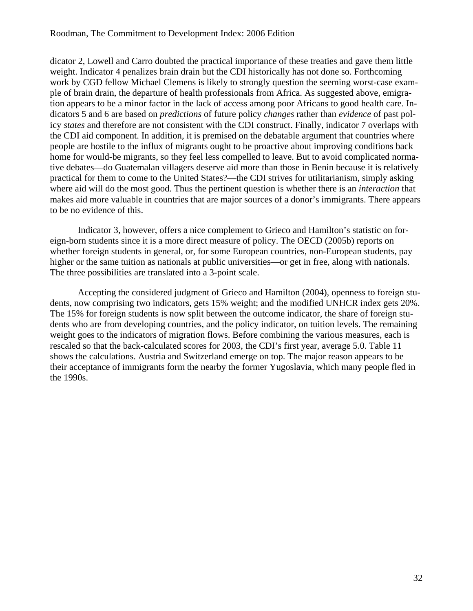#### Roodman, The Commitment to Development Index: 2006 Edition

dicator 2, Lowell and Carro doubted the practical importance of these treaties and gave them little weight. Indicator 4 penalizes brain drain but the CDI historically has not done so. Forthcoming work by CGD fellow Michael Clemens is likely to strongly question the seeming worst-case example of brain drain, the departure of health professionals from Africa. As suggested above, emigration appears to be a minor factor in the lack of access among poor Africans to good health care. Indicators 5 and 6 are based on *predictions* of future policy *changes* rather than *evidence* of past policy *states* and therefore are not consistent with the CDI construct. Finally, indicator 7 overlaps with the CDI aid component. In addition, it is premised on the debatable argument that countries where people are hostile to the influx of migrants ought to be proactive about improving conditions back home for would-be migrants, so they feel less compelled to leave. But to avoid complicated normative debates—do Guatemalan villagers deserve aid more than those in Benin because it is relatively practical for them to come to the United States?—the CDI strives for utilitarianism, simply asking where aid will do the most good. Thus the pertinent question is whether there is an *interaction* that makes aid more valuable in countries that are major sources of a donor's immigrants. There appears to be no evidence of this.

Indicator 3, however, offers a nice complement to Grieco and Hamilton's statistic on foreign-born students since it is a more direct measure of policy. The OECD (2005b) reports on whether foreign students in general, or, for some European countries, non-European students, pay higher or the same tuition as nationals at public universities—or get in free, along with nationals. The three possibilities are translated into a 3-point scale.

Accepting the considered judgment of Grieco and Hamilton (2004), openness to foreign students, now comprising two indicators, gets 15% weight; and the modified UNHCR index gets 20%. The 15% for foreign students is now split between the outcome indicator, the share of foreign students who are from developing countries, and the policy indicator, on tuition levels. The remaining weight goes to the indicators of migration flows. Before combining the various measures, each is rescaled so that the back-calculated scores for 2003, the CDI's first year, average 5.0. Table 11 shows the calculations. Austria and Switzerland emerge on top. The major reason appears to be their acceptance of immigrants form the nearby the former Yugoslavia, which many people fled in the 1990s.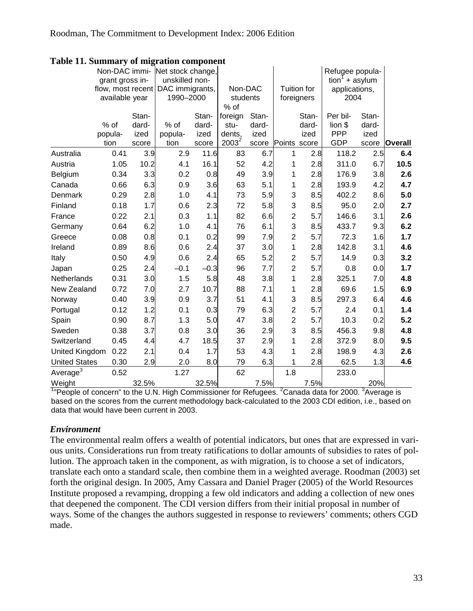|                       | Non-DAC immi-   |       | Net stock change,                 |               |                           |              |                         |             | Refugee popula-       |       |                |
|-----------------------|-----------------|-------|-----------------------------------|---------------|---------------------------|--------------|-------------------------|-------------|-----------------------|-------|----------------|
|                       | grant gross in- |       | unskilled non-                    |               |                           |              |                         |             | $tion1 + asylum$      |       |                |
|                       |                 |       | flow, most recent DAC immigrants, |               | Non-DAC                   |              |                         | Tuition for | applications,         |       |                |
|                       | available year  |       | 1990-2000                         |               | students                  |              |                         | foreigners  | 2004                  |       |                |
|                       |                 |       |                                   |               | % of                      |              |                         |             |                       |       |                |
|                       |                 | Stan- |                                   | Stan-         | foreign                   | Stan-        |                         | Stan-       | Per bil-              | Stan- |                |
|                       | % of            | dard- | % of                              | dard-         | stu-                      | dard-        |                         | dard-       | lion \$<br><b>PPP</b> | dard- |                |
|                       | popula-<br>tion | ized  | popula-<br>tion                   | ized          | dents,<br>$\sqrt{2003^2}$ | ized         |                         | ized        | <b>GDP</b>            | ized  | <b>Overall</b> |
| Australia             | 0.41            | score | 2.9                               | score<br>11.6 | 83                        | score<br>6.7 | Points score            | 2.8         | 118.2                 | score |                |
|                       |                 | 3.9   |                                   |               |                           |              | 1                       |             |                       | 2.5   | 6.4            |
| Austria               | 1.05            | 10.2  | 4.1                               | 16.1          | 52                        | 4.2          | 1                       | 2.8         | 311.0                 | 6.7   | 10.5           |
| Belgium               | 0.34            | 3.3   | 0.2                               | 0.8           | 49                        | 3.9          | 1                       | 2.8         | 176.9                 | 3.8   | 2.6            |
| Canada                | 0.66            | 6.3   | 0.9                               | 3.6           | 63                        | 5.1          | 1                       | 2.8         | 193.9                 | 4.2   | 4.7            |
| Denmark               | 0.29            | 2.8   | 1.0                               | 4.1           | 73                        | 5.9          | 3                       | 8.5         | 402.2                 | 8.6   | 5.0            |
| Finland               | 0.18            | 1.7   | 0.6                               | 2.3           | 72                        | 5.8          | 3                       | 8.5         | 95.0                  | 2.0   | 2.7            |
| France                | 0.22            | 2.1   | 0.3                               | 1.1           | 82                        | 6.6          | $\overline{c}$          | 5.7         | 146.6                 | 3.1   | 2.6            |
| Germany               | 0.64            | 6.2   | 1.0                               | 4.1           | 76                        | 6.1          | 3                       | 8.5         | 433.7                 | 9.3   | 6.2            |
| Greece                | 0.08            | 0.8   | 0.1                               | 0.2           | 99                        | 7.9          | $\overline{c}$          | 5.7         | 72.3                  | 1.6   | 1.7            |
| Ireland               | 0.89            | 8.6   | 0.6                               | 2.4           | 37                        | 3.0          | 1                       | 2.8         | 142.8                 | 3.1   | 4.6            |
| Italy                 | 0.50            | 4.9   | 0.6                               | 2.4           | 65                        | 5.2          | $\overline{\mathbf{c}}$ | 5.7         | 14.9                  | 0.3   | 3.2            |
| Japan                 | 0.25            | 2.4   | $-0.1$                            | $-0.3$        | 96                        | 7.7          | $\overline{2}$          | 5.7         | 0.8                   | 0.0   | 1.7            |
| Netherlands           | 0.31            | 3.0   | 1.5                               | 5.8           | 48                        | 3.8          | 1                       | 2.8         | 325.1                 | 7.0   | 4.8            |
| New Zealand           | 0.72            | 7.0   | 2.7                               | 10.7          | 88                        | 7.1          | 1                       | 2.8         | 69.6                  | 1.5   | 6.9            |
| Norway                | 0.40            | 3.9   | 0.9                               | 3.7           | 51                        | 4.1          | 3                       | 8.5         | 297.3                 | 6.4   | 4.6            |
| Portugal              | 0.12            | 1.2   | 0.1                               | 0.3           | 79                        | 6.3          | $\overline{c}$          | 5.7         | 2.4                   | 0.1   | 1.4            |
| Spain                 | 0.90            | 8.7   | 1.3                               | 5.0           | 47                        | 3.8          | $\overline{c}$          | 5.7         | 10.3                  | 0.2   | 5.2            |
| Sweden                | 0.38            | 3.7   | 0.8                               | 3.0           | 36                        | 2.9          | 3                       | 8.5         | 456.3                 | 9.8   | 4.8            |
| Switzerland           | 0.45            | 4.4   | 4.7                               | 18.5          | 37                        | 2.9          | 1                       | 2.8         | 372.9                 | 8.0   | 9.5            |
| <b>United Kingdom</b> | 0.22            | 2.1   | 0.4                               | 1.7           | 53                        | 4.3          | 1                       | 2.8         | 198.9                 | 4.3   | 2.6            |
| <b>United States</b>  | 0.30            | 2.9   | 2.0                               | 8.0           | 79                        | 6.3          | 1                       | 2.8         | 62.5                  | 1.3   | 4.6            |
| Average $3$           | 0.52            |       | 1.27                              |               | 62                        |              | 1.8                     |             | 233.0                 |       |                |
| Weight                |                 | 32.5% |                                   | 32.5%         |                           | 7.5%         |                         | 7.5%        |                       | 20%   |                |

**Table 11. Summary of migration component** 

 $1$ <sup>n</sup> People of concern" to the U.N. High Commissioner for Refugees. <sup>2</sup> Canada data for 2000. <sup>3</sup> Average is based on the scores from the current methodology back-calculated to the 2003 CDI edition, i.e., based on data that would have been current in 2003.

### *Environment*

The environmental realm offers a wealth of potential indicators, but ones that are expressed in various units. Considerations run from treaty ratifications to dollar amounts of subsidies to rates of pollution. The approach taken in the component, as with migration, is to choose a set of indicators, translate each onto a standard scale, then combine them in a weighted average. Roodman (2003) set forth the original design. In 2005, Amy Cassara and Daniel Prager (2005) of the World Resources Institute proposed a revamping, dropping a few old indicators and adding a collection of new ones that deepened the component. The CDI version differs from their initial proposal in number of ways. Some of the changes the authors suggested in response to reviewers' comments; others CGD made.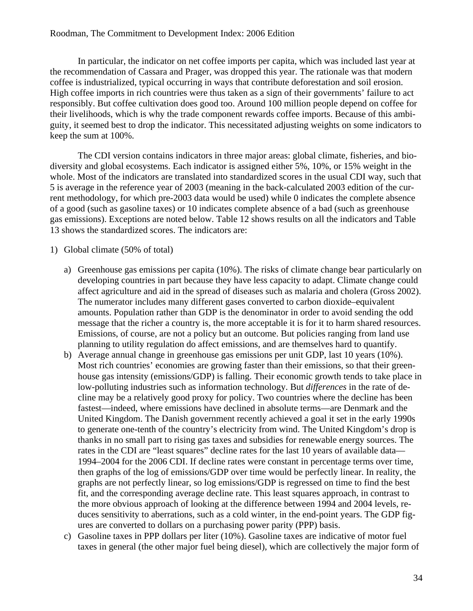#### Roodman, The Commitment to Development Index: 2006 Edition

In particular, the indicator on net coffee imports per capita, which was included last year at the recommendation of Cassara and Prager, was dropped this year. The rationale was that modern coffee is industrialized, typical occurring in ways that contribute deforestation and soil erosion. High coffee imports in rich countries were thus taken as a sign of their governments' failure to act responsibly. But coffee cultivation does good too. Around 100 million people depend on coffee for their livelihoods, which is why the trade component rewards coffee imports. Because of this ambiguity, it seemed best to drop the indicator. This necessitated adjusting weights on some indicators to keep the sum at 100%.

The CDI version contains indicators in three major areas: global climate, fisheries, and biodiversity and global ecosystems. Each indicator is assigned either 5%, 10%, or 15% weight in the whole. Most of the indicators are translated into standardized scores in the usual CDI way, such that 5 is average in the reference year of 2003 (meaning in the back-calculated 2003 edition of the current methodology, for which pre-2003 data would be used) while 0 indicates the complete absence of a good (such as gasoline taxes) or 10 indicates complete absence of a bad (such as greenhouse gas emissions). Exceptions are noted below. Table 12 shows results on all the indicators and Table 13 shows the standardized scores. The indicators are:

#### 1) Global climate (50% of total)

- a) Greenhouse gas emissions per capita (10%). The risks of climate change bear particularly on developing countries in part because they have less capacity to adapt. Climate change could affect agriculture and aid in the spread of diseases such as malaria and cholera (Gross 2002). The numerator includes many different gases converted to carbon dioxide–equivalent amounts. Population rather than GDP is the denominator in order to avoid sending the odd message that the richer a country is, the more acceptable it is for it to harm shared resources. Emissions, of course, are not a policy but an outcome. But policies ranging from land use planning to utility regulation do affect emissions, and are themselves hard to quantify.
- b) Average annual change in greenhouse gas emissions per unit GDP, last 10 years (10%). Most rich countries' economies are growing faster than their emissions, so that their greenhouse gas intensity (emissions/GDP) is falling. Their economic growth tends to take place in low-polluting industries such as information technology. But *differences* in the rate of decline may be a relatively good proxy for policy. Two countries where the decline has been fastest—indeed, where emissions have declined in absolute terms—are Denmark and the United Kingdom. The Danish government recently achieved a goal it set in the early 1990s to generate one-tenth of the country's electricity from wind. The United Kingdom's drop is thanks in no small part to rising gas taxes and subsidies for renewable energy sources. The rates in the CDI are "least squares" decline rates for the last 10 years of available data— 1994–2004 for the 2006 CDI. If decline rates were constant in percentage terms over time, then graphs of the log of emissions/GDP over time would be perfectly linear. In reality, the graphs are not perfectly linear, so log emissions/GDP is regressed on time to find the best fit, and the corresponding average decline rate. This least squares approach, in contrast to the more obvious approach of looking at the difference between 1994 and 2004 levels, reduces sensitivity to aberrations, such as a cold winter, in the end-point years. The GDP figures are converted to dollars on a purchasing power parity (PPP) basis.
- c) Gasoline taxes in PPP dollars per liter (10%). Gasoline taxes are indicative of motor fuel taxes in general (the other major fuel being diesel), which are collectively the major form of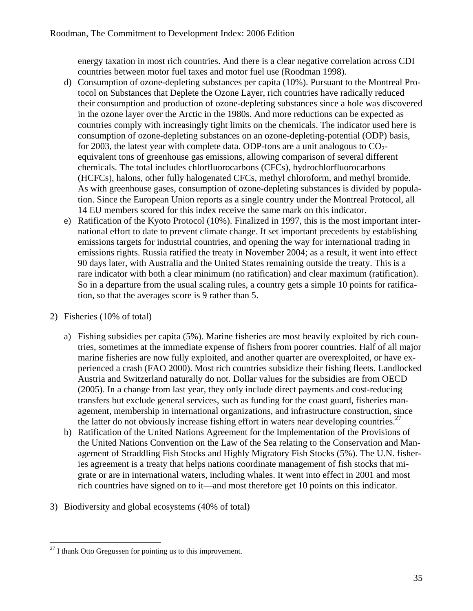energy taxation in most rich countries. And there is a clear negative correlation across CDI countries between motor fuel taxes and motor fuel use (Roodman 1998).

- d) Consumption of ozone-depleting substances per capita (10%). Pursuant to the Montreal Protocol on Substances that Deplete the Ozone Layer, rich countries have radically reduced their consumption and production of ozone-depleting substances since a hole was discovered in the ozone layer over the Arctic in the 1980s. And more reductions can be expected as countries comply with increasingly tight limits on the chemicals. The indicator used here is consumption of ozone-depleting substances on an ozone-depleting-potential (ODP) basis, for 2003, the latest year with complete data. ODP-tons are a unit analogous to  $CO<sub>2</sub>$ equivalent tons of greenhouse gas emissions, allowing comparison of several different chemicals. The total includes chlorfluorocarbons (CFCs), hydrochlorfluorocarbons (HCFCs), halons, other fully halogenated CFCs, methyl chloroform, and methyl bromide. As with greenhouse gases, consumption of ozone-depleting substances is divided by population. Since the European Union reports as a single country under the Montreal Protocol, all 14 EU members scored for this index receive the same mark on this indicator.
- e) Ratification of the Kyoto Protocol (10%). Finalized in 1997, this is the most important international effort to date to prevent climate change. It set important precedents by establishing emissions targets for industrial countries, and opening the way for international trading in emissions rights. Russia ratified the treaty in November 2004; as a result, it went into effect 90 days later, with Australia and the United States remaining outside the treaty. This is a rare indicator with both a clear minimum (no ratification) and clear maximum (ratification). So in a departure from the usual scaling rules, a country gets a simple 10 points for ratification, so that the averages score is 9 rather than 5.

# 2) Fisheries (10% of total)

- a) Fishing subsidies per capita (5%). Marine fisheries are most heavily exploited by rich countries, sometimes at the immediate expense of fishers from poorer countries. Half of all major marine fisheries are now fully exploited, and another quarter are overexploited, or have experienced a crash (FAO 2000). Most rich countries subsidize their fishing fleets. Landlocked Austria and Switzerland naturally do not. Dollar values for the subsidies are from OECD (2005). In a change from last year, they only include direct payments and cost-reducing transfers but exclude general services, such as funding for the coast guard, fisheries management, membership in international organizations, and infrastructure construction, since the latter do not obviously increase fishing effort in waters near developing countries.<sup>27</sup>
- b) Ratification of the United Nations Agreement for the Implementation of the Provisions of the United Nations Convention on the Law of the Sea relating to the Conservation and Management of Straddling Fish Stocks and Highly Migratory Fish Stocks (5%). The U.N. fisheries agreement is a treaty that helps nations coordinate management of fish stocks that migrate or are in international waters, including whales. It went into effect in 2001 and most rich countries have signed on to it—and most therefore get 10 points on this indicator.
- 3) Biodiversity and global ecosystems (40% of total)

 $\overline{a}$  $^{27}$  I thank Otto Gregussen for pointing us to this improvement.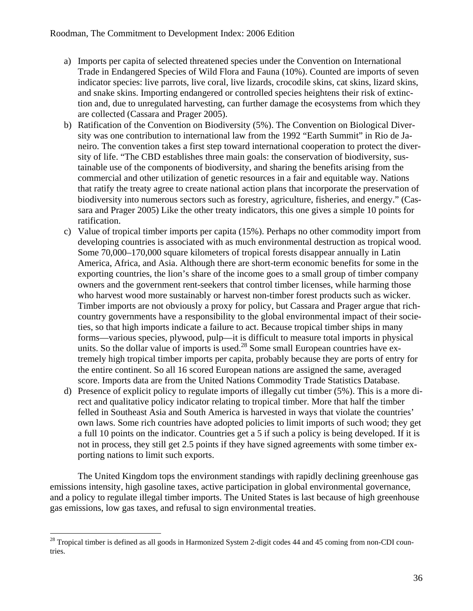- a) Imports per capita of selected threatened species under the Convention on International Trade in Endangered Species of Wild Flora and Fauna (10%). Counted are imports of seven indicator species: live parrots, live coral, live lizards, crocodile skins, cat skins, lizard skins, and snake skins. Importing endangered or controlled species heightens their risk of extinction and, due to unregulated harvesting, can further damage the ecosystems from which they are collected (Cassara and Prager 2005).
- b) Ratification of the Convention on Biodiversity (5%). The Convention on Biological Diversity was one contribution to international law from the 1992 "Earth Summit" in Rio de Janeiro. The convention takes a first step toward international cooperation to protect the diversity of life. "The CBD establishes three main goals: the conservation of biodiversity, sustainable use of the components of biodiversity, and sharing the benefits arising from the commercial and other utilization of genetic resources in a fair and equitable way. Nations that ratify the treaty agree to create national action plans that incorporate the preservation of biodiversity into numerous sectors such as forestry, agriculture, fisheries, and energy." (Cassara and Prager 2005) Like the other treaty indicators, this one gives a simple 10 points for ratification.
- c) Value of tropical timber imports per capita (15%). Perhaps no other commodity import from developing countries is associated with as much environmental destruction as tropical wood. Some 70,000–170,000 square kilometers of tropical forests disappear annually in Latin America, Africa, and Asia. Although there are short-term economic benefits for some in the exporting countries, the lion's share of the income goes to a small group of timber company owners and the government rent-seekers that control timber licenses, while harming those who harvest wood more sustainably or harvest non-timber forest products such as wicker. Timber imports are not obviously a proxy for policy, but Cassara and Prager argue that richcountry governments have a responsibility to the global environmental impact of their societies, so that high imports indicate a failure to act. Because tropical timber ships in many forms—various species, plywood, pulp—it is difficult to measure total imports in physical units. So the dollar value of imports is used.<sup>28</sup> Some small European countries have extremely high tropical timber imports per capita, probably because they are ports of entry for the entire continent. So all 16 scored European nations are assigned the same, averaged score. Imports data are from the United Nations Commodity Trade Statistics Database.
- d) Presence of explicit policy to regulate imports of illegally cut timber (5%). This is a more direct and qualitative policy indicator relating to tropical timber. More that half the timber felled in Southeast Asia and South America is harvested in ways that violate the countries' own laws. Some rich countries have adopted policies to limit imports of such wood; they get a full 10 points on the indicator. Countries get a 5 if such a policy is being developed. If it is not in process, they still get 2.5 points if they have signed agreements with some timber exporting nations to limit such exports.

The United Kingdom tops the environment standings with rapidly declining greenhouse gas emissions intensity, high gasoline taxes, active participation in global environmental governance, and a policy to regulate illegal timber imports. The United States is last because of high greenhouse gas emissions, low gas taxes, and refusal to sign environmental treaties.

 $2<sup>28</sup>$  Tropical timber is defined as all goods in Harmonized System 2-digit codes 44 and 45 coming from non-CDI countries.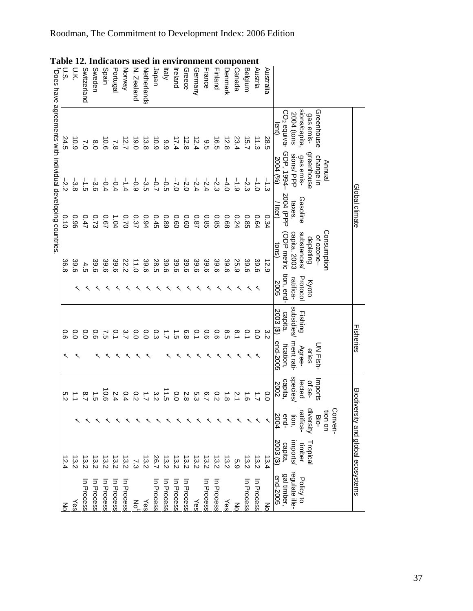|             |                                                            |                                   | Global climate     |                                       |                       |                       | Fisheries            |                   |                             | Biodiversity and global ecosystems |                                    |
|-------------|------------------------------------------------------------|-----------------------------------|--------------------|---------------------------------------|-----------------------|-----------------------|----------------------|-------------------|-----------------------------|------------------------------------|------------------------------------|
|             |                                                            |                                   |                    |                                       |                       |                       |                      |                   | Conven-                     |                                    |                                    |
|             | Greenhouse<br>gas emis-                                    | greenhouse<br>change in<br>Annual |                    | Consumption<br>ot ozone-<br>depleting | <b>Kyoto</b>          |                       | UN Fish-<br>eries    | Imports<br>of se- | diversity<br>uo uo:<br>Bio- | Fropica                            |                                    |
|             | sions/capita<br>2004 (tons                                 | sions/PPP<br>gas emis-            | Gasoline<br>taxes, | capita, 2003<br>substances/           | Protocol<br>ratifica- | subsidies/<br>Fishing | ment rati-<br>Agree- | species<br>lected | tion,<br>atifica-           | mports/<br>timber                  | regulate ille-<br>Policy to        |
|             | CO <sub>2</sub> equiva-                                    | GDP, 1994-                        | 2004 (PPP          | ODP metric                            | tion, end-            | capita,               | fication,            | capita,           | end-                        | capita,                            | gal timber,                        |
|             | lent)                                                      | 2004 (%)                          | / liter)           | tons)                                 | <b>2005</b>           | 2003 (\$)             | end-2005             | 2002              | 2004                        | 2003 (\$)                          | end-2005                           |
| Australia   | 28.5                                                       | ا<br>ما                           | 0.34               | 12.9                                  |                       | ε<br>Σ                |                      | 0.0               |                             | 13.4                               | ξ                                  |
| Austria     | 11.3                                                       | $\frac{1}{2}$                     | 0.64               | 39.6                                  |                       | $\overline{0}$        |                      |                   |                             | l3.2                               | In Process                         |
| Belgium     | 15.7                                                       | نہ<br>ن                           | <b>0.85</b>        | 39.6                                  |                       | o.1                   |                      |                   |                             | $\frac{3.2}{2}$                    | In Process                         |
| Canada      | 23.4                                                       | $\frac{1}{6}$                     | 0.24               | 25.9                                  |                       | $\frac{8}{1}$         |                      |                   |                             | 5.9                                | $\frac{2}{\sigma}$                 |
| Denmark     | 12.8                                                       | 4.0                               | 89.0               | 39.6                                  |                       | 8.5                   |                      | .<br>∞            |                             | <u>្លេ</u>                         | Yes                                |
| Finland     | 6.5                                                        | $-2.3$                            | <b>0.85</b>        | 39.6                                  |                       | 0.6                   |                      |                   |                             | $\overline{3.2}$                   | $\overline{5}$<br>Process          |
| France      | 9.5                                                        | $-2.4$                            | <b>0.85</b>        | 39.6                                  |                       | 90                    |                      |                   |                             | 13.2                               | Ξ<br>Process                       |
| Germany     | 12.4                                                       | $-2.4$                            | <b>78.0</b>        | 39.6                                  |                       | o.1                   |                      |                   |                             | 13.2                               | Yes                                |
| Greece      | 12.8                                                       | $-2.0$                            | 0.60               | 39.6                                  |                       | $\frac{6}{8}$         |                      | .<br>∞            |                             | 13.2                               | In Process                         |
| Ireland     | 17.4                                                       | $-7.0$                            | 0.60               | 39.6                                  |                       | $\vec{5}$             |                      | o.o               |                             | 13.2                               | Ξ<br>Process                       |
| Italy       | 66                                                         | $\frac{1}{5}$                     | 0.89               | 39.6                                  |                       | $\overline{L}$        |                      | $\vec{c}$         |                             | 13.2                               | Ξ<br>Process                       |
| Japan       | 6.9                                                        | $-5.7$                            | 0.45               | 28.5                                  |                       | ο.<br>ვ               |                      | 3<br>Σ            |                             | 26.7                               | ⋾<br>Process                       |
| Netherlands | 13.8                                                       | ၂၂<br>၁၁                          | 0.94               | 39.6                                  |                       | °0                    |                      |                   |                             | <u>្លេ</u>                         | Yes                                |
| N. Zealand  | 0.91                                                       | $-9.9$                            | 0.37               | 11.0                                  |                       | 0.0                   |                      | $\overline{c}$    |                             | 73                                 | ξ                                  |
| Norway      | 12.7                                                       | $-1.4$                            | 0.70               | 22.2                                  |                       | ب<br>د                |                      | 0.4               |                             | $\frac{13}{2}$                     | $\overline{\mathbf{z}}$<br>Process |
| Portugal    | 7.8                                                        | $-0.4$                            | 1.04               | 39.6                                  |                       | o.1                   |                      |                   |                             | 3.2                                | ⋾<br>Process                       |
| Spain       | $\frac{10}{6}$                                             | $-9.4$                            | <b>2.67</b>        | 39.6                                  |                       | $\tilde{c}$           |                      | 0.6               |                             | انع<br>2-2                         | ⋾<br>Process                       |
| Sweden      | $\frac{8}{0}$                                              | ပ်<br>တ                           | 0.73               | 39.6                                  |                       | o.6                   |                      | ب<br>ت            |                             | <u>្លេ</u>                         | ⋾<br>Process                       |
| Switzerland | $\sim$                                                     | $\frac{1}{5}$                     | 0.47               | 4.5                                   |                       | °0                    |                      | $\frac{8}{1}$     |                             | انع<br>2                           | $\overline{z}$<br>Process          |
| υ.κ         | 6.9                                                        | ပ္ပံ့                             | 96.0               | 39.6                                  |                       | $\overline{O}$        |                      |                   |                             | 13.2                               | Yes                                |
| ان<br>⊙     | 24.5                                                       | $-2.2$                            | 0.10               | 36.8                                  |                       | o.o                   | ↖                    | ς<br>Σ            |                             | 5.4                                | $\frac{2}{6}$                      |
|             | Does have agreements with individual developing countries. |                                   |                    |                                       |                       |                       |                      |                   |                             |                                    |                                    |

# **Table 12. Indicators used in environment component**

Roodman, The Commitment to Development Index: 2006 Edition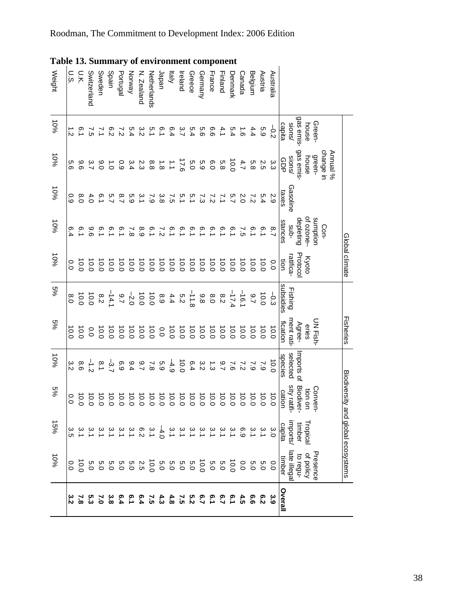| Weight | U.S.           | Ξ                | Switzerland   | Sweden        | Spain              | Portugal            | Vorway                           | V. Zealand       | <b>Netherlands</b> | Japan                | ltaly                                                                             | Ireland       | Greece  | Germany | France         | Finland         | <b>Denmark</b> | shada                | Belgium           | Austria          | Australia      |                        |           |           |          |                       |                                    |
|--------|----------------|------------------|---------------|---------------|--------------------|---------------------|----------------------------------|------------------|--------------------|----------------------|-----------------------------------------------------------------------------------|---------------|---------|---------|----------------|-----------------|----------------|----------------------|-------------------|------------------|----------------|------------------------|-----------|-----------|----------|-----------------------|------------------------------------|
| 10%    | بر<br>2        | <u>ာ</u>         |               | こ             | $\frac{6}{5}$      | $\frac{1}{2}$       |                                  | 3<br>2<br>3<br>4 | 5.1                | io<br>1              | 6.4                                                                               | $\frac{3}{7}$ | 5.4     | ο.<br>Θ | 9.6            | 4.1             | 5.4            | $\overrightarrow{5}$ | 4.4               | с.<br>С          | 5<br>2         | sions/<br>capita       | gas emis- | house     | Green-   |                       |                                    |
| 10%    | 9.9            | 96               |               | $\frac{6}{5}$ | $\vec{c}$          | 0.9                 | 3.4                              | 2.3              | 8.8                | $\overrightarrow{8}$ | $\vec{z}$                                                                         | 17.6          | 0.5     | 5.9     | 0.0            | 5.8             | 10.0           | 4.7                  | 5.8               | 3<br>3<br>5<br>5 |                | sions/<br>င်<br>၁၁     | gas emis- | house     | green-   | change in<br>Annual % |                                    |
| 10%    | 0.9            | $\frac{8}{2}$    |               |               |                    | $\frac{8}{1}$       | ო<br>ა                           |                  | ر<br>ن             | မ္မ<br>အ             | $\tilde{c}$                                                                       | 5.1           | is.1    | 73      | 72             | 7.1             | 5.7            | 2.0                  | $\frac{7}{2}$     | 5.4              | 2.9            | Gasoline<br>taxes      |           |           |          |                       |                                    |
| 10%    | 6.4            | $\overline{0}$   | 96            | 6.1           | $\overline{6}.1$   | $\overline{5}$      | $\sim$                           | 8.9              | $\overline{0}$     | 7ء<br>2              | $\overline{5}$                                                                    | ە<br>د        | ္       | °.      | $\overline{9}$ | °.              | 6.1            | $\tilde{c}$          | $\overline{0}$ .1 | $\overline{5}$   | $\frac{8}{1}$  | stances<br>-qns        | depleting | of ozone- | sumption | Con-                  |                                    |
| $-60%$ | 0.0            | 10.0             | 10.0          | 10.0          | 10.0               | 10.0                | 10.0                             | 10.0             | 10.0               | 10.0                 | 10.0                                                                              | 10.0          | 10.0    | 10.0    | 10.0           | 10.0            | 10.0           | 10.0                 | 10.0              | 0.0              | 0.0            | ratifica-<br>ion       | Protoco   | Kyoto     |          |                       | Global climate                     |
| %9     | 6.0            |                  | 10.0          | 8.2           | $\frac{9.7}{74.1}$ |                     |                                  |                  |                    | 8.9                  | $5.2$<br>4.4                                                                      |               | $-11.8$ | 8.8     | 0.8            | $^{8.2}$        | $-17.4$        | $-16.1$              | 2.7               | 10.0             | $-0.3$         | subsidies<br>Fishing   |           |           |          |                       |                                    |
| $5\%$  | 10.0           | 10.0             |               |               |                    |                     |                                  |                  |                    |                      |                                                                                   |               |         |         |                | $\frac{10}{10}$ |                |                      | 10.0              | 10.0             | 10.0           | ment rati-<br>fication | Agree-    | eries     | UN Fish- |                       | Fisheries                          |
| 10%    | 3.2            | 9.6              | $\frac{1}{2}$ | $\frac{1}{8}$ | $-3.7$             | 6.9                 | 9.4                              | 2.7              | $\overline{8}$     | 63                   | 4.9                                                                               | 0.0           | 6.4     | 3.2     | ب:<br>ت        | 2.7             | $\sim$         | $\frac{7}{2}$        | $\sim 9$          | $\sim$           | 0.0            | selected<br>species    | mports of |           |          |                       |                                    |
| $5\%$  | 0.0            | 10.0             | 10.0          | 10.0          |                    | $\frac{10.0}{10.0}$ | 0.01                             | 10.0             | 10.0               | 10.0                 | 10.0                                                                              | 10.0          | 10.0    | 0.01    |                | 10.0            | 10.0           | 10.0                 | 10.0              | 10.0             | $\frac{10}{2}$ | sity ratif<br>cation   | Biodiver- | tion on   | Conven-  |                       | Biodiversity and global ecosystems |
| 15%    | ပ္ပ<br>၁       |                  |               |               |                    |                     | 6 3 3<br>2 4 4                   |                  | 3.1                | $-4.0$               |                                                                                   | $\omega$      | بہ      | بہ      |                |                 | $\approx$      | 6.9                  | 3.1               | 3.1              | 3.O            | imports/<br>capita     | timber    | Tropical  |          |                       |                                    |
| 9601   | $\overline{0}$ | $\overline{0.0}$ | Ο.            |               |                    |                     | 5 2 3 9 9 9 9 9<br>0 9 9 9 9 9 9 |                  |                    | 0.5                  | 9<br>9<br>9<br>9<br>9<br>9<br>9<br>9<br>9<br>9<br>9<br>9<br>9<br>9<br>9<br>1<br>9 |               |         | 0.0     | 0.5            | 0.5             | 10.0           | 0.0                  | 0.5               | $\overline{0}$   | 0.0            | late illegal<br>timber | to regu-  | of policy | Presence |                       |                                    |
|        |                | $\sim$           |               | ະ             | ္ဗိ                |                     | ق.<br>-                          | e.4              | ς,                 | ‡،                   | $\frac{4}{8}$                                                                     | ີ<br>ຕ        |         |         |                | <u>ვ.</u>       | <u>ှ</u>       | 4.5                  | 9.9               | $\frac{6}{5}$    | း<br>၁         | Overall                |           |           |          |                       |                                    |

#### **Table 13. Summary of environment component**

Roodman, The Commitment to Development Index: 2006 Edition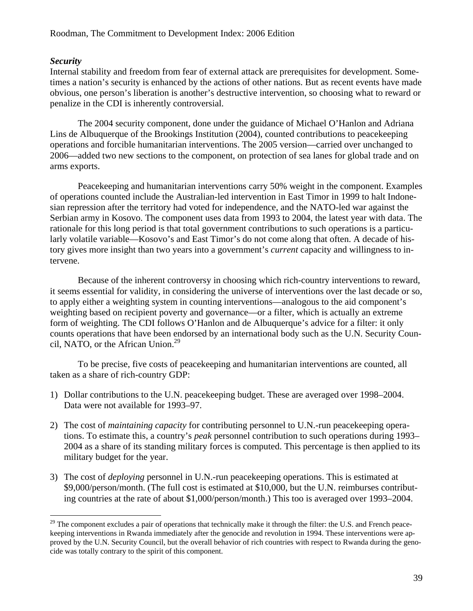# *Security*

 $\overline{a}$ 

Internal stability and freedom from fear of external attack are prerequisites for development. Sometimes a nation's security is enhanced by the actions of other nations. But as recent events have made obvious, one person's liberation is another's destructive intervention, so choosing what to reward or penalize in the CDI is inherently controversial.

The 2004 security component, done under the guidance of Michael O'Hanlon and Adriana Lins de Albuquerque of the Brookings Institution (2004), counted contributions to peacekeeping operations and forcible humanitarian interventions. The 2005 version—carried over unchanged to 2006—added two new sections to the component, on protection of sea lanes for global trade and on arms exports.

Peacekeeping and humanitarian interventions carry 50% weight in the component. Examples of operations counted include the Australian-led intervention in East Timor in 1999 to halt Indonesian repression after the territory had voted for independence, and the NATO-led war against the Serbian army in Kosovo. The component uses data from 1993 to 2004, the latest year with data. The rationale for this long period is that total government contributions to such operations is a particularly volatile variable—Kosovo's and East Timor's do not come along that often. A decade of history gives more insight than two years into a government's *current* capacity and willingness to intervene.

Because of the inherent controversy in choosing which rich-country interventions to reward, it seems essential for validity, in considering the universe of interventions over the last decade or so, to apply either a weighting system in counting interventions—analogous to the aid component's weighting based on recipient poverty and governance—or a filter, which is actually an extreme form of weighting. The CDI follows O'Hanlon and de Albuquerque's advice for a filter: it only counts operations that have been endorsed by an international body such as the U.N. Security Council, NATO, or the African Union. $^{29}$ 

To be precise, five costs of peacekeeping and humanitarian interventions are counted, all taken as a share of rich-country GDP:

- 1) Dollar contributions to the U.N. peacekeeping budget. These are averaged over 1998–2004. Data were not available for 1993–97.
- 2) The cost of *maintaining capacity* for contributing personnel to U.N.-run peacekeeping operations. To estimate this, a country's *peak* personnel contribution to such operations during 1993– 2004 as a share of its standing military forces is computed. This percentage is then applied to its military budget for the year.
- 3) The cost of *deploying* personnel in U.N.-run peacekeeping operations. This is estimated at \$9,000/person/month. (The full cost is estimated at \$10,000, but the U.N. reimburses contributing countries at the rate of about \$1,000/person/month.) This too is averaged over 1993–2004.

 $29$  The component excludes a pair of operations that technically make it through the filter: the U.S. and French peacekeeping interventions in Rwanda immediately after the genocide and revolution in 1994. These interventions were approved by the U.N. Security Council, but the overall behavior of rich countries with respect to Rwanda during the genocide was totally contrary to the spirit of this component.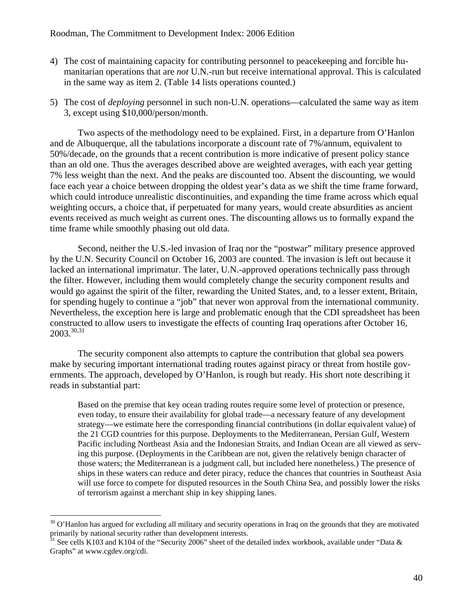- 4) The cost of maintaining capacity for contributing personnel to peacekeeping and forcible humanitarian operations that are *not* U.N.-run but receive international approval. This is calculated in the same way as item 2. (Table 14 lists operations counted.)
- 5) The cost of *deploying* personnel in such non-U.N. operations—calculated the same way as item 3, except using \$10,000/person/month.

Two aspects of the methodology need to be explained. First, in a departure from O'Hanlon and de Albuquerque, all the tabulations incorporate a discount rate of 7%/annum, equivalent to 50%/decade, on the grounds that a recent contribution is more indicative of present policy stance than an old one. Thus the averages described above are weighted averages, with each year getting 7% less weight than the next. And the peaks are discounted too. Absent the discounting, we would face each year a choice between dropping the oldest year's data as we shift the time frame forward, which could introduce unrealistic discontinuities, and expanding the time frame across which equal weighting occurs, a choice that, if perpetuated for many years, would create absurdities as ancient events received as much weight as current ones. The discounting allows us to formally expand the time frame while smoothly phasing out old data.

Second, neither the U.S.-led invasion of Iraq nor the "postwar" military presence approved by the U.N. Security Council on October 16, 2003 are counted. The invasion is left out because it lacked an international imprimatur. The later, U.N.-approved operations technically pass through the filter. However, including them would completely change the security component results and would go against the spirit of the filter, rewarding the United States, and, to a lesser extent, Britain, for spending hugely to continue a "job" that never won approval from the international community. Nevertheless, the exception here is large and problematic enough that the CDI spreadsheet has been constructed to allow users to investigate the effects of counting Iraq operations after October 16,  $2003.^{30,31}$ 

The security component also attempts to capture the contribution that global sea powers make by securing important international trading routes against piracy or threat from hostile governments. The approach, developed by O'Hanlon, is rough but ready. His short note describing it reads in substantial part:

Based on the premise that key ocean trading routes require some level of protection or presence, even today, to ensure their availability for global trade—a necessary feature of any development strategy—we estimate here the corresponding financial contributions (in dollar equivalent value) of the 21 CGD countries for this purpose. Deployments to the Mediterranean, Persian Gulf, Western Pacific including Northeast Asia and the Indonesian Straits, and Indian Ocean are all viewed as serving this purpose. (Deployments in the Caribbean are not, given the relatively benign character of those waters; the Mediterranean is a judgment call, but included here nonetheless.) The presence of ships in these waters can reduce and deter piracy, reduce the chances that countries in Southeast Asia will use force to compete for disputed resources in the South China Sea, and possibly lower the risks of terrorism against a merchant ship in key shipping lanes.

 $30$  O'Hanlon has argued for excluding all military and security operations in Iraq on the grounds that they are motivated primarily by national security rather than development interests.

 $31$  See cells K103 and K104 of the "Security 2006" sheet of the detailed index workbook, available under "Data & Graphs" at www.cgdev.org/cdi.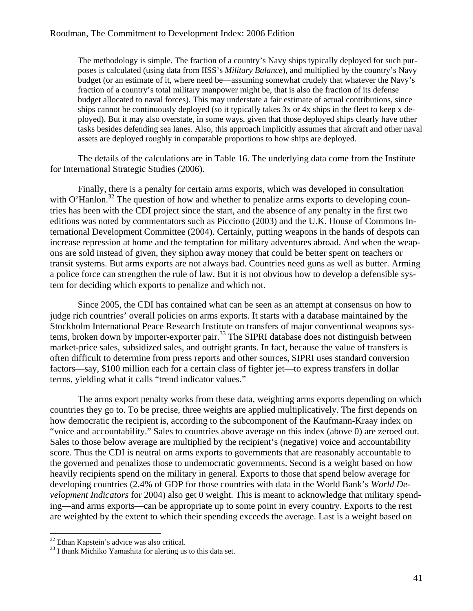The methodology is simple. The fraction of a country's Navy ships typically deployed for such purposes is calculated (using data from IISS's *Military Balance*), and multiplied by the country's Navy budget (or an estimate of it, where need be—assuming somewhat crudely that whatever the Navy's fraction of a country's total military manpower might be, that is also the fraction of its defense budget allocated to naval forces). This may understate a fair estimate of actual contributions, since ships cannot be continuously deployed (so it typically takes 3x or 4x ships in the fleet to keep x deployed). But it may also overstate, in some ways, given that those deployed ships clearly have other tasks besides defending sea lanes. Also, this approach implicitly assumes that aircraft and other naval assets are deployed roughly in comparable proportions to how ships are deployed.

The details of the calculations are in Table 16. The underlying data come from the Institute for International Strategic Studies (2006).

Finally, there is a penalty for certain arms exports, which was developed in consultation with O'Hanlon.<sup>32</sup> The question of how and whether to penalize arms exports to developing countries has been with the CDI project since the start, and the absence of any penalty in the first two editions was noted by commentators such as Picciotto (2003) and the U.K. House of Commons International Development Committee (2004). Certainly, putting weapons in the hands of despots can increase repression at home and the temptation for military adventures abroad. And when the weapons are sold instead of given, they siphon away money that could be better spent on teachers or transit systems. But arms exports are not always bad. Countries need guns as well as butter. Arming a police force can strengthen the rule of law. But it is not obvious how to develop a defensible system for deciding which exports to penalize and which not.

Since 2005, the CDI has contained what can be seen as an attempt at consensus on how to judge rich countries' overall policies on arms exports. It starts with a database maintained by the Stockholm International Peace Research Institute on transfers of major conventional weapons systems, broken down by importer-exporter pair.<sup>33</sup> The SIPRI database does not distinguish between market-price sales, subsidized sales, and outright grants. In fact, because the value of transfers is often difficult to determine from press reports and other sources, SIPRI uses standard conversion factors—say, \$100 million each for a certain class of fighter jet—to express transfers in dollar terms, yielding what it calls "trend indicator values."

The arms export penalty works from these data, weighting arms exports depending on which countries they go to. To be precise, three weights are applied multiplicatively. The first depends on how democratic the recipient is, according to the subcomponent of the Kaufmann-Kraay index on "voice and accountability." Sales to countries above average on this index (above 0) are zeroed out. Sales to those below average are multiplied by the recipient's (negative) voice and accountability score. Thus the CDI is neutral on arms exports to governments that are reasonably accountable to the governed and penalizes those to undemocratic governments. Second is a weight based on how heavily recipients spend on the military in general. Exports to those that spend below average for developing countries (2.4% of GDP for those countries with data in the World Bank's *World Development Indicators* for 2004) also get 0 weight. This is meant to acknowledge that military spending—and arms exports—can be appropriate up to some point in every country. Exports to the rest are weighted by the extent to which their spending exceeds the average. Last is a weight based on

<sup>&</sup>lt;sup>32</sup> Ethan Kapstein's advice was also critical.

<sup>&</sup>lt;sup>33</sup> I thank Michiko Yamashita for alerting us to this data set.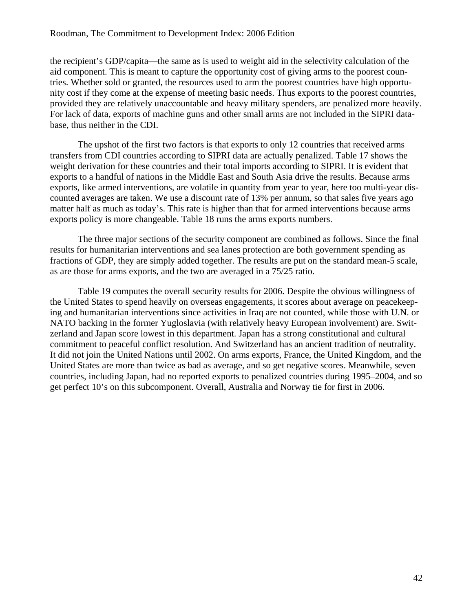the recipient's GDP/capita—the same as is used to weight aid in the selectivity calculation of the aid component. This is meant to capture the opportunity cost of giving arms to the poorest countries. Whether sold or granted, the resources used to arm the poorest countries have high opportunity cost if they come at the expense of meeting basic needs. Thus exports to the poorest countries, provided they are relatively unaccountable and heavy military spenders, are penalized more heavily. For lack of data, exports of machine guns and other small arms are not included in the SIPRI database, thus neither in the CDI.

The upshot of the first two factors is that exports to only 12 countries that received arms transfers from CDI countries according to SIPRI data are actually penalized. Table 17 shows the weight derivation for these countries and their total imports according to SIPRI. It is evident that exports to a handful of nations in the Middle East and South Asia drive the results. Because arms exports, like armed interventions, are volatile in quantity from year to year, here too multi-year discounted averages are taken. We use a discount rate of 13% per annum, so that sales five years ago matter half as much as today's. This rate is higher than that for armed interventions because arms exports policy is more changeable. Table 18 runs the arms exports numbers.

The three major sections of the security component are combined as follows. Since the final results for humanitarian interventions and sea lanes protection are both government spending as fractions of GDP, they are simply added together. The results are put on the standard mean-5 scale, as are those for arms exports, and the two are averaged in a 75/25 ratio.

Table 19 computes the overall security results for 2006. Despite the obvious willingness of the United States to spend heavily on overseas engagements, it scores about average on peacekeeping and humanitarian interventions since activities in Iraq are not counted, while those with U.N. or NATO backing in the former Yugloslavia (with relatively heavy European involvement) are. Switzerland and Japan score lowest in this department. Japan has a strong constitutional and cultural commitment to peaceful conflict resolution. And Switzerland has an ancient tradition of neutrality. It did not join the United Nations until 2002. On arms exports, France, the United Kingdom, and the United States are more than twice as bad as average, and so get negative scores. Meanwhile, seven countries, including Japan, had no reported exports to penalized countries during 1995–2004, and so get perfect 10's on this subcomponent. Overall, Australia and Norway tie for first in 2006.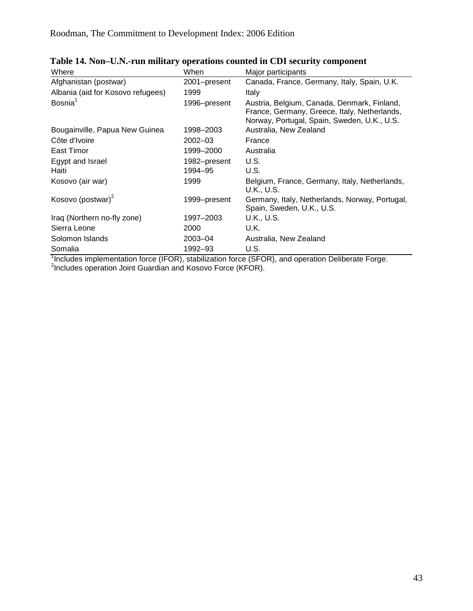| Where                             | When                    | Major participants                                                                                                                         |
|-----------------------------------|-------------------------|--------------------------------------------------------------------------------------------------------------------------------------------|
| Afghanistan (postwar)             | 2001-present            | Canada, France, Germany, Italy, Spain, U.K.                                                                                                |
| Albania (aid for Kosovo refugees) | 1999                    | Italy                                                                                                                                      |
| Bosnia <sup>1</sup>               | 1996-present            | Austria, Belgium, Canada, Denmark, Finland,<br>France, Germany, Greece, Italy, Netherlands,<br>Norway, Portugal, Spain, Sweden, U.K., U.S. |
| Bougainville, Papua New Guinea    | 1998–2003               | Australia, New Zealand                                                                                                                     |
| Côte d'Ivoire                     | $2002 - 03$             | France                                                                                                                                     |
| East Timor                        | 1999-2000               | Australia                                                                                                                                  |
| Egypt and Israel<br>Haiti         | 1982-present<br>1994-95 | U.S.<br>U.S.                                                                                                                               |
| Kosovo (air war)                  | 1999                    | Belgium, France, Germany, Italy, Netherlands,<br>U.K., U.S.                                                                                |
| Kosovo (postwar) <sup>2</sup>     | 1999–present            | Germany, Italy, Netherlands, Norway, Portugal,<br>Spain, Sweden, U.K., U.S.                                                                |
| Iraq (Northern no-fly zone)       | 1997-2003               | U.K., U.S.                                                                                                                                 |
| Sierra Leone                      | 2000                    | U.K.                                                                                                                                       |
| Solomon Islands                   | $2003 - 04$             | Australia, New Zealand                                                                                                                     |
| Somalia                           | 1992–93                 | U.S.                                                                                                                                       |

| Table 14. Non-U.N.-run military operations counted in CDI security component |  |  |  |  |  |
|------------------------------------------------------------------------------|--|--|--|--|--|
|------------------------------------------------------------------------------|--|--|--|--|--|

Somalia<br><sup>1</sup>Includes implementation force (IFOR), stabilization force (SFOR), and operation Deliberate Forge.<br><sup>2</sup>Includes operation Joint Guardian and Kosovo Force (KFOR).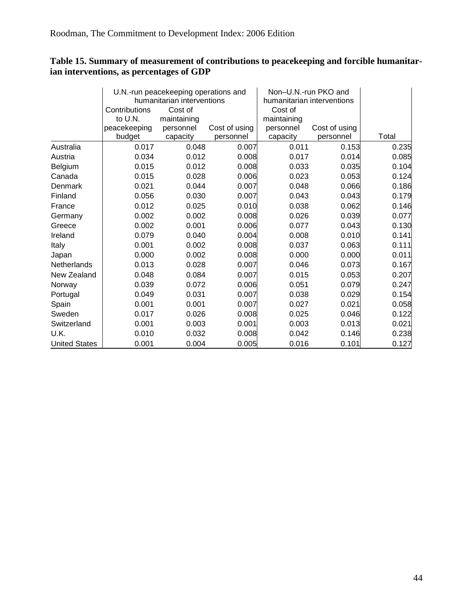# **Table 15. Summary of measurement of contributions to peacekeeping and forcible humanitarian interventions, as percentages of GDP**

|                      |               | U.N.-run peacekeeping operations and |               | Non-U.N.-run PKO and       |               |       |
|----------------------|---------------|--------------------------------------|---------------|----------------------------|---------------|-------|
|                      |               | humanitarian interventions           |               | humanitarian interventions |               |       |
|                      | Contributions | Cost of                              |               | Cost of                    |               |       |
|                      | to U.N.       | maintaining                          |               | maintaining                |               |       |
|                      | peacekeeping  | personnel                            | Cost of using | personnel                  | Cost of using |       |
|                      | budget        | capacity                             | personnel     | capacity                   | personnel     | Total |
| Australia            | 0.017         | 0.048                                | 0.007         | 0.011                      | 0.153         | 0.235 |
| Austria              | 0.034         | 0.012                                | 0.008         | 0.017                      | 0.014         | 0.085 |
| Belgium              | 0.015         | 0.012                                | 0.008         | 0.033                      | 0.035         | 0.104 |
| Canada               | 0.015         | 0.028                                | 0.006         | 0.023                      | 0.053         | 0.124 |
| Denmark              | 0.021         | 0.044                                | 0.007         | 0.048                      | 0.066         | 0.186 |
| Finland              | 0.056         | 0.030                                | 0.007         | 0.043                      | 0.043         | 0.179 |
| France               | 0.012         | 0.025                                | 0.010         | 0.038                      | 0.062         | 0.146 |
| Germany              | 0.002         | 0.002                                | 0.008         | 0.026                      | 0.039         | 0.077 |
| Greece               | 0.002         | 0.001                                | 0.006         | 0.077                      | 0.043         | 0.130 |
| Ireland              | 0.079         | 0.040                                | 0.004         | 0.008                      | 0.010         | 0.141 |
| Italy                | 0.001         | 0.002                                | 0.008         | 0.037                      | 0.063         | 0.111 |
| Japan                | 0.000         | 0.002                                | 0.008         | 0.000                      | 0.000         | 0.011 |
| Netherlands          | 0.013         | 0.028                                | 0.007         | 0.046                      | 0.073         | 0.167 |
| New Zealand          | 0.048         | 0.084                                | 0.007         | 0.015                      | 0.053         | 0.207 |
| Norway               | 0.039         | 0.072                                | 0.006         | 0.051                      | 0.079         | 0.247 |
| Portugal             | 0.049         | 0.031                                | 0.007         | 0.038                      | 0.029         | 0.154 |
| Spain                | 0.001         | 0.001                                | 0.007         | 0.027                      | 0.021         | 0.058 |
| Sweden               | 0.017         | 0.026                                | 0.008         | 0.025                      | 0.046         | 0.122 |
| Switzerland          | 0.001         | 0.003                                | 0.001         | 0.003                      | 0.013         | 0.021 |
| U.K.                 | 0.010         | 0.032                                | 0.008         | 0.042                      | 0.146         | 0.238 |
| <b>United States</b> | 0.001         | 0.004                                | 0.005         | 0.016                      | 0.101         | 0.127 |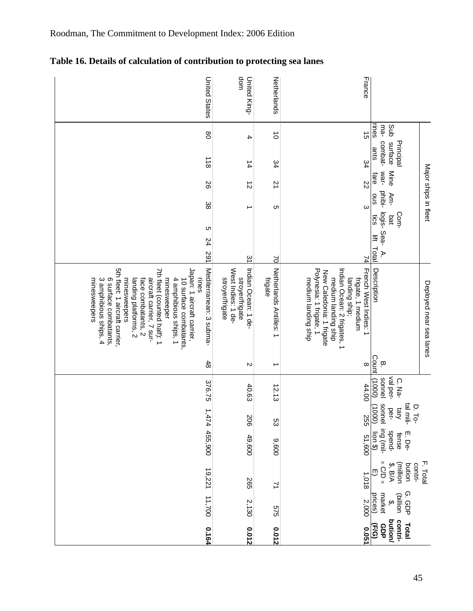| <b>United States</b>                                                                                                                                                                                                                                                                                                                                          | dom<br>United King-                                                             | Netherlands                        | France                                                                                                                                                                                          |                                                                                    |
|---------------------------------------------------------------------------------------------------------------------------------------------------------------------------------------------------------------------------------------------------------------------------------------------------------------------------------------------------------------|---------------------------------------------------------------------------------|------------------------------------|-------------------------------------------------------------------------------------------------------------------------------------------------------------------------------------------------|------------------------------------------------------------------------------------|
| $\infty$                                                                                                                                                                                                                                                                                                                                                      | 4                                                                               | $\vec{o}$                          | $\vec{5}$                                                                                                                                                                                       | rines<br>ma-<br>gub                                                                |
| $\frac{1}{8}$                                                                                                                                                                                                                                                                                                                                                 | $\frac{1}{4}$                                                                   | 34                                 | 34                                                                                                                                                                                              | combat-<br>surface<br>Principal<br>sure                                            |
| 92                                                                                                                                                                                                                                                                                                                                                            | $\vec{v}$                                                                       | $\overline{2}$                     | ZZ                                                                                                                                                                                              | war-<br>Mine<br>fare                                                               |
| 38                                                                                                                                                                                                                                                                                                                                                            |                                                                                 | C                                  | $\omega$                                                                                                                                                                                        | Major ships in fleet<br>phibi-<br>ous<br>Am-<br>Com-<br>S <sub>21</sub><br>bat     |
| Сı<br>24                                                                                                                                                                                                                                                                                                                                                      |                                                                                 |                                    |                                                                                                                                                                                                 | logis-Sea-<br>lift Total<br>$\geq$                                                 |
| 291                                                                                                                                                                                                                                                                                                                                                           | $\tilde{z}$                                                                     | $\geq$                             | 7                                                                                                                                                                                               |                                                                                    |
| Mediterranean: 3 subma-<br>5th fleet: 1 aircraft carrier,<br>7th fleet (counted half): 1<br>Japan: 1 aircraft carrier,<br>rines<br>6 surface combatants,<br>minesweeper<br>minesweepers<br>aircraft carrier, 7 sur-<br>minesweepers<br>3 amphibious ships, 4<br>4 amphibious ships, 1<br>landing platforms, 2<br>face combatants, 2<br>10 surface combatants, | West Indies: 1 de-<br>Indian Ocean: 1 de-<br>stroyer/frigate<br>stroyer/trigate | Netherlands Antilles: 1<br>frigate | Polynesia: 1 frigate, 1<br>French West Indies: 1<br>Indian Ocean: 2 frigates, 1<br>New Caledonia: 1 frigate<br>medium landing ship<br>landing ship;<br>medium landing ship<br>frigate, 1 medium | Description<br>Deployed near sea lanes                                             |
| 48                                                                                                                                                                                                                                                                                                                                                            | N                                                                               | ∸                                  |                                                                                                                                                                                                 | $rac{1}{\sqrt{\frac{1}{2}}\sqrt{2}}$<br>ĬΡ.                                        |
| 376.75                                                                                                                                                                                                                                                                                                                                                        | 40.63                                                                           | 12.13                              | 44.00                                                                                                                                                                                           | val per-<br>sonnel<br>C. Na-<br>(0001)                                             |
|                                                                                                                                                                                                                                                                                                                                                               | 206                                                                             | ςg                                 | <b>255</b>                                                                                                                                                                                      | sonnel<br>tal mili-<br>D. To-<br>(0001)<br>Alet<br>per-                            |
| 1,474 455,900                                                                                                                                                                                                                                                                                                                                                 | 49,600                                                                          | 009'6                              | 51,600                                                                                                                                                                                          | ing (mil-<br>fense<br>spend-<br>$\frac{\text{lion } }{2}$<br>E. De-                |
| 19,221                                                                                                                                                                                                                                                                                                                                                        | 565                                                                             | 71                                 | 1,018                                                                                                                                                                                           | $\times$ C/D $\times$<br>F. Total<br>(million<br>contri-<br>bution<br>\$, B/A<br>⊕ |
| 11,700                                                                                                                                                                                                                                                                                                                                                        | 2,130                                                                           | 575                                | 2,000                                                                                                                                                                                           | G.GDP<br>market<br>prices)<br>(billion<br>$\ddot{\mathbf{e}}$                      |
| 0.164                                                                                                                                                                                                                                                                                                                                                         | 0.012                                                                           | 0.012                              | 0.051                                                                                                                                                                                           | contri-<br>bution/<br>Total<br>GDP<br>(F/G)                                        |

Roodman, The Commitment to Development Index: 2006 Edition

**Table 16. Details of calculation of contribution to protecting sea lanes**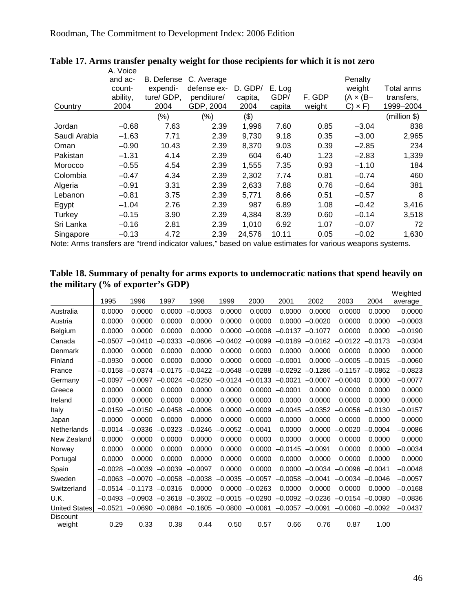|              | A. Voice |            |             |         |        |        |                  |              |
|--------------|----------|------------|-------------|---------|--------|--------|------------------|--------------|
|              | and ac-  | B. Defense | C. Average  |         |        |        | Penalty          |              |
|              | count-   | expendi-   | defense ex- | D. GDP/ | E. Log |        | weight           | Total arms   |
|              | ability, | ture/ GDP, | penditure/  | capita, | GDP/   | F. GDP | $(A \times (B -$ | transfers,   |
| Country      | 2004     | 2004       | GDP, 2004   | 2004    | capita | weight | $C) \times F$    | 1999-2004    |
|              |          | $(\%)$     | (%)         | (3)     |        |        |                  | (million \$) |
| Jordan       | $-0.68$  | 7.63       | 2.39        | 1,996   | 7.60   | 0.85   | $-3.04$          | 838          |
| Saudi Arabia | $-1.63$  | 7.71       | 2.39        | 9,730   | 9.18   | 0.35   | $-3.00$          | 2,965        |
| Oman         | $-0.90$  | 10.43      | 2.39        | 8,370   | 9.03   | 0.39   | $-2.85$          | 234          |
| Pakistan     | $-1.31$  | 4.14       | 2.39        | 604     | 6.40   | 1.23   | $-2.83$          | 1,339        |
| Morocco      | $-0.55$  | 4.54       | 2.39        | 1,555   | 7.35   | 0.93   | $-1.10$          | 184          |
| Colombia     | $-0.47$  | 4.34       | 2.39        | 2,302   | 7.74   | 0.81   | $-0.74$          | 460          |
| Algeria      | $-0.91$  | 3.31       | 2.39        | 2,633   | 7.88   | 0.76   | $-0.64$          | 381          |
| Lebanon      | $-0.81$  | 3.75       | 2.39        | 5,771   | 8.66   | 0.51   | $-0.57$          | 8            |
| Egypt        | $-1.04$  | 2.76       | 2.39        | 987     | 6.89   | 1.08   | $-0.42$          | 3,416        |
| Turkey       | $-0.15$  | 3.90       | 2.39        | 4,384   | 8.39   | 0.60   | $-0.14$          | 3,518        |
| Sri Lanka    | $-0.16$  | 2.81       | 2.39        | 1,010   | 6.92   | 1.07   | $-0.07$          | 72           |
| Singapore    | $-0.13$  | 4.72       | 2.39        | 24,576  | 10.11  | 0.05   | $-0.02$          | 1,630        |

### **Table 17. Arms transfer penalty weight for those recipients for which it is not zero**

Note: Arms transfers are "trend indicator values," based on value estimates for various weapons systems.

#### **Table 18. Summary of penalty for arms exports to undemocratic nations that spend heavily on the military (% of exporter's GDP)**  Weighted

|                      |           |                               |           |           |           |           |           |           |           |           | Weighted  |
|----------------------|-----------|-------------------------------|-----------|-----------|-----------|-----------|-----------|-----------|-----------|-----------|-----------|
|                      | 1995      | 1996                          | 1997      | 1998      | 1999      | 2000      | 2001      | 2002      | 2003      | 2004      | average   |
| Australia            | 0.0000    | 0.0000                        | 0.0000    | $-0.0003$ | 0.0000    | 0.0000    | 0.0000    | 0.0000    | 0.0000    | 0.0000    | 0.0000    |
| Austria              | 0.0000    | 0.0000                        | 0.0000    | 0.0000    | 0.0000    | 0.0000    | 0.0000    | $-0.0020$ | 0.0000    | 0.0000    | $-0.0003$ |
| Belgium              | 0.0000    | 0.0000                        | 0.0000    | 0.0000    | 0.0000    | $-0.0008$ | $-0.0137$ | $-0.1077$ | 0.0000    | 0.0000    | $-0.0190$ |
| Canada               | $-0.0507$ | $-0.0410$                     | $-0.0333$ | $-0.0606$ | $-0.0402$ | $-0.0099$ | $-0.0189$ | $-0.0162$ | $-0.0122$ | $-0.0173$ | $-0.0304$ |
| Denmark              | 0.0000    | 0.0000                        | 0.0000    | 0.0000    | 0.0000    | 0.0000    | 0.0000    | 0.0000    | 0.0000    | 0.0000    | 0.0000    |
| Finland              | $-0.0930$ | 0.0000                        | 0.0000    | 0.0000    | 0.0000    | 0.0000    | $-0.0001$ | 0.0000    | $-0.0005$ | $-0.0015$ | $-0.0060$ |
| France               | $-0.0158$ | $-0.0374$                     | $-0.0175$ | $-0.0422$ | $-0.0648$ | $-0.0288$ | $-0.0292$ | $-0.1286$ | $-0.1157$ | $-0.0862$ | $-0.0823$ |
| Germany              | $-0.0097$ | $-0.0097$                     | $-0.0024$ | $-0.0250$ | $-0.0124$ | $-0.0133$ | $-0.0021$ | $-0.0007$ | $-0.0040$ | 0.0000    | $-0.0077$ |
| Greece               | 0.0000    | 0.0000                        | 0.0000    | 0.0000    | 0.0000    | 0.0000    | $-0.0001$ | 0.0000    | 0.0000    | 0.0000    | 0.0000    |
| Ireland              | 0.0000    | 0.0000                        | 0.0000    | 0.0000    | 0.0000    | 0.0000    | 0.0000    | 0.0000    | 0.0000    | 0.0000    | 0.0000    |
| Italy                | $-0.0159$ | $-0.0150$                     | $-0.0458$ | $-0.0006$ | 0.0000    | $-0.0009$ | $-0.0045$ | $-0.0352$ | $-0.0056$ | $-0.0130$ | $-0.0157$ |
| Japan                | 0.0000    | 0.0000                        | 0.0000    | 0.0000    | 0.0000    | 0.0000    | 0.0000    | 0.0000    | 0.0000    | 0.0000    | 0.0000    |
| Netherlands          | $-0.0014$ | $-0.0336$                     | $-0.0323$ | $-0.0246$ | $-0.0052$ | $-0.0041$ | 0.0000    | 0.0000    | $-0.0020$ | $-0.0004$ | $-0.0086$ |
| New Zealand          | 0.0000    | 0.0000                        | 0.0000    | 0.0000    | 0.0000    | 0.0000    | 0.0000    | 0.0000    | 0.0000    | 0.0000    | 0.0000    |
| Norway               | 0.0000    | 0.0000                        | 0.0000    | 0.0000    | 0.0000    | 0.0000    | $-0.0145$ | $-0.0091$ | 0.0000    | 0.0000    | $-0.0034$ |
| Portugal             | 0.0000    | 0.0000                        | 0.0000    | 0.0000    | 0.0000    | 0.0000    | 0.0000    | 0.0000    | 0.0000    | 0.0000    | 0.0000    |
| Spain                | $-0.0028$ | $-0.0039$                     | $-0.0039$ | $-0.0097$ | 0.0000    | 0.0000    | 0.0000    | $-0.0034$ | $-0.0096$ | $-0.0041$ | $-0.0048$ |
| Sweden               | $-0.0063$ | $-0.0070$                     | $-0.0058$ | $-0.0038$ | $-0.0035$ | $-0.0057$ | $-0.0058$ | $-0.0041$ | $-0.0034$ | $-0.0046$ | $-0.0057$ |
| Switzerland          |           | $-0.0514$ $-0.1173$ $-0.0316$ |           | 0.0000    | 0.0000    | $-0.0263$ | 0.0000    | 0.0000    | 0.0000    | 0.0000    | $-0.0168$ |
| U.K.                 | $-0.0493$ | $-0.0903$                     | $-0.3618$ | $-0.3602$ | $-0.0015$ | $-0.0290$ | $-0.0092$ | $-0.0236$ | $-0.0154$ | $-0.0080$ | $-0.0836$ |
| <b>United States</b> | $-0.0521$ | $-0.0690$                     | $-0.0884$ | $-0.1605$ | $-0.0800$ | $-0.0061$ | $-0.0057$ | $-0.0091$ | $-0.0060$ | $-0.0092$ | $-0.0437$ |
| <b>Discount</b>      |           |                               |           |           |           |           |           |           |           |           |           |
| weight               | 0.29      | 0.33                          | 0.38      | 0.44      | 0.50      | 0.57      | 0.66      | 0.76      | 0.87      | 1.00      |           |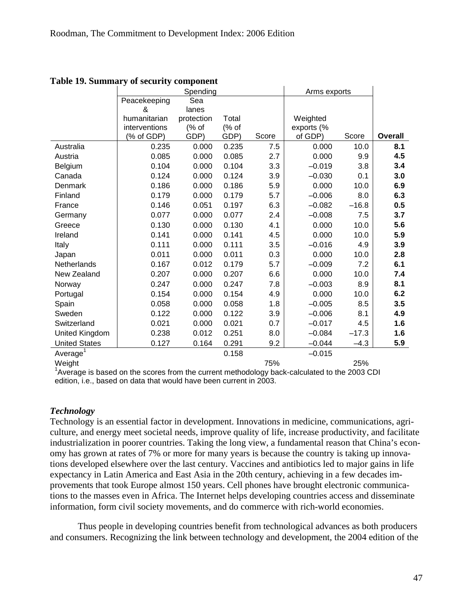|                      |               | Spending   | Arms exports |       |            |         |                |
|----------------------|---------------|------------|--------------|-------|------------|---------|----------------|
|                      | Peacekeeping  | Sea        |              |       |            |         |                |
|                      | &             | lanes      |              |       |            |         |                |
|                      | humanitarian  | protection | Total        |       | Weighted   |         |                |
|                      | interventions | (% of      | (% of        |       | exports (% |         |                |
|                      | (% of GDP)    | GDP)       | GDP)         | Score | of GDP)    | Score   | <b>Overall</b> |
| Australia            | 0.235         | 0.000      | 0.235        | 7.5   | 0.000      | 10.0    | 8.1            |
| Austria              | 0.085         | 0.000      | 0.085        | 2.7   | 0.000      | 9.9     | 4.5            |
| Belgium              | 0.104         | 0.000      | 0.104        | 3.3   | $-0.019$   | 3.8     | 3.4            |
| Canada               | 0.124         | 0.000      | 0.124        | 3.9   | $-0.030$   | 0.1     | 3.0            |
| Denmark              | 0.186         | 0.000      | 0.186        | 5.9   | 0.000      | 10.0    | 6.9            |
| Finland              | 0.179         | 0.000      | 0.179        | 5.7   | $-0.006$   | 8.0     | 6.3            |
| France               | 0.146         | 0.051      | 0.197        | 6.3   | $-0.082$   | $-16.8$ | 0.5            |
| Germany              | 0.077         | 0.000      | 0.077        | 2.4   | $-0.008$   | 7.5     | 3.7            |
| Greece               | 0.130         | 0.000      | 0.130        | 4.1   | 0.000      | 10.0    | 5.6            |
| Ireland              | 0.141         | 0.000      | 0.141        | 4.5   | 0.000      | 10.0    | 5.9            |
| Italy                | 0.111         | 0.000      | 0.111        | 3.5   | $-0.016$   | 4.9     | 3.9            |
| Japan                | 0.011         | 0.000      | 0.011        | 0.3   | 0.000      | 10.0    | 2.8            |
| Netherlands          | 0.167         | 0.012      | 0.179        | 5.7   | $-0.009$   | 7.2     | 6.1            |
| New Zealand          | 0.207         | 0.000      | 0.207        | 6.6   | 0.000      | 10.0    | 7.4            |
| Norway               | 0.247         | 0.000      | 0.247        | 7.8   | $-0.003$   | 8.9     | 8.1            |
| Portugal             | 0.154         | 0.000      | 0.154        | 4.9   | 0.000      | 10.0    | 6.2            |
| Spain                | 0.058         | 0.000      | 0.058        | 1.8   | $-0.005$   | 8.5     | 3.5            |
| Sweden               | 0.122         | 0.000      | 0.122        | 3.9   | $-0.006$   | 8.1     | 4.9            |
| Switzerland          | 0.021         | 0.000      | 0.021        | 0.7   | $-0.017$   | 4.5     | 1.6            |
| United Kingdom       | 0.238         | 0.012      | 0.251        | 8.0   | $-0.084$   | $-17.3$ | 1.6            |
| <b>United States</b> | 0.127         | 0.164      | 0.291        | 9.2   | $-0.044$   | $-4.3$  | 5.9            |
| Average <sup>1</sup> |               |            | 0.158        |       | $-0.015$   |         |                |
| Weight               |               |            |              | 75%   |            | 25%     |                |

**Table 19. Summary of security component** 

<sup>1</sup> Average is based on the scores from the current methodology back-calculated to the 2003 CDI edition, i.e., based on data that would have been current in 2003.

#### *Technology*

Technology is an essential factor in development. Innovations in medicine, communications, agriculture, and energy meet societal needs, improve quality of life, increase productivity, and facilitate industrialization in poorer countries. Taking the long view, a fundamental reason that China's economy has grown at rates of 7% or more for many years is because the country is taking up innovations developed elsewhere over the last century. Vaccines and antibiotics led to major gains in life expectancy in Latin America and East Asia in the 20th century, achieving in a few decades improvements that took Europe almost 150 years. Cell phones have brought electronic communications to the masses even in Africa. The Internet helps developing countries access and disseminate information, form civil society movements, and do commerce with rich-world economies.

Thus people in developing countries benefit from technological advances as both producers and consumers. Recognizing the link between technology and development, the 2004 edition of the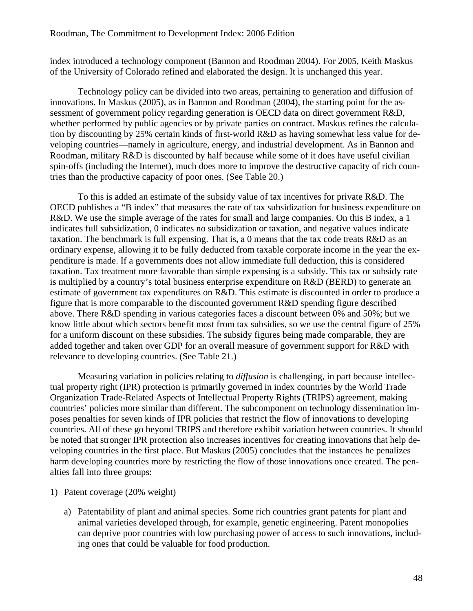index introduced a technology component (Bannon and Roodman 2004). For 2005, Keith Maskus of the University of Colorado refined and elaborated the design. It is unchanged this year.

Technology policy can be divided into two areas, pertaining to generation and diffusion of innovations. In Maskus (2005), as in Bannon and Roodman (2004), the starting point for the assessment of government policy regarding generation is OECD data on direct government R&D, whether performed by public agencies or by private parties on contract. Maskus refines the calculation by discounting by 25% certain kinds of first-world R&D as having somewhat less value for developing countries—namely in agriculture, energy, and industrial development. As in Bannon and Roodman, military R&D is discounted by half because while some of it does have useful civilian spin-offs (including the Internet), much does more to improve the destructive capacity of rich countries than the productive capacity of poor ones. (See Table 20.)

To this is added an estimate of the subsidy value of tax incentives for private R&D. The OECD publishes a "B index" that measures the rate of tax subsidization for business expenditure on R&D. We use the simple average of the rates for small and large companies. On this B index, a 1 indicates full subsidization, 0 indicates no subsidization or taxation, and negative values indicate taxation. The benchmark is full expensing. That is, a 0 means that the tax code treats R&D as an ordinary expense, allowing it to be fully deducted from taxable corporate income in the year the expenditure is made. If a governments does not allow immediate full deduction, this is considered taxation. Tax treatment more favorable than simple expensing is a subsidy. This tax or subsidy rate is multiplied by a country's total business enterprise expenditure on R&D (BERD) to generate an estimate of government tax expenditures on R&D. This estimate is discounted in order to produce a figure that is more comparable to the discounted government R&D spending figure described above. There R&D spending in various categories faces a discount between 0% and 50%; but we know little about which sectors benefit most from tax subsidies, so we use the central figure of 25% for a uniform discount on these subsidies. The subsidy figures being made comparable, they are added together and taken over GDP for an overall measure of government support for R&D with relevance to developing countries. (See Table 21.)

Measuring variation in policies relating to *diffusion* is challenging, in part because intellectual property right (IPR) protection is primarily governed in index countries by the World Trade Organization Trade-Related Aspects of Intellectual Property Rights (TRIPS) agreement, making countries' policies more similar than different. The subcomponent on technology dissemination imposes penalties for seven kinds of IPR policies that restrict the flow of innovations to developing countries. All of these go beyond TRIPS and therefore exhibit variation between countries. It should be noted that stronger IPR protection also increases incentives for creating innovations that help developing countries in the first place. But Maskus (2005) concludes that the instances he penalizes harm developing countries more by restricting the flow of those innovations once created. The penalties fall into three groups:

#### 1) Patent coverage (20% weight)

a) Patentability of plant and animal species. Some rich countries grant patents for plant and animal varieties developed through, for example, genetic engineering. Patent monopolies can deprive poor countries with low purchasing power of access to such innovations, including ones that could be valuable for food production.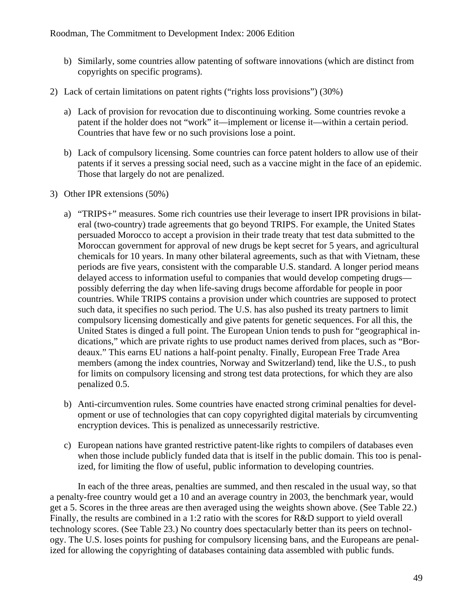- b) Similarly, some countries allow patenting of software innovations (which are distinct from copyrights on specific programs).
- 2) Lack of certain limitations on patent rights ("rights loss provisions") (30%)
	- a) Lack of provision for revocation due to discontinuing working. Some countries revoke a patent if the holder does not "work" it—implement or license it—within a certain period. Countries that have few or no such provisions lose a point.
	- b) Lack of compulsory licensing. Some countries can force patent holders to allow use of their patents if it serves a pressing social need, such as a vaccine might in the face of an epidemic. Those that largely do not are penalized.
- 3) Other IPR extensions (50%)
	- a) "TRIPS+" measures. Some rich countries use their leverage to insert IPR provisions in bilateral (two-country) trade agreements that go beyond TRIPS. For example, the United States persuaded Morocco to accept a provision in their trade treaty that test data submitted to the Moroccan government for approval of new drugs be kept secret for 5 years, and agricultural chemicals for 10 years. In many other bilateral agreements, such as that with Vietnam, these periods are five years, consistent with the comparable U.S. standard. A longer period means delayed access to information useful to companies that would develop competing drugs possibly deferring the day when life-saving drugs become affordable for people in poor countries. While TRIPS contains a provision under which countries are supposed to protect such data, it specifies no such period. The U.S. has also pushed its treaty partners to limit compulsory licensing domestically and give patents for genetic sequences. For all this, the United States is dinged a full point. The European Union tends to push for "geographical indications," which are private rights to use product names derived from places, such as "Bordeaux." This earns EU nations a half-point penalty. Finally, European Free Trade Area members (among the index countries, Norway and Switzerland) tend, like the U.S., to push for limits on compulsory licensing and strong test data protections, for which they are also penalized 0.5.
	- b) Anti-circumvention rules. Some countries have enacted strong criminal penalties for development or use of technologies that can copy copyrighted digital materials by circumventing encryption devices. This is penalized as unnecessarily restrictive.
	- c) European nations have granted restrictive patent-like rights to compilers of databases even when those include publicly funded data that is itself in the public domain. This too is penalized, for limiting the flow of useful, public information to developing countries.

In each of the three areas, penalties are summed, and then rescaled in the usual way, so that a penalty-free country would get a 10 and an average country in 2003, the benchmark year, would get a 5. Scores in the three areas are then averaged using the weights shown above. (See Table 22.) Finally, the results are combined in a 1:2 ratio with the scores for R&D support to yield overall technology scores. (See Table 23.) No country does spectacularly better than its peers on technology. The U.S. loses points for pushing for compulsory licensing bans, and the Europeans are penalized for allowing the copyrighting of databases containing data assembled with public funds.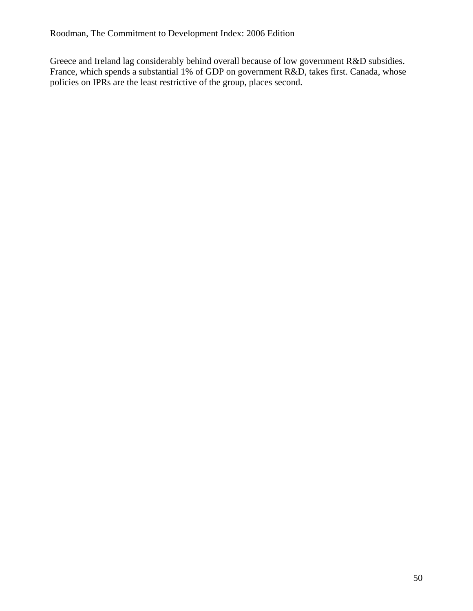Greece and Ireland lag considerably behind overall because of low government R&D subsidies. France, which spends a substantial 1% of GDP on government R&D, takes first. Canada, whose policies on IPRs are the least restrictive of the group, places second.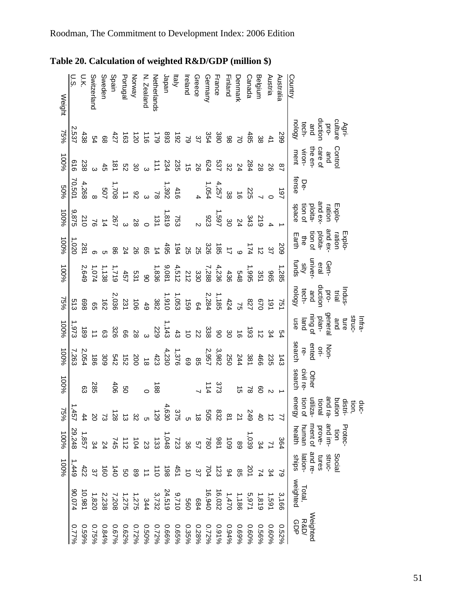|        | ດ.<br>ວ | U.K.            | Switzerland                     | Sweden                                                                            | Spain | Portugal                                            | Vorway                                                                                                                                                                                                                                                                                                                                                | N. Zealand     | Vetherlands    | Japan | ltaly                         | Ireland | Greece | Germany | France | Finland        | <b>Jenmark</b>                                                                                                                                                                                                                                                                                                                                                                                                                                                                   | Canada     | Belgium                                                                                                                                                                                                                                                        | Austria                         | Australia       | Country                                                                       |
|--------|---------|-----------------|---------------------------------|-----------------------------------------------------------------------------------|-------|-----------------------------------------------------|-------------------------------------------------------------------------------------------------------------------------------------------------------------------------------------------------------------------------------------------------------------------------------------------------------------------------------------------------------|----------------|----------------|-------|-------------------------------|---------|--------|---------|--------|----------------|----------------------------------------------------------------------------------------------------------------------------------------------------------------------------------------------------------------------------------------------------------------------------------------------------------------------------------------------------------------------------------------------------------------------------------------------------------------------------------|------------|----------------------------------------------------------------------------------------------------------------------------------------------------------------------------------------------------------------------------------------------------------------|---------------------------------|-----------------|-------------------------------------------------------------------------------|
| Weight |         |                 |                                 |                                                                                   |       |                                                     |                                                                                                                                                                                                                                                                                                                                                       |                |                |       |                               |         |        |         |        |                |                                                                                                                                                                                                                                                                                                                                                                                                                                                                                  |            |                                                                                                                                                                                                                                                                |                                 |                 |                                                                               |
| $75\%$ | 2,537   | 438             |                                 | <b>634</b>                                                                        |       |                                                     | $15037$<br>$450$                                                                                                                                                                                                                                                                                                                                      |                | 83<br>179      |       |                               |         |        |         |        |                | $\begin{array}{cccccc} 48 & 2 & 3 & 3 & 3 & 4 & 5 & 6 \\ 38 & 6 & 6 & 7 & 8 & 7 & 8 & 6 \\ 40 & 6 & 8 & 6 & 7 & 8 & 7 & 8 & 8 \\ 60 & 6 & 6 & 6 & 7 & 8 & 7 & 8 & 8 \\ 70 & 6 & 6 & 6 & 7 & 8 & 8 & 8 & 8 \\ 80 & 6 & 6 & 6 & 7 & 8 & 8 & 8 & 8 \\ 90 & 6 & 6 & 6 & 8 & 8 & 8 & 8 & 8 \\ 10 & 6 & 6 & 6 & 8 & 8 & 8 &$                                                                                                                                                           |            |                                                                                                                                                                                                                                                                | $\frac{29}{4}$ 4 $\frac{49}{8}$ |                 | duction<br>and<br>tech-<br>nology<br>Agri-<br>culture<br>pro-                 |
| 100%   |         |                 | ၁ )<br>၁ )<br>၁ )<br>၁ )<br>၁ ) |                                                                                   |       |                                                     |                                                                                                                                                                                                                                                                                                                                                       | س              |                |       |                               |         |        |         |        |                | 284<br>24                                                                                                                                                                                                                                                                                                                                                                                                                                                                        |            | 28                                                                                                                                                                                                                                                             |                                 | $\frac{8}{1}$   | Control<br>and<br>care en-<br>the en-<br>went<br>ment                         |
| %0S    |         |                 |                                 |                                                                                   |       |                                                     |                                                                                                                                                                                                                                                                                                                                                       |                |                |       |                               |         |        |         |        |                | $25$<br>$25$<br>$4$<br>$-25$<br>$-25$<br>$-25$<br>$-4$<br>$-4$<br>$-4$                                                                                                                                                                                                                                                                                                                                                                                                           |            |                                                                                                                                                                                                                                                                |                                 | 161             | De-<br>fense                                                                  |
| 100%   |         |                 |                                 |                                                                                   |       | $2880$<br>$212$<br>$212$<br>$208$<br>$208$<br>$208$ | $1231$<br>$131$<br>$131$<br>$28$<br>$-28$                                                                                                                                                                                                                                                                                                             |                |                |       |                               |         |        |         |        |                | 2 3 3 3 3 3 4<br>2 4 7 8 9 2 9<br>9 4 9 7 9 7                                                                                                                                                                                                                                                                                                                                                                                                                                    |            |                                                                                                                                                                                                                                                                |                                 |                 | ration<br>and ex<br>ploita-<br>space<br>space<br>Explo-                       |
| 100%   | 1,020   | 281             |                                 |                                                                                   |       |                                                     |                                                                                                                                                                                                                                                                                                                                                       |                |                |       |                               |         |        |         |        |                |                                                                                                                                                                                                                                                                                                                                                                                                                                                                                  | 174        |                                                                                                                                                                                                                                                                | $\frac{3}{2}$ $\frac{4}{3}$     | 502             | Explorer<br>Transformation<br>Transformation<br>Elarth<br>Elarth              |
| 100%   |         |                 |                                 |                                                                                   |       |                                                     | $\begin{array}{cccc}\n & 1 & 1 & 1 & 1 \\  & 1 & 1 & 1 & 1 & 1 \\  & 1 & 1 & 1 & 1 & 1 \\  & 1 & 1 & 1 & 1 & 1 \\  & 1 & 1 & 1 & 1 & 1 \\  & 1 & 1 & 1 & 1 & 1 \\  & 1 & 1 & 1 & 1 & 1 \\  & 1 & 1 & 1 & 1 & 1 \\  & 1 & 1 & 1 & 1 & 1 \\  & 1 & 1 & 1 & 1 & 1 \\  & 1 & 1 & 1 & 1 & 1 \\  & 1 & 1 & 1 & 1 & 1 \\  & 1 & 1 & 1 & 1 & 1 \\  & 1 & 1 &$ |                |                |       |                               |         |        |         |        |                |                                                                                                                                                                                                                                                                                                                                                                                                                                                                                  |            |                                                                                                                                                                                                                                                                |                                 | 1,285           | Gen-<br>eral<br>univer<br>Gen-                                                |
| 15%    |         |                 |                                 |                                                                                   |       |                                                     | $\begin{array}{cccccc} 4 & 4 & 3 & 4 & 5 & 6 \\ 4 & 5 & 3 & 4 & 5 & 6 \\ 4 & 5 & 3 & 5 & 6 & 6 \\ 4 & 5 & 3 & 5 & 6 & 6 \\ 5 & 5 & 5 & 5 & 6 & 6 \\ 6 & 6 & 6 & 6 & 6 & 6 \\ 7 & 6 & 6 & 6 & 6 & 6 \\ 8 & 6 & 6 & 6 & 6 & 6 \\ 9 & 10 & 10 & 10 & 10 & 10 \\ 11 & 11 & 11 & 11 & 11 & 11 \\ 12 & 12 & 12 & 12 & 12 & $                                |                |                |       |                               |         |        |         |        |                |                                                                                                                                                                                                                                                                                                                                                                                                                                                                                  | 827<br>758 | 0/9                                                                                                                                                                                                                                                            | 161                             | 751             | Indus-<br>trial<br>protoing and<br>tech-<br>nology                            |
| 100%   |         | 189<br>189      |                                 |                                                                                   |       |                                                     |                                                                                                                                                                                                                                                                                                                                                       |                |                |       |                               |         |        |         | 38825  |                |                                                                                                                                                                                                                                                                                                                                                                                                                                                                                  |            | $\frac{3}{4}$ $\frac{1}{6}$ $\frac{5}{6}$ $\frac{1}{6}$                                                                                                                                                                                                        |                                 | ღ               | Infra-<br>struce and<br>and plane<br>general limit<br>ise<br>use<br>use       |
| 100%   |         | 2,054<br>7,263  |                                 | 309                                                                               |       |                                                     |                                                                                                                                                                                                                                                                                                                                                       |                |                |       |                               |         |        |         |        |                |                                                                                                                                                                                                                                                                                                                                                                                                                                                                                  |            | 466                                                                                                                                                                                                                                                            | 235                             | $\frac{143}{1}$ | Non-<br>ori-<br>search<br>search                                              |
| 100%   |         | සූ              | 285                             |                                                                                   |       | និ g                                                |                                                                                                                                                                                                                                                                                                                                                       |                | $\frac{18}{9}$ |       |                               |         |        | 114     | 373    |                |                                                                                                                                                                                                                                                                                                                                                                                                                                                                                  |            | ಜ ಜ                                                                                                                                                                                                                                                            | $\mathsf{N}$                    |                 | Other<br>civil re-                                                            |
| 75%    |         |                 |                                 | $\frac{2}{3}$<br>$\frac{2}{3}$<br>$\frac{2}{3}$<br>$\frac{2}{3}$<br>$\frac{2}{3}$ |       |                                                     | ಜ                                                                                                                                                                                                                                                                                                                                                     | Оı             |                |       | ນ<br>ລັດ ລັດ ລັດ<br>ມີລັດ ລັດ |         |        |         |        | $\overline{8}$ | $\overline{2}$                                                                                                                                                                                                                                                                                                                                                                                                                                                                   | 6#7        |                                                                                                                                                                                                                                                                |                                 |                 | energy<br>and ra-<br>tional<br>utiliza-<br>duc-<br>tion,<br>distri-<br>bution |
| 100%   |         | 1,857<br>29,248 | ξ                               |                                                                                   |       |                                                     |                                                                                                                                                                                                                                                                                                                                                       |                |                |       |                               |         |        |         |        |                | $\begin{array}{cccccccccccccc} . & . & . & . & . & . & . & . \\ . & . & . & . & . & . & . & . \\ . & . & . & . & . & . & . & . \\ . & . & . & . & . & . & . & . \\ . & . & . & . & . & . & . & . \\ . & . & . & . & . & . & . & . \\ . & . & . & . & . & . & . & . \\ . & . & . & . & . & . & . & . \\ . & . & . & . & . & . & . & . \\ . & . & . & . & . & . & . & . \\ . & . & . & . & . & . & . & . \\ . & . & . & . & . & . & . & . \\ . & . & . & . & . & . & . & . \\ . &$ |            | ဖွ                                                                                                                                                                                                                                                             |                                 | 364             | and im-<br>ment of<br>human<br>health<br>prove-<br>Protec-<br>tion            |
| 100%   | 1,449   | 422             |                                 |                                                                                   |       |                                                     |                                                                                                                                                                                                                                                                                                                                                       |                |                |       |                               |         |        |         |        |                |                                                                                                                                                                                                                                                                                                                                                                                                                                                                                  |            |                                                                                                                                                                                                                                                                |                                 |                 | Social<br>tures<br>and re-<br>ships<br>ships                                  |
|        | 90,074  |                 |                                 |                                                                                   |       |                                                     |                                                                                                                                                                                                                                                                                                                                                       |                |                |       |                               |         |        |         |        |                |                                                                                                                                                                                                                                                                                                                                                                                                                                                                                  |            |                                                                                                                                                                                                                                                                |                                 | 3,166           | Total,<br>weighted                                                            |
|        |         | 0.59%           |                                 | 0.84%<br>0.75%                                                                    |       | 0.62%<br>0.67%                                      |                                                                                                                                                                                                                                                                                                                                                       | 0.50%<br>0.72% |                |       |                               |         |        |         |        |                |                                                                                                                                                                                                                                                                                                                                                                                                                                                                                  |            | $\begin{array}{l} 0.0000000\\ 0.000000\\ 0.000000\\ 0.000000\\ 0.000000\\ 0.00000\\ 0.00000\\ 0.00000\\ 0.00000\\ 0.00000\\ 0.00000\\ 0.00000\\ 0.00000\\ 0.00000\\ 0.00000\\ 0.00000\\ 0.00000\\ 0.00000\\ 0.00000\\ 0.00000\\ 0.00000\\ 0.00000\\ 0.00000\\$ | 0.60%                           | 0.52%           | Weighted<br>R&D/<br>요<br>민                                                    |

**Table 20. Calculation of weighted R&D/GDP (million \$)**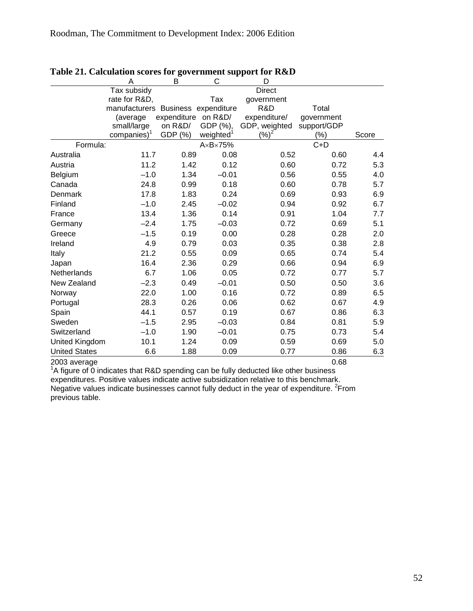|                      | Α                                  | в                   | $\frac{1}{2}$<br>С | D             |             |       |
|----------------------|------------------------------------|---------------------|--------------------|---------------|-------------|-------|
|                      | Tax subsidy                        |                     |                    | <b>Direct</b> |             |       |
|                      | rate for R&D,                      |                     | Tax                | government    |             |       |
|                      | manufacturers Business expenditure |                     |                    | R&D           | Total       |       |
|                      | (average                           | expenditure on R&D/ |                    | expenditure/  | government  |       |
|                      | small/large                        | on R&D/             | GDP (%),           | GDP, weighted | support/GDP |       |
|                      | companies) <sup>1</sup>            | GDP (%)             | weighted           | (%)           | $(\% )$     | Score |
| Formula:             |                                    |                     | AxBx75%            |               | $C+D$       |       |
| Australia            | 11.7                               | 0.89                | 0.08               | 0.52          | 0.60        | 4.4   |
| Austria              | 11.2                               | 1.42                | 0.12               | 0.60          | 0.72        | 5.3   |
| Belgium              | $-1.0$                             | 1.34                | $-0.01$            | 0.56          | 0.55        | 4.0   |
| Canada               | 24.8                               | 0.99                | 0.18               | 0.60          | 0.78        | 5.7   |
| Denmark              | 17.8                               | 1.83                | 0.24               | 0.69          | 0.93        | 6.9   |
| Finland              | $-1.0$                             | 2.45                | $-0.02$            | 0.94          | 0.92        | 6.7   |
| France               | 13.4                               | 1.36                | 0.14               | 0.91          | 1.04        | 7.7   |
| Germany              | $-2.4$                             | 1.75                | $-0.03$            | 0.72          | 0.69        | 5.1   |
| Greece               | $-1.5$                             | 0.19                | 0.00               | 0.28          | 0.28        | 2.0   |
| Ireland              | 4.9                                | 0.79                | 0.03               | 0.35          | 0.38        | 2.8   |
| Italy                | 21.2                               | 0.55                | 0.09               | 0.65          | 0.74        | 5.4   |
| Japan                | 16.4                               | 2.36                | 0.29               | 0.66          | 0.94        | 6.9   |
| Netherlands          | 6.7                                | 1.06                | 0.05               | 0.72          | 0.77        | 5.7   |
| New Zealand          | $-2.3$                             | 0.49                | $-0.01$            | 0.50          | 0.50        | 3.6   |
| Norway               | 22.0                               | 1.00                | 0.16               | 0.72          | 0.89        | 6.5   |
| Portugal             | 28.3                               | 0.26                | 0.06               | 0.62          | 0.67        | 4.9   |
| Spain                | 44.1                               | 0.57                | 0.19               | 0.67          | 0.86        | 6.3   |
| Sweden               | $-1.5$                             | 2.95                | $-0.03$            | 0.84          | 0.81        | 5.9   |
| Switzerland          | $-1.0$                             | 1.90                | $-0.01$            | 0.75          | 0.73        | 5.4   |
| United Kingdom       | 10.1                               | 1.24                | 0.09               | 0.59          | 0.69        | 5.0   |
| <b>United States</b> | 6.6                                | 1.88                | 0.09               | 0.77          | 0.86        | 6.3   |

#### **Table 21. Calculation scores for government support for R&D**

2003 average 0.68 1 A figure of 0 indicates that R&D spending can be fully deducted like other business expenditures. Positive values indicate active subsidization relative to this benchmark. Negative values indicate businesses cannot fully deduct in the year of expenditure.  ${}^{2}$ From previous table.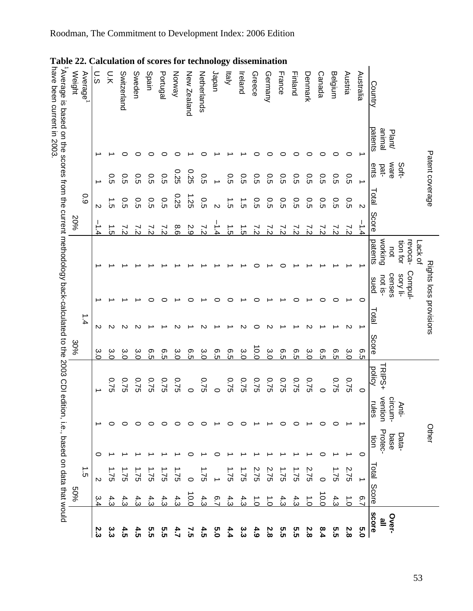| alculation of scores for technology<br>Ο.<br>Ο<br>n:k<br>Sweden<br>Spain<br>Portugal<br>Norway |               |                |                |                |            |               |                |                  |               | Japan   | ltaly          | dissemination<br>Ireland | Greece         | Germany        | France  | Finland            | Denmark       | Canada        | Belgium            | Austria         | Australia      |                                                  |                        |
|------------------------------------------------------------------------------------------------|---------------|----------------|----------------|----------------|------------|---------------|----------------|------------------|---------------|---------|----------------|--------------------------|----------------|----------------|---------|--------------------|---------------|---------------|--------------------|-----------------|----------------|--------------------------------------------------|------------------------|
| Average                                                                                        |               |                | Switzerland    |                |            |               |                | New Zealand      | Netherlands   |         |                |                          |                |                |         |                    |               |               |                    |                 |                | Country                                          |                        |
|                                                                                                |               |                |                | c              |            |               |                |                  |               |         |                |                          |                |                | c       | ⊂                  | 0             | 0             | $\circ$            | 0               | ∸              | patents<br>lemine<br>Plant                       |                        |
|                                                                                                |               | o.<br>G        | ი<br>ნ         | ი<br>ნ         | o.s        | O.5           | 0.25           | 0.25             | o.s           |         | o.s            | o.<br>G                  | o.<br>G        | o.<br>G        | o.<br>G | ი<br>ნ             | Ο.<br>Ο       | ი<br>ნ        | Ο.<br>Ο            | $\overline{c}$  | →              | ware<br>Soft-<br>ents<br>pat-                    | Patent coverage        |
| 60                                                                                             | $\mathsf{N}$  | jن.            | ი<br>ნ         | o.s            | O.5        | 0.5           | 0.25           | 1.25             | 0.5           | $\sim$  | ີຕ             | $\vec{c}$                | $\overline{c}$ | თ.             | O.5     | ე<br>ნ             | Ο.<br>Ο       | ე<br>ნ        | Ο.<br>Ο            | თ<br>ნ          | $\mathbf{v}$   | Total                                            |                        |
| 20%                                                                                            | $\frac{1}{4}$ | ີບ             | 72<br>22       | 72<br>22       | 72<br>22   | $\frac{2}{3}$ | 8.6            | 2.9              | $\frac{2}{3}$ | بـ<br>4 | $\vec{5}$      | $\vec{c}$                | r.s            | $\frac{7}{2}$  | 75      | $\frac{1}{\delta}$ | $\frac{2}{3}$ | $\frac{2}{3}$ | $\frac{2}{\delta}$ | $\dot{\rm s}$   | $\frac{1}{4}$  | Score                                            |                        |
|                                                                                                |               |                |                |                |            |               |                |                  |               |         |                |                          |                |                |         |                    |               |               |                    |                 |                | working<br>patents<br>tion for<br>revoca-<br>not | -ack of                |
|                                                                                                |               |                |                |                |            |               |                |                  |               |         |                |                          |                |                |         |                    |               |               | ⊂                  |                 | 0              | Compul-<br>censes<br>sory li-<br>not is-<br>sued | Rights loss provisions |
| 1.4                                                                                            | N             | N              | N              |                |            |               |                |                  |               |         |                |                          | ⊂              | N              |         |                    | N             |               |                    | $\mathsf{\sim}$ |                | Total                                            |                        |
| 30%                                                                                            | ىب<br>ö       | 3.O            | بہ<br>ö        | α<br>Ο         | တ<br>Ċ٦    | စ္ပာ<br>Ċ٦    | őς             | თ.<br>ს          | 3.<br>Ο       | თ<br>ნ  | 6.5            | ω<br>Ο                   | 0.0            | őς             | თ<br>ს  | თ.<br>ს            | őς            | თ.            | 9.5                | 3.<br>Ο         | Θ.5            | <b>Score</b>                                     |                        |
|                                                                                                |               | 97.0           | 0.75           | 97.0           | 0.75       | <b>220</b>    | 0.75           | 0                | Ξ.<br>2       | 0       | 0.75           | 9.75                     | 9.75           | 0.75           | 9.75    | 0.75               | 0.75          | $\circ$       | 0.75               | 0.75            | $\circ$        | <b>TRIPS+</b><br>policy                          |                        |
|                                                                                                |               | 0              | 0              | 0              | c          | 0             | 0              | ○                | 0             |         | 0              | 0                        |                |                | 0       | ○                  |               | ○             | $\circ$            |                 |                | vention<br>Ω<br>rules<br>ircum-<br>Anti-         |                        |
|                                                                                                | 0             |                |                |                |            |               |                |                  |               |         |                |                          |                |                |         |                    |               | ⊂             |                    |                 | $\circ$        | Protec-<br>Data-<br>base<br>ion                  | Other                  |
| $\frac{1}{\Omega}$                                                                             | $\mathsf{N}$  | $\mathfrak{S}$ | $\mathfrak{S}$ | $\mathfrak{S}$ | $\ddot{c}$ | $\frac{1}{2}$ | $\overline{S}$ | $\circ$          | 95            |         | $\overline{5}$ | 1.75                     | 2.75           | $\mathfrak{S}$ | 31      | 31                 | Ņ<br>32       | $\circ$       | ≓.<br>32           | Ņ<br>32         | ∸              |                                                  |                        |
| 50%                                                                                            | ب<br>4        | 4.<br>ن        | 4.<br>ن        | 4.<br>ن        | 4:<br>ن    | 4.<br>ن       | 4.3            | $\overline{0.0}$ | 4.3           | ္       | 4.3            | 4.3                      | $\vec{c}$      | $\vec{c}$      | 4:<br>ن | 4:3                | $\vec{c}$     | 10.0          | 4.3                | $\vec{c}$       | $\overline{9}$ | Total Score                                      |                        |
|                                                                                                | بر<br>ن       | ယ<br>ယ         | 4.5            | 4՝2<br>r       | თ<br>თ     | თ<br>თ        | 4.7            | ر<br>ت           | 4.5           | ე<br>O  | 4.4            | ین<br>ن                  | 4.9            | 2.8            | თ<br>თ  | თ<br>თ             | 2.8           | 8.4           | 5.5                | 2.8             | 0.5            | <b>SCOLE</b><br>Over-<br><u>ه</u>                |                        |

# Roodman, The Commitment to Development Index: 2006 Edition

53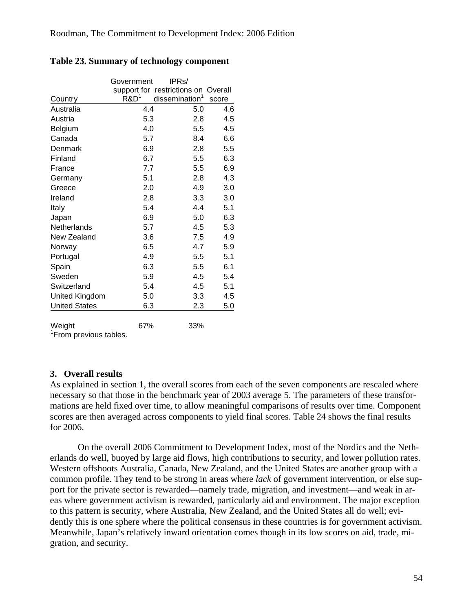|                      | Government       | IPR <sub>s</sub> /                  |       |
|----------------------|------------------|-------------------------------------|-------|
|                      |                  | support for restrictions on Overall |       |
| Country              | R&D <sup>1</sup> | dissemination <sup>1</sup>          | score |
| Australia            | 4.4              | 5.0                                 | 4.6   |
| Austria              | 5.3              | 2.8                                 | 4.5   |
| Belgium              | 4.0              | 5.5                                 | 4.5   |
| Canada               | 5.7              | 8.4                                 | 6.6   |
| Denmark              | 6.9              | 2.8                                 | 5.5   |
| Finland              | 6.7              | 5.5                                 | 6.3   |
| France               | 7.7              | 5.5                                 | 6.9   |
| Germany              | 5.1              | 2.8                                 | 4.3   |
| Greece               | 2.0              | 4.9                                 | 3.0   |
| Ireland              | 2.8              | 3.3                                 | 3.0   |
| Italy                | 5.4              | 4.4                                 | 5.1   |
| Japan                | 6.9              | 5.0                                 | 6.3   |
| Netherlands          | 5.7              | 4.5                                 | 5.3   |
| New Zealand          | 3.6              | 7.5                                 | 4.9   |
| Norway               | 6.5              | 4.7                                 | 5.9   |
| Portugal             | 4.9              | 5.5                                 | 5.1   |
| Spain                | 6.3              | 5.5                                 | 6.1   |
| Sweden               | 5.9              | 4.5                                 | 5.4   |
| Switzerland          | 5.4              | 4.5                                 | 5.1   |
| United Kingdom       | 5.0              | 3.3                                 | 4.5   |
| <b>United States</b> | 6.3              | 2.3                                 | 5.0   |
| Weight               | 67%              | 33%                                 |       |

#### **Table 23. Summary of technology component**

<sup>1</sup> From previous tables.

### **3. Overall results**

As explained in section 1, the overall scores from each of the seven components are rescaled where necessary so that those in the benchmark year of 2003 average 5. The parameters of these transformations are held fixed over time, to allow meaningful comparisons of results over time. Component scores are then averaged across components to yield final scores. Table 24 shows the final results for 2006.

On the overall 2006 Commitment to Development Index, most of the Nordics and the Netherlands do well, buoyed by large aid flows, high contributions to security, and lower pollution rates. Western offshoots Australia, Canada, New Zealand, and the United States are another group with a common profile. They tend to be strong in areas where *lack* of government intervention, or else support for the private sector is rewarded—namely trade, migration, and investment—and weak in areas where government activism is rewarded, particularly aid and environment. The major exception to this pattern is security, where Australia, New Zealand, and the United States all do well; evidently this is one sphere where the political consensus in these countries is for government activism. Meanwhile, Japan's relatively inward orientation comes though in its low scores on aid, trade, migration, and security.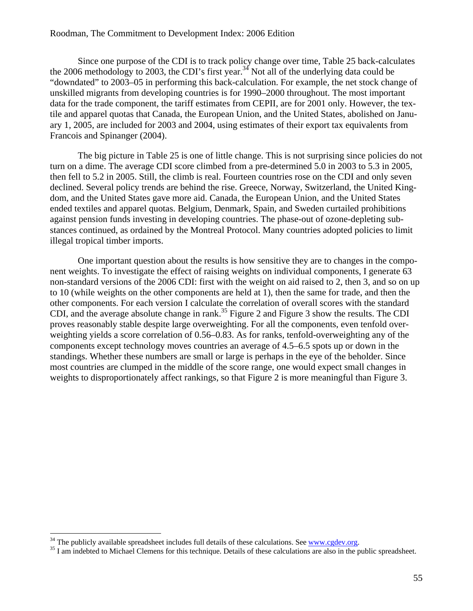#### Roodman, The Commitment to Development Index: 2006 Edition

Since one purpose of the CDI is to track policy change over time, Table 25 back-calculates the 2006 methodology to 2003, the CDI's first year.<sup>34</sup> Not all of the underlying data could be "downdated" to 2003–05 in performing this back-calculation. For example, the net stock change of unskilled migrants from developing countries is for 1990–2000 throughout. The most important data for the trade component, the tariff estimates from CEPII, are for 2001 only. However, the textile and apparel quotas that Canada, the European Union, and the United States, abolished on January 1, 2005, are included for 2003 and 2004, using estimates of their export tax equivalents from Francois and Spinanger (2004).

The big picture in Table 25 is one of little change. This is not surprising since policies do not turn on a dime. The average CDI score climbed from a pre-determined 5.0 in 2003 to 5.3 in 2005, then fell to 5.2 in 2005. Still, the climb is real. Fourteen countries rose on the CDI and only seven declined. Several policy trends are behind the rise. Greece, Norway, Switzerland, the United Kingdom, and the United States gave more aid. Canada, the European Union, and the United States ended textiles and apparel quotas. Belgium, Denmark, Spain, and Sweden curtailed prohibitions against pension funds investing in developing countries. The phase-out of ozone-depleting substances continued, as ordained by the Montreal Protocol. Many countries adopted policies to limit illegal tropical timber imports.

One important question about the results is how sensitive they are to changes in the component weights. To investigate the effect of raising weights on individual components, I generate 63 non-standard versions of the 2006 CDI: first with the weight on aid raised to 2, then 3, and so on up to 10 (while weights on the other components are held at 1), then the same for trade, and then the other components. For each version I calculate the correlation of overall scores with the standard CDI, and the average absolute change in rank.<sup>35</sup> Figure 2 and Figure 3 show the results. The CDI proves reasonably stable despite large overweighting. For all the components, even tenfold overweighting yields a score correlation of 0.56–0.83. As for ranks, tenfold-overweighting any of the components except technology moves countries an average of 4.5–6.5 spots up or down in the standings. Whether these numbers are small or large is perhaps in the eye of the beholder. Since most countries are clumped in the middle of the score range, one would expect small changes in weights to disproportionately affect rankings, so that Figure 2 is more meaningful than Figure 3.

<sup>&</sup>lt;sup>34</sup> The publicly available spreadsheet includes full details of these calculations. See  $\frac{www.cgdev.org}{www.cgdev.org}$ .<br><sup>35</sup> I am indebted to Michael Clemens for this technique. Details of these calculations are also in the public sp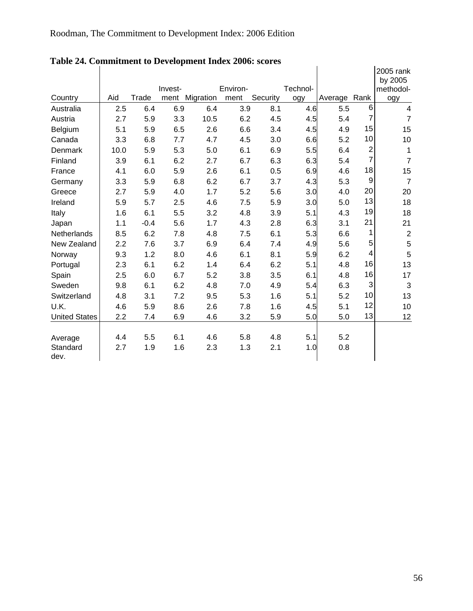|                      |      |        | Invest- |           | Environ- |          | Technol- |         |                | 2005 rank<br>by 2005<br>methodol- |
|----------------------|------|--------|---------|-----------|----------|----------|----------|---------|----------------|-----------------------------------|
| Country              | Aid  | Trade  | ment    | Migration | ment     | Security | ogy      | Average | Rank           | ogy                               |
| Australia            | 2.5  | 6.4    | 6.9     | 6.4       | 3.9      | 8.1      | 4.6      | 5.5     | 6              | 4                                 |
| Austria              | 2.7  | 5.9    | 3.3     | 10.5      | 6.2      | 4.5      | 4.5      | 5.4     | $\overline{7}$ | $\overline{7}$                    |
| Belgium              | 5.1  | 5.9    | 6.5     | 2.6       | 6.6      | 3.4      | 4.5      | 4.9     | 15             | 15                                |
| Canada               | 3.3  | 6.8    | 7.7     | 4.7       | 4.5      | 3.0      | 6.6      | 5.2     | 10             | 10                                |
| Denmark              | 10.0 | 5.9    | 5.3     | 5.0       | 6.1      | 6.9      | 5.5      | 6.4     | $\mathbf 2$    | 1                                 |
| Finland              | 3.9  | 6.1    | 6.2     | 2.7       | 6.7      | 6.3      | 6.3      | 5.4     | $\overline{7}$ | $\overline{7}$                    |
| France               | 4.1  | 6.0    | 5.9     | 2.6       | 6.1      | 0.5      | 6.9      | 4.6     | 18             | 15                                |
| Germany              | 3.3  | 5.9    | 6.8     | 6.2       | 6.7      | 3.7      | 4.3      | 5.3     | 9              | $\overline{7}$                    |
| Greece               | 2.7  | 5.9    | 4.0     | 1.7       | 5.2      | 5.6      | 3.0      | 4.0     | 20             | 20                                |
| Ireland              | 5.9  | 5.7    | 2.5     | 4.6       | 7.5      | 5.9      | 3.0      | 5.0     | 13             | 18                                |
| Italy                | 1.6  | 6.1    | 5.5     | 3.2       | 4.8      | 3.9      | 5.1      | 4.3     | 19             | 18                                |
| Japan                | 1.1  | $-0.4$ | 5.6     | 1.7       | 4.3      | 2.8      | 6.3      | 3.1     | 21             | 21                                |
| Netherlands          | 8.5  | 6.2    | 7.8     | 4.8       | 7.5      | 6.1      | 5.3      | 6.6     | 1              | $\overline{2}$                    |
| New Zealand          | 2.2  | 7.6    | 3.7     | 6.9       | 6.4      | 7.4      | 4.9      | 5.6     | 5              | $\mathbf 5$                       |
| Norway               | 9.3  | 1.2    | 8.0     | 4.6       | 6.1      | 8.1      | 5.9      | 6.2     | 4              | 5                                 |
| Portugal             | 2.3  | 6.1    | 6.2     | 1.4       | 6.4      | 6.2      | 5.1      | 4.8     | 16             | 13                                |
| Spain                | 2.5  | 6.0    | 6.7     | 5.2       | 3.8      | 3.5      | 6.1      | 4.8     | 16             | 17                                |
| Sweden               | 9.8  | 6.1    | 6.2     | 4.8       | 7.0      | 4.9      | 5.4      | 6.3     | 3              | 3                                 |
| Switzerland          | 4.8  | 3.1    | 7.2     | 9.5       | 5.3      | 1.6      | 5.1      | 5.2     | 10             | 13                                |
| U.K.                 | 4.6  | 5.9    | 8.6     | 2.6       | 7.8      | 1.6      | 4.5      | 5.1     | 12             | 10                                |
| <b>United States</b> | 2.2  | 7.4    | 6.9     | 4.6       | 3.2      | 5.9      | 5.0      | 5.0     | 13             | <u>12</u>                         |
|                      |      |        |         |           |          |          |          |         |                |                                   |
| Average              | 4.4  | 5.5    | 6.1     | 4.6       | 5.8      | 4.8      | 5.1      | 5.2     |                |                                   |
| Standard<br>dev.     | 2.7  | 1.9    | 1.6     | 2.3       | 1.3      | 2.1      | 1.0      | 0.8     |                |                                   |

**Table 24. Commitment to Development Index 2006: scores**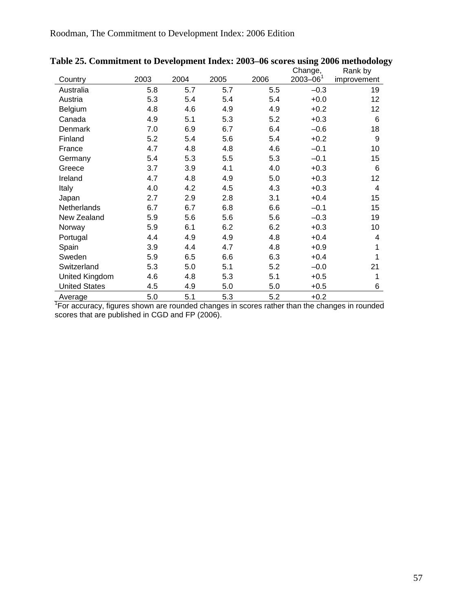|                      |      |      |      |      | Change,       | ື<br>Rank by |
|----------------------|------|------|------|------|---------------|--------------|
| Country              | 2003 | 2004 | 2005 | 2006 | $2003 - 06^1$ | improvement  |
| Australia            | 5.8  | 5.7  | 5.7  | 5.5  | $-0.3$        | 19           |
| Austria              | 5.3  | 5.4  | 5.4  | 5.4  | $+0.0$        | 12           |
| Belgium              | 4.8  | 4.6  | 4.9  | 4.9  | $+0.2$        | 12           |
| Canada               | 4.9  | 5.1  | 5.3  | 5.2  | $+0.3$        | 6            |
| Denmark              | 7.0  | 6.9  | 6.7  | 6.4  | $-0.6$        | 18           |
| Finland              | 5.2  | 5.4  | 5.6  | 5.4  | $+0.2$        | 9            |
| France               | 4.7  | 4.8  | 4.8  | 4.6  | $-0.1$        | 10           |
| Germany              | 5.4  | 5.3  | 5.5  | 5.3  | $-0.1$        | 15           |
| Greece               | 3.7  | 3.9  | 4.1  | 4.0  | $+0.3$        | 6            |
| Ireland              | 4.7  | 4.8  | 4.9  | 5.0  | $+0.3$        | 12           |
| Italy                | 4.0  | 4.2  | 4.5  | 4.3  | $+0.3$        | 4            |
| Japan                | 2.7  | 2.9  | 2.8  | 3.1  | $+0.4$        | 15           |
| Netherlands          | 6.7  | 6.7  | 6.8  | 6.6  | $-0.1$        | 15           |
| New Zealand          | 5.9  | 5.6  | 5.6  | 5.6  | $-0.3$        | 19           |
| Norway               | 5.9  | 6.1  | 6.2  | 6.2  | $+0.3$        | 10           |
| Portugal             | 4.4  | 4.9  | 4.9  | 4.8  | $+0.4$        | 4            |
| Spain                | 3.9  | 4.4  | 4.7  | 4.8  | $+0.9$        | 1            |
| Sweden               | 5.9  | 6.5  | 6.6  | 6.3  | $+0.4$        | 1            |
| Switzerland          | 5.3  | 5.0  | 5.1  | 5.2  | $-0.0$        | 21           |
| United Kingdom       | 4.6  | 4.8  | 5.3  | 5.1  | $+0.5$        | 1            |
| <b>United States</b> | 4.5  | 4.9  | 5.0  | 5.0  | $+0.5$        | 6            |
| Average              | 5.0  | 5.1  | 5.3  | 5.2  | $+0.2$        |              |

Average 5.0 5.1 5.3 5.2 +0.2<br><sup>1</sup> For accuracy, figures shown are rounded changes in scores rather than the changes in rounded scores that are published in CGD and FP (2006).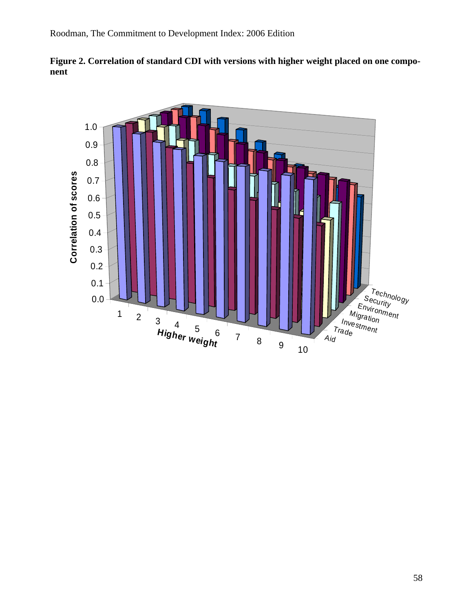



**Figure 2. Correlation of standard CDI with versions with higher weight placed on one component**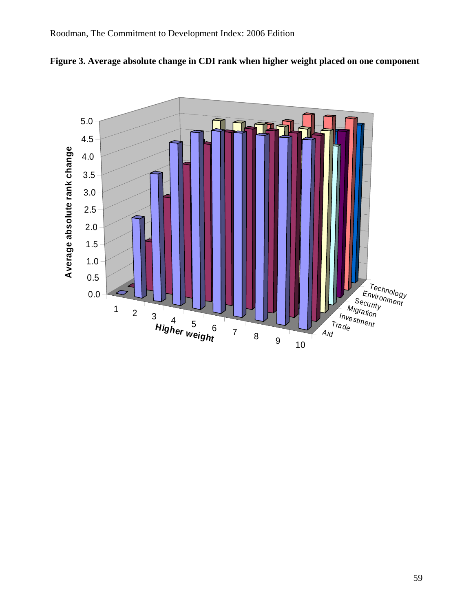

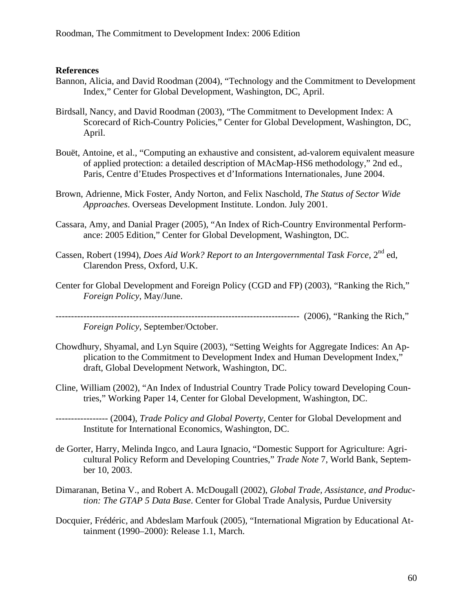#### **References**

- Bannon, Alicia, and David Roodman (2004), "Technology and the Commitment to Development Index," Center for Global Development, Washington, DC, April.
- Birdsall, Nancy, and David Roodman (2003), "The Commitment to Development Index: A Scorecard of Rich-Country Policies," Center for Global Development, Washington, DC, April.
- Bouët, Antoine, et al., "Computing an exhaustive and consistent, ad-valorem equivalent measure of applied protection: a detailed description of MAcMap-HS6 methodology," 2nd ed., Paris, Centre d'Etudes Prospectives et d'Informations Internationales, June 2004.
- Brown, Adrienne, Mick Foster, Andy Norton, and Felix Naschold, *The Status of Sector Wide Approaches*. Overseas Development Institute. London. July 2001.
- Cassara, Amy, and Danial Prager (2005), "An Index of Rich-Country Environmental Performance: 2005 Edition," Center for Global Development, Washington, DC.
- Cassen, Robert (1994), *Does Aid Work? Report to an Intergovernmental Task Force*, 2<sup>nd</sup> ed, Clarendon Press, Oxford, U.K.
- Center for Global Development and Foreign Policy (CGD and FP) (2003), "Ranking the Rich," *Foreign Policy*, May/June.

------------------------------------------------------------------------------- (2006), "Ranking the Rich,"

*Foreign Policy*, September/October.

- Chowdhury, Shyamal, and Lyn Squire (2003), "Setting Weights for Aggregate Indices: An Application to the Commitment to Development Index and Human Development Index," draft, Global Development Network, Washington, DC.
- Cline, William (2002), "An Index of Industrial Country Trade Policy toward Developing Countries," Working Paper 14, Center for Global Development, Washington, DC.
- ----------------- (2004), *Trade Policy and Global Poverty*, Center for Global Development and Institute for International Economics, Washington, DC.
- de Gorter, Harry, Melinda Ingco, and Laura Ignacio, "Domestic Support for Agriculture: Agricultural Policy Reform and Developing Countries," *Trade Note* 7, World Bank, September 10, 2003.
- Dimaranan, Betina V., and Robert A. McDougall (2002), *Global Trade, Assistance, and Production: The GTAP 5 Data Base*. Center for Global Trade Analysis, Purdue University
- Docquier, Frédéric, and Abdeslam Marfouk (2005), "International Migration by Educational Attainment (1990–2000): Release 1.1, March.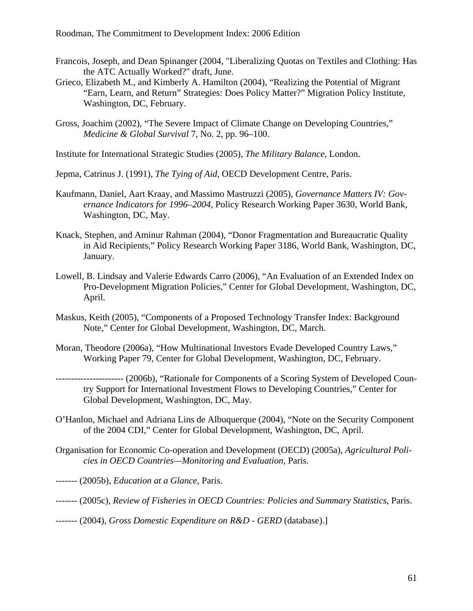- Francois, Joseph, and Dean Spinanger (2004, "Liberalizing Quotas on Textiles and Clothing: Has the ATC Actually Worked?" draft, June.
- Grieco, Elizabeth M., and Kimberly A. Hamilton (2004), "Realizing the Potential of Migrant "Earn, Learn, and Return" Strategies: Does Policy Matter?" Migration Policy Institute, Washington, DC, February.
- Gross, Joachim (2002), "The Severe Impact of Climate Change on Developing Countries," *Medicine & Global Survival* 7, No. 2, pp. 96–100.
- Institute for International Strategic Studies (2005), *The Military Balance*, London.
- Jepma, Catrinus J. (1991), *The Tying of Aid,* OECD Development Centre, Paris.
- Kaufmann, Daniel, Aart Kraay, and Massimo Mastruzzi (2005), *Governance Matters IV: Governance Indicators for 1996–2004*, Policy Research Working Paper 3630, World Bank, Washington, DC, May.
- Knack, Stephen, and Aminur Rahman (2004), "Donor Fragmentation and Bureaucratic Quality in Aid Recipients," Policy Research Working Paper 3186, World Bank, Washington, DC, January.
- Lowell, B. Lindsay and Valerie Edwards Carro (2006), "An Evaluation of an Extended Index on Pro-Development Migration Policies," Center for Global Development, Washington, DC, April.
- Maskus, Keith (2005), "Components of a Proposed Technology Transfer Index: Background Note," Center for Global Development, Washington, DC, March.
- Moran, Theodore (2006a), "How Multinational Investors Evade Developed Country Laws," Working Paper 79, Center for Global Development, Washington, DC, February.
- ---------------------- (2006b), "Rationale for Components of a Scoring System of Developed Country Support for International Investment Flows to Developing Countries," Center for Global Development, Washington, DC, May.
- O'Hanlon, Michael and Adriana Lins de Albuquerque (2004), "Note on the Security Component of the 2004 CDI," Center for Global Development, Washington, DC, April.
- Organisation for Economic Co-operation and Development (OECD) (2005a), *Agricultural Policies in OECD Countries—Monitoring and Evaluation*, Paris.
- ------- (2005b), *Education at a Glance*, Paris.
- ------- (2005c), *Review of Fisheries in OECD Countries: Policies and Summary Statistics*, Paris.
- ------- (2004), *Gross Domestic Expenditure on R&D GERD* (database).]